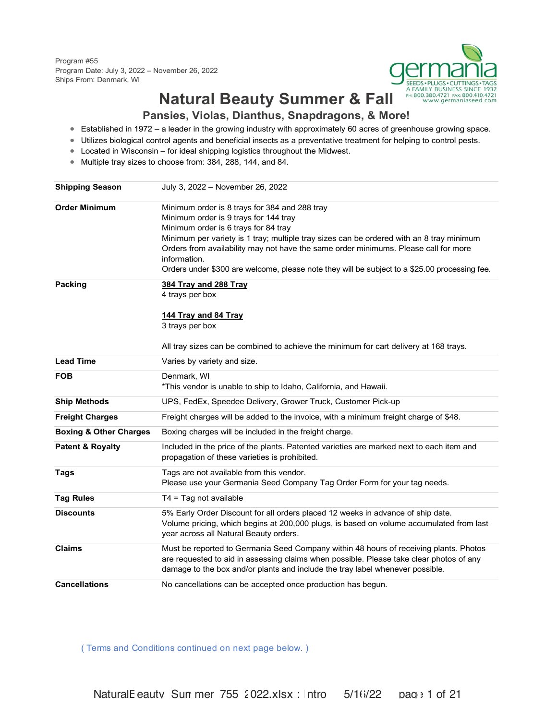Program #55 Program Date: July 3, 2022 – November 26, 2022 Ships From: Denmark, WI



# **Natural Beauty Summer & Fall**

#### **Pansies, Violas, Dianthus, Snapdragons, & More!**

- Established in 1972 a leader in the growing industry with approximately 60 acres of greenhouse growing space.
- Utilizes biological control agents and beneficial insects as a preventative treatment for helping to control pests.
- Located in Wisconsin for ideal shipping logistics throughout the Midwest.
- Multiple tray sizes to choose from: 384, 288, 144, and 84.

| <b>Shipping Season</b>            | July 3, 2022 - November 26, 2022                                                              |
|-----------------------------------|-----------------------------------------------------------------------------------------------|
| <b>Order Minimum</b>              | Minimum order is 8 trays for 384 and 288 tray                                                 |
|                                   | Minimum order is 9 trays for 144 tray                                                         |
|                                   | Minimum order is 6 trays for 84 tray                                                          |
|                                   | Minimum per variety is 1 tray; multiple tray sizes can be ordered with an 8 tray minimum      |
|                                   | Orders from availability may not have the same order minimums. Please call for more           |
|                                   | information.                                                                                  |
|                                   | Orders under \$300 are welcome, please note they will be subject to a \$25.00 processing fee. |
| Packing                           | 384 Tray and 288 Tray                                                                         |
|                                   | 4 trays per box                                                                               |
|                                   | 144 Tray and 84 Tray                                                                          |
|                                   | 3 trays per box                                                                               |
|                                   | All tray sizes can be combined to achieve the minimum for cart delivery at 168 trays.         |
| <b>Lead Time</b>                  | Varies by variety and size.                                                                   |
| <b>FOB</b>                        | Denmark, WI                                                                                   |
|                                   | *This vendor is unable to ship to Idaho, California, and Hawaii.                              |
| <b>Ship Methods</b>               | UPS, FedEx, Speedee Delivery, Grower Truck, Customer Pick-up                                  |
| <b>Freight Charges</b>            | Freight charges will be added to the invoice, with a minimum freight charge of \$48.          |
| <b>Boxing &amp; Other Charges</b> | Boxing charges will be included in the freight charge.                                        |
| <b>Patent &amp; Royalty</b>       | Included in the price of the plants. Patented varieties are marked next to each item and      |
|                                   | propagation of these varieties is prohibited.                                                 |
| <b>Tags</b>                       | Tags are not available from this vendor.                                                      |
|                                   | Please use your Germania Seed Company Tag Order Form for your tag needs.                      |
| <b>Tag Rules</b>                  | $T4 = Tag not available$                                                                      |
| <b>Discounts</b>                  | 5% Early Order Discount for all orders placed 12 weeks in advance of ship date.               |
|                                   | Volume pricing, which begins at 200,000 plugs, is based on volume accumulated from last       |
|                                   | year across all Natural Beauty orders.                                                        |
| <b>Claims</b>                     | Must be reported to Germania Seed Company within 48 hours of receiving plants. Photos         |
|                                   | are requested to aid in assessing claims when possible. Please take clear photos of any       |
|                                   | damage to the box and/or plants and include the tray label whenever possible.                 |
| <b>Cancellations</b>              | No cancellations can be accepted once production has begun.                                   |

( Terms and Conditions continued on next page below. )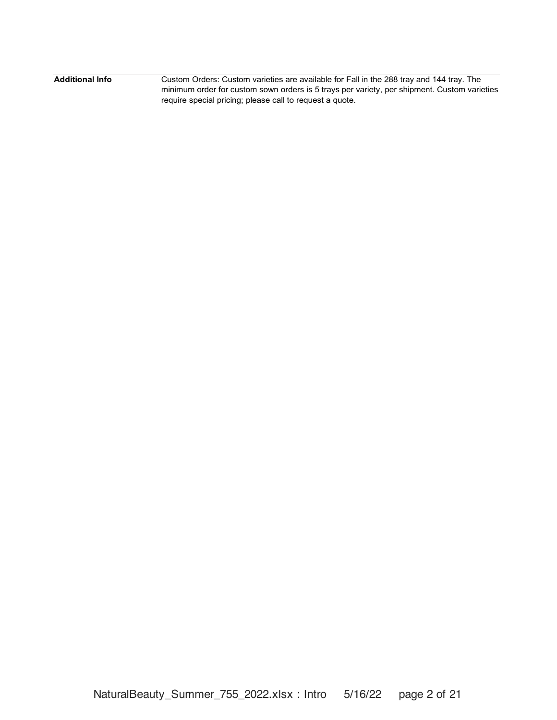| Additional Info | Custom Orders: Custom varieties are available for Fall in the 288 tray and 144 tray. The    |
|-----------------|---------------------------------------------------------------------------------------------|
|                 | minimum order for custom sown orders is 5 trays per variety, per shipment. Custom varieties |
|                 | require special pricing; please call to request a quote.                                    |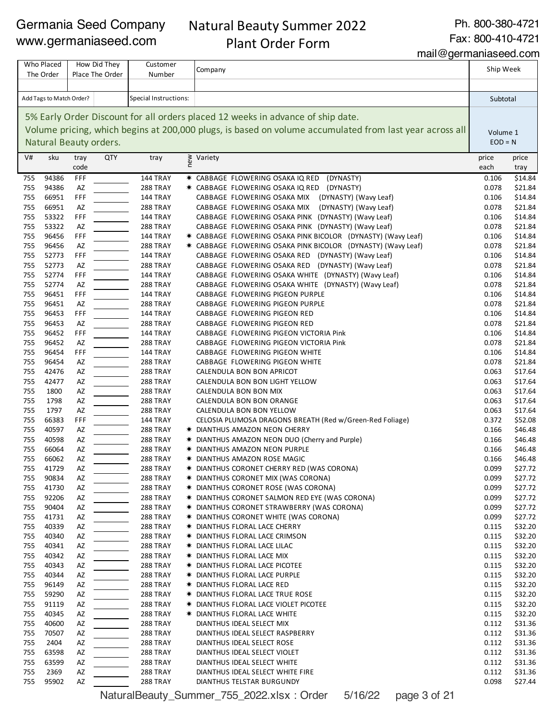# Natural Beauty Summer 2022 Plant Order Form

Ph. 800-380-4721

Fax: 800-410-4721

mail@germaniaseed.com

| Who Placed<br>How Did They<br>Place The Order<br>The Order |                          | Customer<br>Number | Company                |                       | Ship Week                                                                                                    |                |                    |
|------------------------------------------------------------|--------------------------|--------------------|------------------------|-----------------------|--------------------------------------------------------------------------------------------------------------|----------------|--------------------|
|                                                            |                          |                    |                        |                       |                                                                                                              |                |                    |
|                                                            | Add Tags to Match Order? |                    |                        | Special Instructions: |                                                                                                              | Subtotal       |                    |
|                                                            |                          |                    |                        |                       | 5% Early Order Discount for all orders placed 12 weeks in advance of ship date.                              |                |                    |
|                                                            |                          |                    |                        |                       | Volume pricing, which begins at 200,000 plugs, is based on volume accumulated from last year across all      | Volume 1       |                    |
|                                                            |                          |                    | Natural Beauty orders. |                       |                                                                                                              | $EOD = N$      |                    |
| V#                                                         | sku                      | tray               | <b>QTY</b>             | tray                  | ≥ Variety<br>e                                                                                               | price          | price              |
|                                                            |                          | code               |                        |                       |                                                                                                              | each           | tray               |
| 755                                                        | 94386                    | FFF                |                        | 144 TRAY              | * CABBAGE FLOWERING OSAKA IQ RED<br>(DYNASTY)                                                                | 0.106          | \$14.84            |
| 755<br>755                                                 | 94386<br>66951           | AZ                 |                        | 288 TRAY<br>144 TRAY  | (DYNASTY)<br>* CABBAGE FLOWERING OSAKA IQ RED                                                                | 0.078          | \$21.84<br>\$14.84 |
| 755                                                        | 66951                    | FFF<br>AZ          |                        | 288 TRAY              | (DYNASTY) (Wavy Leaf)<br>CABBAGE FLOWERING OSAKA MIX<br>(DYNASTY) (Wavy Leaf)<br>CABBAGE FLOWERING OSAKA MIX | 0.106<br>0.078 | \$21.84            |
| 755                                                        | 53322                    | FFF                |                        | 144 TRAY              | CABBAGE FLOWERING OSAKA PINK (DYNASTY) (Wavy Leaf)                                                           | 0.106          | \$14.84            |
| 755                                                        | 53322                    | AZ                 |                        | 288 TRAY              | CABBAGE FLOWERING OSAKA PINK (DYNASTY) (Wavy Leaf)                                                           | 0.078          | \$21.84            |
| 755                                                        | 96456                    | FFF                |                        | 144 TRAY              | * CABBAGE FLOWERING OSAKA PINK BICOLOR (DYNASTY) (Wavy Leaf)                                                 | 0.106          | \$14.84            |
| 755                                                        | 96456                    | AZ                 |                        | 288 TRAY              | * CABBAGE FLOWERING OSAKA PINK BICOLOR (DYNASTY) (Wavy Leaf)                                                 | 0.078          | \$21.84            |
| 755                                                        | 52773                    | FFF                |                        | 144 TRAY              | CABBAGE FLOWERING OSAKA RED (DYNASTY) (Wavy Leaf)                                                            | 0.106          | \$14.84            |
| 755                                                        | 52773                    | AZ                 |                        | 288 TRAY              | CABBAGE FLOWERING OSAKA RED (DYNASTY) (Wavy Leaf)                                                            | 0.078          | \$21.84            |
| 755                                                        | 52774                    | FFF                |                        | 144 TRAY              | CABBAGE FLOWERING OSAKA WHITE (DYNASTY) (Wavy Leaf)                                                          | 0.106          | \$14.84            |
| 755                                                        | 52774                    | AZ                 |                        | 288 TRAY              | CABBAGE FLOWERING OSAKA WHITE (DYNASTY) (Wavy Leaf)                                                          | 0.078          | \$21.84            |
| 755                                                        | 96451                    | FFF                |                        | 144 TRAY              | CABBAGE FLOWERING PIGEON PURPLE                                                                              | 0.106          | \$14.84            |
| 755                                                        | 96451<br>96453           | AZ<br>FFF          |                        | 288 TRAY              | CABBAGE FLOWERING PIGEON PURPLE                                                                              | 0.078          | \$21.84            |
| 755<br>755                                                 | 96453                    | AZ                 |                        | 144 TRAY<br>288 TRAY  | CABBAGE FLOWERING PIGEON RED<br>CABBAGE FLOWERING PIGEON RED                                                 | 0.106<br>0.078 | \$14.84<br>\$21.84 |
| 755                                                        | 96452                    | FFF                |                        | 144 TRAY              | CABBAGE FLOWERING PIGEON VICTORIA Pink                                                                       | 0.106          | \$14.84            |
| 755                                                        | 96452                    | AZ                 |                        | 288 TRAY              | CABBAGE FLOWERING PIGEON VICTORIA Pink                                                                       | 0.078          | \$21.84            |
| 755                                                        | 96454                    | FFF                |                        | 144 TRAY              | CABBAGE FLOWERING PIGEON WHITE                                                                               | 0.106          | \$14.84            |
| 755                                                        | 96454                    | AZ                 |                        | 288 TRAY              | CABBAGE FLOWERING PIGEON WHITE                                                                               | 0.078          | \$21.84            |
| 755                                                        | 42476                    | AZ                 |                        | 288 TRAY              | CALENDULA BON BON APRICOT                                                                                    | 0.063          | \$17.64            |
| 755                                                        | 42477                    | AZ                 |                        | 288 TRAY              | CALENDULA BON BON LIGHT YELLOW                                                                               | 0.063          | \$17.64            |
| 755                                                        | 1800                     | AZ                 |                        | 288 TRAY              | CALENDULA BON BON MIX                                                                                        | 0.063          | \$17.64            |
| 755                                                        | 1798                     | AZ                 |                        | 288 TRAY              | CALENDULA BON BON ORANGE                                                                                     | 0.063          | \$17.64            |
| 755                                                        | 1797                     | AZ                 |                        | 288 TRAY              | CALENDULA BON BON YELLOW                                                                                     | 0.063          | \$17.64            |
| 755                                                        | 66383                    | FFF                |                        | 144 TRAY              | CELOSIA PLUMOSA DRAGONS BREATH (Red w/Green-Red Foliage)                                                     | 0.372          | \$52.08            |
| 755<br>755                                                 | 40597<br>40598           | AZ<br>AZ           |                        | 288 TRAY<br>288 TRAY  | * DIANTHUS AMAZON NEON CHERRY<br>* DIANTHUS AMAZON NEON DUO (Cherry and Purple)                              | 0.166          | \$46.48            |
| 755                                                        | 66064                    | AZ                 |                        | 288 TRAY              | * DIANTHUS AMAZON NEON PURPLE                                                                                | 0.166<br>0.166 | \$46.48<br>\$46.48 |
| 755                                                        | 66062                    | AZ                 |                        | 288 TRAY              | * DIANTHUS AMAZON ROSE MAGIC                                                                                 | 0.166          | \$46.48            |
| 755                                                        | 41729                    | AZ                 |                        | 288 TRAY              | * DIANTHUS CORONET CHERRY RED (WAS CORONA)                                                                   | 0.099          | \$27.72            |
| 755                                                        | 90834                    | AZ                 |                        | 288 TRAY              | * DIANTHUS CORONET MIX (WAS CORONA)                                                                          | 0.099          | \$27.72            |
| 755                                                        | 41730                    | AZ                 |                        | 288 TRAY              | * DIANTHUS CORONET ROSE (WAS CORONA)                                                                         | 0.099          | \$27.72            |
| 755                                                        | 92206                    | AZ                 |                        | 288 TRAY              | * DIANTHUS CORONET SALMON RED EYE (WAS CORONA)                                                               | 0.099          | \$27.72            |
| 755                                                        | 90404                    | AZ                 |                        | 288 TRAY              | * DIANTHUS CORONET STRAWBERRY (WAS CORONA)                                                                   | 0.099          | \$27.72            |
| 755                                                        | 41731                    | AZ                 |                        | 288 TRAY              | * DIANTHUS CORONET WHITE (WAS CORONA)                                                                        | 0.099          | \$27.72            |
| 755                                                        | 40339                    | AZ                 |                        | 288 TRAY              | * DIANTHUS FLORAL LACE CHERRY                                                                                | 0.115          | \$32.20            |
| 755                                                        | 40340                    | AZ                 |                        | 288 TRAY              | <b>★ DIANTHUS FLORAL LACE CRIMSON</b>                                                                        | 0.115          | \$32.20            |
| 755                                                        | 40341                    | AZ                 |                        | 288 TRAY              | * DIANTHUS FLORAL LACE LILAC                                                                                 | 0.115          | \$32.20            |
| 755<br>755                                                 | 40342<br>40343           | AZ<br>AZ           |                        | 288 TRAY<br>288 TRAY  | * DIANTHUS FLORAL LACE MIX<br>* DIANTHUS FLORAL LACE PICOTEE                                                 | 0.115<br>0.115 | \$32.20<br>\$32.20 |
| 755                                                        | 40344                    | AZ                 |                        | 288 TRAY              | * DIANTHUS FLORAL LACE PURPLE                                                                                | 0.115          | \$32.20            |
| 755                                                        | 96149                    | AZ                 |                        | 288 TRAY              | <b>★ DIANTHUS FLORAL LACE RED</b>                                                                            | 0.115          | \$32.20            |
| 755                                                        | 59290                    | AZ                 |                        | 288 TRAY              | * DIANTHUS FLORAL LACE TRUE ROSE                                                                             | 0.115          | \$32.20            |
| 755                                                        | 91119                    | AZ                 |                        | 288 TRAY              | * DIANTHUS FLORAL LACE VIOLET PICOTEE                                                                        | 0.115          | \$32.20            |
| 755                                                        | 40345                    | AZ                 |                        | 288 TRAY              | * DIANTHUS FLORAL LACE WHITE                                                                                 | 0.115          | \$32.20            |
| 755                                                        | 40600                    | AZ                 |                        | 288 TRAY              | DIANTHUS IDEAL SELECT MIX                                                                                    | 0.112          | \$31.36            |
| 755                                                        | 70507                    | AZ                 |                        | 288 TRAY              | DIANTHUS IDEAL SELECT RASPBERRY                                                                              | 0.112          | \$31.36            |
| 755                                                        | 2404                     | AZ                 |                        | 288 TRAY              | DIANTHUS IDEAL SELECT ROSE                                                                                   | 0.112          | \$31.36            |
| 755                                                        | 63598                    | AZ                 |                        | 288 TRAY              | DIANTHUS IDEAL SELECT VIOLET                                                                                 | 0.112          | \$31.36            |
| 755                                                        | 63599                    | AZ                 |                        | 288 TRAY              | DIANTHUS IDEAL SELECT WHITE                                                                                  | 0.112          | \$31.36            |
| 755                                                        | 2369                     | AZ                 |                        | 288 TRAY              | DIANTHUS IDEAL SELECT WHITE FIRE                                                                             | 0.112          | \$31.36            |
| 755                                                        | 95902                    | AZ                 |                        | 288 TRAY              | DIANTHUS TELSTAR BURGUNDY                                                                                    | 0.098          | \$27.44            |

NaturalBeauty\_Summer\_755\_2022.xlsx : Order 5/16/22 page 3 of 21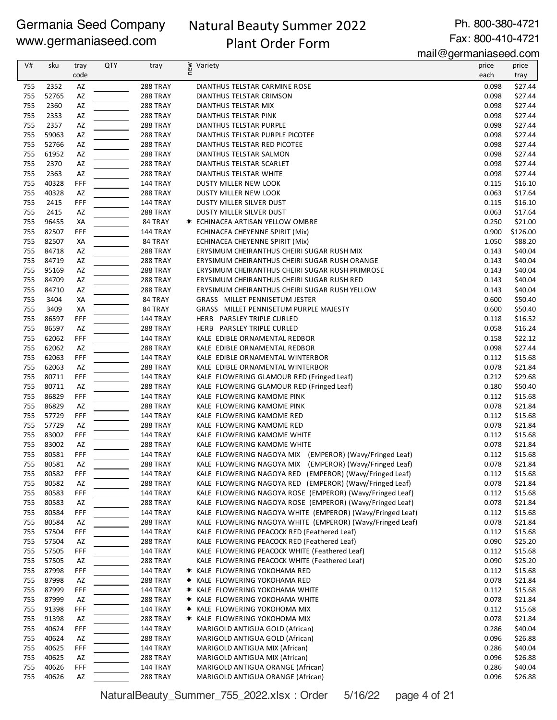# Natural Beauty Summer 2022 Plant Order Form

Ph. 800-380-4721 Fax: 800-410-4721

mail@germaniaseed.com

| V#         | sku            | tray      | <b>QTY</b> | tray                 | new<br>Variety                                                                                                     | price          | price              |
|------------|----------------|-----------|------------|----------------------|--------------------------------------------------------------------------------------------------------------------|----------------|--------------------|
|            |                | code      |            |                      |                                                                                                                    | each           | tray               |
| 755        | 2352           | AZ        |            | 288 TRAY             | DIANTHUS TELSTAR CARMINE ROSE                                                                                      | 0.098          | \$27.44            |
| 755        | 52765          | AZ        |            | 288 TRAY             | DIANTHUS TELSTAR CRIMSON                                                                                           | 0.098          | \$27.44            |
| 755        | 2360           | AZ        |            | 288 TRAY             | DIANTHUS TELSTAR MIX                                                                                               | 0.098          | \$27.44            |
| 755<br>755 | 2353<br>2357   | AZ<br>AZ  |            | 288 TRAY<br>288 TRAY | DIANTHUS TELSTAR PINK<br>DIANTHUS TELSTAR PURPLE                                                                   | 0.098<br>0.098 | \$27.44<br>\$27.44 |
| 755        | 59063          | AZ        |            | 288 TRAY             | DIANTHUS TELSTAR PURPLE PICOTEE                                                                                    | 0.098          | \$27.44            |
| 755        | 52766          | AZ        |            | 288 TRAY             | DIANTHUS TELSTAR RED PICOTEE                                                                                       | 0.098          | \$27.44            |
| 755        | 61952          | AZ        |            | 288 TRAY             | DIANTHUS TELSTAR SALMON                                                                                            | 0.098          | \$27.44            |
| 755        | 2370           | AZ        |            | 288 TRAY             | DIANTHUS TELSTAR SCARLET                                                                                           | 0.098          | \$27.44            |
| 755        | 2363           | AZ        |            | 288 TRAY             | DIANTHUS TELSTAR WHITE                                                                                             | 0.098          | \$27.44            |
| 755        | 40328          | FFF       |            | 144 TRAY             | DUSTY MILLER NEW LOOK                                                                                              | 0.115          | \$16.10            |
| 755        | 40328          | AZ        |            | 288 TRAY             | DUSTY MILLER NEW LOOK                                                                                              | 0.063          | \$17.64            |
| 755        | 2415           | FFF       |            | <b>144 TRAY</b>      | DUSTY MILLER SILVER DUST                                                                                           | 0.115          | \$16.10            |
| 755<br>755 | 2415<br>96455  | AZ        |            | 288 TRAY             | DUSTY MILLER SILVER DUST                                                                                           | 0.063<br>0.250 | \$17.64<br>\$21.00 |
| 755        | 82507          | ХA<br>FFF |            | 84 TRAY<br>144 TRAY  | <b>* ECHINACEA ARTISAN YELLOW OMBRE</b><br>ECHINACEA CHEYENNE SPIRIT (Mix)                                         | 0.900          | \$126.00           |
| 755        | 82507          | XA        |            | 84 TRAY              | ECHINACEA CHEYENNE SPIRIT (Mix)                                                                                    | 1.050          | \$88.20            |
| 755        | 84718          | AZ        |            | 288 TRAY             | ERYSIMUM CHEIRANTHUS CHEIRI SUGAR RUSH MIX                                                                         | 0.143          | \$40.04            |
| 755        | 84719          | AZ        |            | 288 TRAY             | ERYSIMUM CHEIRANTHUS CHEIRI SUGAR RUSH ORANGE                                                                      | 0.143          | \$40.04            |
| 755        | 95169          | AZ        |            | 288 TRAY             | ERYSIMUM CHEIRANTHUS CHEIRI SUGAR RUSH PRIMROSE                                                                    | 0.143          | \$40.04            |
| 755        | 84709          | AZ        |            | 288 TRAY             | ERYSIMUM CHEIRANTHUS CHEIRI SUGAR RUSH RED                                                                         | 0.143          | \$40.04            |
| 755        | 84710          | AZ        |            | 288 TRAY             | ERYSIMUM CHEIRANTHUS CHEIRI SUGAR RUSH YELLOW                                                                      | 0.143          | \$40.04            |
| 755        | 3404           | XА        |            | 84 TRAY              | GRASS MILLET PENNISETUM JESTER                                                                                     | 0.600          | \$50.40            |
| 755        | 3409           | ХA        |            | 84 TRAY              | GRASS MILLET PENNISETUM PURPLE MAJESTY                                                                             | 0.600          | \$50.40            |
| 755        | 86597          | FFF       |            | 144 TRAY             | HERB PARSLEY TRIPLE CURLED                                                                                         | 0.118          | \$16.52            |
| 755        | 86597          | AZ        |            | <b>288 TRAY</b>      | HERB PARSLEY TRIPLE CURLED                                                                                         | 0.058          | \$16.24            |
| 755<br>755 | 62062<br>62062 | FFF<br>AZ |            | 144 TRAY<br>288 TRAY | KALE EDIBLE ORNAMENTAL REDBOR<br>KALE EDIBLE ORNAMENTAL REDBOR                                                     | 0.158<br>0.098 | \$22.12<br>\$27.44 |
| 755        | 62063          | FFF       |            | 144 TRAY             | KALE EDIBLE ORNAMENTAL WINTERBOR                                                                                   | 0.112          | \$15.68            |
| 755        | 62063          | AZ        |            | 288 TRAY             | KALE EDIBLE ORNAMENTAL WINTERBOR                                                                                   | 0.078          | \$21.84            |
| 755        | 80711          | FFF       |            | 144 TRAY             | KALE FLOWERING GLAMOUR RED (Fringed Leaf)                                                                          | 0.212          | \$29.68            |
| 755        | 80711          | AZ        |            | 288 TRAY             | KALE FLOWERING GLAMOUR RED (Fringed Leaf)                                                                          | 0.180          | \$50.40            |
| 755        | 86829          | FFF       |            | 144 TRAY             | KALE FLOWERING KAMOME PINK                                                                                         | 0.112          | \$15.68            |
| 755        | 86829          | AZ        |            | 288 TRAY             | KALE FLOWERING KAMOME PINK                                                                                         | 0.078          | \$21.84            |
| 755        | 57729          | FFF       |            | <b>144 TRAY</b>      | KALE FLOWERING KAMOME RED                                                                                          | 0.112          | \$15.68            |
| 755        | 57729          | AZ        |            | 288 TRAY             | KALE FLOWERING KAMOME RED                                                                                          | 0.078          | \$21.84            |
| 755        | 83002          | FFF       |            | <b>144 TRAY</b>      | KALE FLOWERING KAMOME WHITE                                                                                        | 0.112          | \$15.68            |
| 755<br>755 | 83002          | AZ        |            | <b>288 TRAY</b>      | KALE FLOWERING KAMOME WHITE                                                                                        | 0.078          | \$21.84            |
| 755        | 80581<br>80581 | FFF<br>AZ |            | 144 TRAY<br>288 TRAY | KALE FLOWERING NAGOYA MIX (EMPEROR) (Wavy/Fringed Leaf)<br>KALE FLOWERING NAGOYA MIX (EMPEROR) (Wavy/Fringed Leaf) | 0.112<br>0.078 | \$15.68<br>\$21.84 |
| 755        | 80582          | FFF       |            | 144 TRAY             | KALE FLOWERING NAGOYA RED (EMPEROR) (Wavy/Fringed Leaf)                                                            | 0.112          | \$15.68            |
| 755        | 80582          | AZ        |            | 288 TRAY             | KALE FLOWERING NAGOYA RED (EMPEROR) (Wavy/Fringed Leaf)                                                            | 0.078          | \$21.84            |
| 755        | 80583          | FFF       |            | 144 TRAY             | KALE FLOWERING NAGOYA ROSE (EMPEROR) (Wavy/Fringed Leaf)                                                           | 0.112          | \$15.68            |
| 755        | 80583          | AZ        |            | 288 TRAY             | KALE FLOWERING NAGOYA ROSE (EMPEROR) (Wavy/Fringed Leaf)                                                           | 0.078          | \$21.84            |
| 755        | 80584          | FFF       |            | <b>144 TRAY</b>      | KALE FLOWERING NAGOYA WHITE (EMPEROR) (Wavy/Fringed Leaf)                                                          | 0.112          | \$15.68            |
| 755        | 80584          | AZ        |            | 288 TRAY             | KALE FLOWERING NAGOYA WHITE (EMPEROR) (Wavy/Fringed Leaf)                                                          | 0.078          | \$21.84            |
| 755        | 57504          | FFF       |            | 144 TRAY             | KALE FLOWERING PEACOCK RED (Feathered Leaf)                                                                        | 0.112          | \$15.68            |
| 755        | 57504          | AZ        |            | 288 TRAY             | KALE FLOWERING PEACOCK RED (Feathered Leaf)                                                                        | 0.090          | \$25.20            |
| 755        | 57505          | FFF       |            | <b>144 TRAY</b>      | KALE FLOWERING PEACOCK WHITE (Feathered Leaf)                                                                      | 0.112          | \$15.68            |
| 755        | 57505          | AZ        |            | 288 TRAY             | KALE FLOWERING PEACOCK WHITE (Feathered Leaf)                                                                      | 0.090          | \$25.20            |
| 755<br>755 | 87998<br>87998 | FFF       |            | 144 TRAY<br>288 TRAY | * KALE FLOWERING YOKOHAMA RED                                                                                      | 0.112<br>0.078 | \$15.68<br>\$21.84 |
| 755        | 87999          | AZ<br>FFF |            | <b>144 TRAY</b>      | * KALE FLOWERING YOKOHAMA RED<br>* KALE FLOWERING YOKOHAMA WHITE                                                   | 0.112          | \$15.68            |
| 755        | 87999          | AZ        |            | 288 TRAY             | * KALE FLOWERING YOKOHAMA WHITE                                                                                    | 0.078          | \$21.84            |
| 755        | 91398          | FFF       |            | <b>144 TRAY</b>      | * KALE FLOWERING YOKOHOMA MIX                                                                                      | 0.112          | \$15.68            |
| 755        | 91398          | AZ        |            | 288 TRAY             | * KALE FLOWERING YOKOHOMA MIX                                                                                      | 0.078          | \$21.84            |
| 755        | 40624          | FFF       |            | <b>144 TRAY</b>      | MARIGOLD ANTIGUA GOLD (African)                                                                                    | 0.286          | \$40.04            |
| 755        | 40624          | AZ        |            | <b>288 TRAY</b>      | MARIGOLD ANTIGUA GOLD (African)                                                                                    | 0.096          | \$26.88            |
| 755        | 40625          | FFF       |            | 144 TRAY             | MARIGOLD ANTIGUA MIX (African)                                                                                     | 0.286          | \$40.04            |
| 755        | 40625          | AZ        |            | 288 TRAY             | MARIGOLD ANTIGUA MIX (African)                                                                                     | 0.096          | \$26.88            |
| 755        | 40626          | FFF       |            | 144 TRAY             | MARIGOLD ANTIGUA ORANGE (African)                                                                                  | 0.286          | \$40.04            |
| 755        | 40626          | AZ        |            | 288 TRAY             | MARIGOLD ANTIGUA ORANGE (African)                                                                                  | 0.096          | \$26.88            |

NaturalBeauty\_Summer\_755\_2022.xlsx : Order 5/16/22 page 4 of 21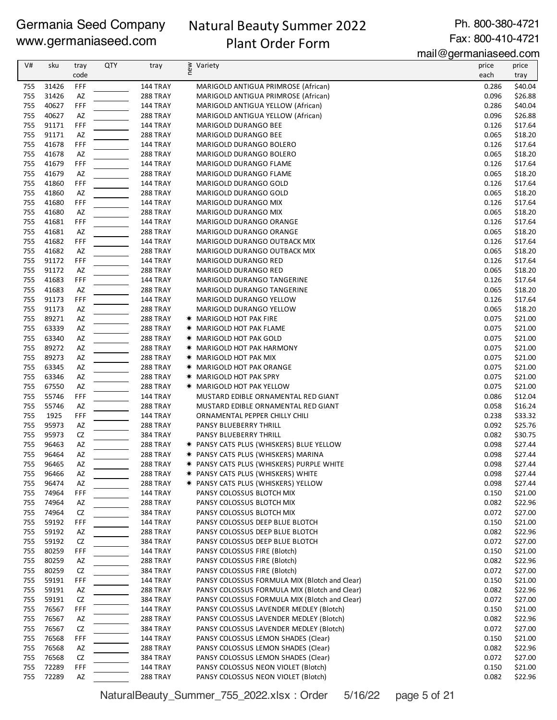# Natural Beauty Summer 2022

Ph. 800-380-4721 Fax: 800-410-4721

# Plant Order Form

mail@germaniaseed.com

|            |                |           |            |                                    |                                                                                  | $111$ an $\approx$ yo $111$ ana iradood.com |                    |
|------------|----------------|-----------|------------|------------------------------------|----------------------------------------------------------------------------------|---------------------------------------------|--------------------|
| V#         | sku            | tray      | <b>QTY</b> | tray                               | new<br>Variety                                                                   | price                                       | price              |
|            |                | code      |            |                                    |                                                                                  | each                                        | tray               |
| 755        | 31426          | FFF       |            | 144 TRAY                           | MARIGOLD ANTIGUA PRIMROSE (African)                                              | 0.286                                       | \$40.04            |
| 755        | 31426          | AZ        |            | 288 TRAY                           | MARIGOLD ANTIGUA PRIMROSE (African)                                              | 0.096                                       | \$26.88            |
| 755        | 40627          | FFF       |            | 144 TRAY                           | MARIGOLD ANTIGUA YELLOW (African)                                                | 0.286                                       | \$40.04            |
| 755<br>755 | 40627<br>91171 | AZ<br>FFF |            | 288 TRAY                           | MARIGOLD ANTIGUA YELLOW (African)                                                | 0.096<br>0.126                              | \$26.88<br>\$17.64 |
| 755        | 91171          | AZ        |            | 144 TRAY<br>288 TRAY               | MARIGOLD DURANGO BEE<br>MARIGOLD DURANGO BEE                                     | 0.065                                       | \$18.20            |
| 755        | 41678          | FFF       |            | 144 TRAY                           | MARIGOLD DURANGO BOLERO                                                          | 0.126                                       | \$17.64            |
| 755        | 41678          | AZ        |            | 288 TRAY                           | MARIGOLD DURANGO BOLERO                                                          | 0.065                                       | \$18.20            |
| 755        | 41679          | FFF       |            | 144 TRAY                           | MARIGOLD DURANGO FLAME                                                           | 0.126                                       | \$17.64            |
| 755        | 41679          | AZ        |            | 288 TRAY                           | MARIGOLD DURANGO FLAME                                                           | 0.065                                       | \$18.20            |
| 755        | 41860          | FFF       |            | 144 TRAY                           | MARIGOLD DURANGO GOLD                                                            | 0.126                                       | \$17.64            |
| 755        | 41860          | AZ        |            | 288 TRAY                           | MARIGOLD DURANGO GOLD                                                            | 0.065                                       | \$18.20            |
| 755        | 41680          | FFF       |            | 144 TRAY                           | MARIGOLD DURANGO MIX                                                             | 0.126                                       | \$17.64            |
| 755        | 41680          | AZ        |            | 288 TRAY                           | MARIGOLD DURANGO MIX                                                             | 0.065                                       | \$18.20            |
| 755        | 41681          | FFF       |            | <b>144 TRAY</b>                    | MARIGOLD DURANGO ORANGE                                                          | 0.126                                       | \$17.64            |
| 755        | 41681          | AZ        |            | 288 TRAY                           | MARIGOLD DURANGO ORANGE                                                          | 0.065                                       | \$18.20            |
| 755        | 41682          | FFF       |            | 144 TRAY                           | MARIGOLD DURANGO OUTBACK MIX                                                     | 0.126                                       | \$17.64            |
| 755        | 41682          | AZ        |            | 288 TRAY                           | MARIGOLD DURANGO OUTBACK MIX                                                     | 0.065                                       | \$18.20            |
| 755        | 91172          | FFF       |            | 144 TRAY                           | MARIGOLD DURANGO RED                                                             | 0.126                                       | \$17.64            |
| 755        | 91172          | AZ        |            | 288 TRAY                           | MARIGOLD DURANGO RED                                                             | 0.065                                       | \$18.20            |
| 755        | 41683          | FFF       |            | 144 TRAY                           | MARIGOLD DURANGO TANGERINE                                                       | 0.126                                       | \$17.64            |
| 755        | 41683          | AZ        |            | 288 TRAY                           | MARIGOLD DURANGO TANGERINE                                                       | 0.065                                       | \$18.20            |
| 755        | 91173          | FFF       |            | 144 TRAY                           | MARIGOLD DURANGO YELLOW                                                          | 0.126                                       | \$17.64            |
| 755        | 91173          | AZ        |            | 288 TRAY                           | MARIGOLD DURANGO YELLOW                                                          | 0.065                                       | \$18.20            |
| 755        | 89271          | AZ        |            | 288 TRAY                           | <b>★ MARIGOLD HOT PAK FIRE</b>                                                   | 0.075                                       | \$21.00            |
| 755        | 63339          | AZ        |            | 288 TRAY                           | <b>★ MARIGOLD HOT PAK FLAME</b>                                                  | 0.075                                       | \$21.00            |
| 755        | 63340          | AZ        |            | 288 TRAY                           | <b>* MARIGOLD HOT PAK GOLD</b>                                                   | 0.075                                       | \$21.00            |
| 755        | 89272          | AZ        |            | 288 TRAY                           | <b>★ MARIGOLD HOT PAK HARMONY</b>                                                | 0.075                                       | \$21.00            |
| 755        | 89273          | AZ        |            | 288 TRAY                           | <b>★ MARIGOLD HOT PAK MIX</b>                                                    | 0.075                                       | \$21.00            |
| 755        | 63345          | AZ        |            | 288 TRAY                           | <b>★ MARIGOLD HOT PAK ORANGE</b>                                                 | 0.075                                       | \$21.00            |
| 755        | 63346          | AZ        |            | 288 TRAY                           | <b>★ MARIGOLD HOT PAK SPRY</b>                                                   | 0.075                                       | \$21.00            |
| 755        | 67550          | AZ        |            | 288 TRAY                           | <b>★ MARIGOLD HOT PAK YELLOW</b>                                                 | 0.075                                       | \$21.00            |
| 755        | 55746          | FFF       |            | 144 TRAY                           | MUSTARD EDIBLE ORNAMENTAL RED GIANT                                              | 0.086                                       | \$12.04            |
| 755        | 55746          | AZ        |            | 288 TRAY                           | MUSTARD EDIBLE ORNAMENTAL RED GIANT                                              | 0.058                                       | \$16.24            |
| 755        | 1925           | FFF       |            | 144 TRAY                           | ORNAMENTAL PEPPER CHILLY CHILI                                                   | 0.238                                       | \$33.32            |
| 755        | 95973          | AZ        |            | <b>288 TRAY</b>                    | PANSY BLUEBERRY THRILL                                                           | 0.092                                       | \$25.76            |
| 755        | 95973          | CZ        |            | <b>384 TRAY</b>                    | PANSY BLUEBERRY THRILL                                                           | 0.082                                       | \$30.75            |
| 755<br>755 | 96463<br>96464 | AZ<br>AZ  |            | 288 TRAY                           | * PANSY CATS PLUS (WHISKERS) BLUE YELLOW                                         | 0.098<br>0.098                              | \$27.44<br>\$27.44 |
| 755        | 96465          | AZ        |            | <b>288 TRAY</b><br><b>288 TRAY</b> | * PANSY CATS PLUS (WHISKERS) MARINA<br>* PANSY CATS PLUS (WHISKERS) PURPLE WHITE | 0.098                                       |                    |
| 755        | 96466          | AZ        |            | 288 TRAY                           | * PANSY CATS PLUS (WHISKERS) WHITE                                               | 0.098                                       | \$27.44<br>\$27.44 |
| 755        | 96474          | AZ        |            | 288 TRAY                           | <b>* PANSY CATS PLUS (WHISKERS) YELLOW</b>                                       | 0.098                                       | \$27.44            |
| 755        | 74964          | FFF       |            | 144 TRAY                           | PANSY COLOSSUS BLOTCH MIX                                                        | 0.150                                       | \$21.00            |
| 755        | 74964          | AZ        |            | 288 TRAY                           | PANSY COLOSSUS BLOTCH MIX                                                        | 0.082                                       | \$22.96            |
| 755        | 74964          | CZ        |            | 384 TRAY                           | PANSY COLOSSUS BLOTCH MIX                                                        | 0.072                                       | \$27.00            |
| 755        | 59192          | FFF       |            | <b>144 TRAY</b>                    | PANSY COLOSSUS DEEP BLUE BLOTCH                                                  | 0.150                                       | \$21.00            |
| 755        | 59192          | AZ        |            | 288 TRAY                           | PANSY COLOSSUS DEEP BLUE BLOTCH                                                  | 0.082                                       | \$22.96            |
| 755        | 59192          | CZ        |            | 384 TRAY                           | PANSY COLOSSUS DEEP BLUE BLOTCH                                                  | 0.072                                       | \$27.00            |
| 755        | 80259          | FFF       |            | 144 TRAY                           | PANSY COLOSSUS FIRE (Blotch)                                                     | 0.150                                       | \$21.00            |
| 755        | 80259          | AZ        |            | 288 TRAY                           | PANSY COLOSSUS FIRE (Blotch)                                                     | 0.082                                       | \$22.96            |
| 755        | 80259          | CZ        |            | 384 TRAY                           | PANSY COLOSSUS FIRE (Blotch)                                                     | 0.072                                       | \$27.00            |
| 755        | 59191          | FFF       |            | 144 TRAY                           | PANSY COLOSSUS FORMULA MIX (Blotch and Clear)                                    | 0.150                                       | \$21.00            |
| 755        | 59191          | AZ        |            | 288 TRAY                           | PANSY COLOSSUS FORMULA MIX (Blotch and Clear)                                    | 0.082                                       | \$22.96            |
| 755        | 59191          | CZ        |            | 384 TRAY                           | PANSY COLOSSUS FORMULA MIX (Blotch and Clear)                                    | 0.072                                       | \$27.00            |
| 755        | 76567          | FFF       |            | 144 TRAY                           | PANSY COLOSSUS LAVENDER MEDLEY (Blotch)                                          | 0.150                                       | \$21.00            |
| 755        | 76567          | AZ        |            | <b>288 TRAY</b>                    | PANSY COLOSSUS LAVENDER MEDLEY (Blotch)                                          | 0.082                                       | \$22.96            |
| 755        | 76567          | CZ        |            | 384 TRAY                           | PANSY COLOSSUS LAVENDER MEDLEY (Blotch)                                          | 0.072                                       | \$27.00            |
| 755        | 76568          | FFF       |            | 144 TRAY                           | PANSY COLOSSUS LEMON SHADES (Clear)                                              | 0.150                                       | \$21.00            |
| 755        | 76568          | AZ        |            | 288 TRAY                           | PANSY COLOSSUS LEMON SHADES (Clear)                                              | 0.082                                       | \$22.96            |
| 755        | 76568          | CZ        |            | 384 TRAY                           | PANSY COLOSSUS LEMON SHADES (Clear)                                              | 0.072                                       | \$27.00            |
| 755        | 72289          | FFF       |            | 144 TRAY                           | PANSY COLOSSUS NEON VIOLET (Blotch)                                              | 0.150                                       | \$21.00            |
| 755        | 72289          | AZ        |            | 288 TRAY                           | PANSY COLOSSUS NEON VIOLET (Blotch)                                              | 0.082                                       | \$22.96            |

NaturalBeauty\_Summer\_755\_2022.xlsx : Order 5/16/22 page 5 of 21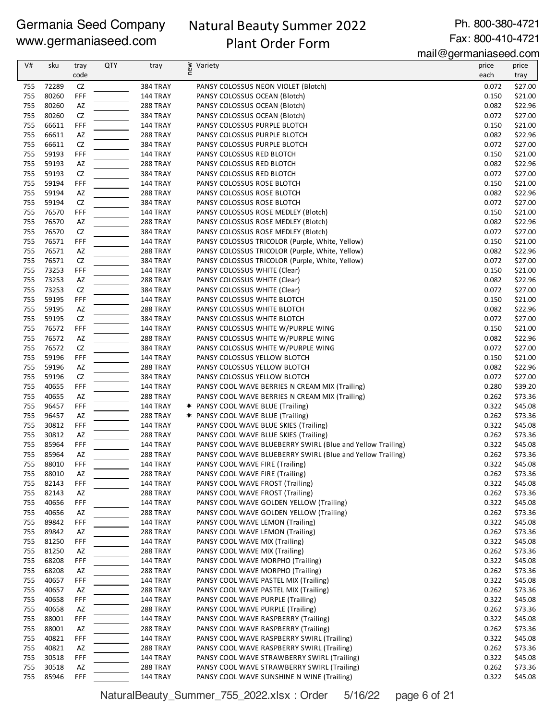# Natural Beauty Summer 2022 Plant Order Form

Ph. 800-380-4721 Fax: 800-410-4721

mail@germaniaseed.com

| V#         | sku            | tray       | <b>QTY</b> | tray                               | new<br>Variety                                                                                   | price          | price              |
|------------|----------------|------------|------------|------------------------------------|--------------------------------------------------------------------------------------------------|----------------|--------------------|
|            |                | code       |            |                                    |                                                                                                  | each           | tray               |
| 755        | 72289          | ${\sf CZ}$ |            | <b>384 TRAY</b>                    | PANSY COLOSSUS NEON VIOLET (Blotch)                                                              | 0.072          | \$27.00            |
| 755        | 80260          | FFF        |            | 144 TRAY                           | PANSY COLOSSUS OCEAN (Blotch)                                                                    | 0.150          | \$21.00            |
| 755        | 80260          | AZ         |            | 288 TRAY                           | PANSY COLOSSUS OCEAN (Blotch)                                                                    | 0.082          | \$22.96            |
| 755        | 80260          | CZ         |            | <b>384 TRAY</b>                    | PANSY COLOSSUS OCEAN (Blotch)                                                                    | 0.072          | \$27.00            |
| 755        | 66611          | FFF        |            | <b>144 TRAY</b>                    | PANSY COLOSSUS PURPLE BLOTCH                                                                     | 0.150          | \$21.00            |
| 755        | 66611          | AZ         |            | <b>288 TRAY</b>                    | PANSY COLOSSUS PURPLE BLOTCH                                                                     | 0.082          | \$22.96            |
| 755        | 66611          | ${\sf CZ}$ |            | <b>384 TRAY</b>                    | PANSY COLOSSUS PURPLE BLOTCH                                                                     | 0.072          | \$27.00            |
| 755        | 59193          | FFF        |            | <b>144 TRAY</b>                    | PANSY COLOSSUS RED BLOTCH                                                                        | 0.150          | \$21.00            |
| 755<br>755 | 59193<br>59193 | AZ         |            | <b>288 TRAY</b>                    | PANSY COLOSSUS RED BLOTCH<br>PANSY COLOSSUS RED BLOTCH                                           | 0.082          | \$22.96            |
| 755        | 59194          | CZ<br>FFF  |            | <b>384 TRAY</b><br><b>144 TRAY</b> | PANSY COLOSSUS ROSE BLOTCH                                                                       | 0.072<br>0.150 | \$27.00<br>\$21.00 |
| 755        | 59194          | AZ         |            | 288 TRAY                           | PANSY COLOSSUS ROSE BLOTCH                                                                       | 0.082          | \$22.96            |
| 755        | 59194          | CZ         |            | <b>384 TRAY</b>                    | PANSY COLOSSUS ROSE BLOTCH                                                                       | 0.072          | \$27.00            |
| 755        | 76570          | FFF        |            | 144 TRAY                           | PANSY COLOSSUS ROSE MEDLEY (Blotch)                                                              | 0.150          | \$21.00            |
| 755        | 76570          | AZ         |            | <b>288 TRAY</b>                    | PANSY COLOSSUS ROSE MEDLEY (Blotch)                                                              | 0.082          | \$22.96            |
| 755        | 76570          | CZ         |            | <b>384 TRAY</b>                    | PANSY COLOSSUS ROSE MEDLEY (Blotch)                                                              | 0.072          | \$27.00            |
| 755        | 76571          | FFF        |            | <b>144 TRAY</b>                    | PANSY COLOSSUS TRICOLOR (Purple, White, Yellow)                                                  | 0.150          | \$21.00            |
| 755        | 76571          | AZ         |            | <b>288 TRAY</b>                    | PANSY COLOSSUS TRICOLOR (Purple, White, Yellow)                                                  | 0.082          | \$22.96            |
| 755        | 76571          | CZ         |            | <b>384 TRAY</b>                    | PANSY COLOSSUS TRICOLOR (Purple, White, Yellow)                                                  | 0.072          | \$27.00            |
| 755        | 73253          | FFF        |            | <b>144 TRAY</b>                    | PANSY COLOSSUS WHITE (Clear)                                                                     | 0.150          | \$21.00            |
| 755        | 73253          | AZ         |            | 288 TRAY                           | PANSY COLOSSUS WHITE (Clear)                                                                     | 0.082          | \$22.96            |
| 755        | 73253          | CZ         |            | <b>384 TRAY</b>                    | PANSY COLOSSUS WHITE (Clear)                                                                     | 0.072          | \$27.00            |
| 755        | 59195          | FFF        |            | 144 TRAY                           | PANSY COLOSSUS WHITE BLOTCH                                                                      | 0.150          | \$21.00            |
| 755        | 59195          | AZ         |            | <b>288 TRAY</b>                    | PANSY COLOSSUS WHITE BLOTCH                                                                      | 0.082          | \$22.96            |
| 755        | 59195          | CZ         |            | <b>384 TRAY</b>                    | PANSY COLOSSUS WHITE BLOTCH                                                                      | 0.072          | \$27.00            |
| 755        | 76572          | FFF        |            | 144 TRAY                           | PANSY COLOSSUS WHITE W/PURPLE WING                                                               | 0.150          | \$21.00            |
| 755        | 76572          | AZ         |            | <b>288 TRAY</b>                    | PANSY COLOSSUS WHITE W/PURPLE WING                                                               | 0.082          | \$22.96            |
| 755        | 76572          | CZ         |            | <b>384 TRAY</b>                    | PANSY COLOSSUS WHITE W/PURPLE WING                                                               | 0.072          | \$27.00            |
| 755        | 59196          | FFF        |            | <b>144 TRAY</b>                    | PANSY COLOSSUS YELLOW BLOTCH                                                                     | 0.150          | \$21.00            |
| 755        | 59196          | AZ         |            | 288 TRAY                           | PANSY COLOSSUS YELLOW BLOTCH                                                                     | 0.082          | \$22.96            |
| 755        | 59196          | CZ         |            | <b>384 TRAY</b>                    | PANSY COLOSSUS YELLOW BLOTCH                                                                     | 0.072          | \$27.00            |
| 755<br>755 | 40655<br>40655 | FFF<br>AZ  |            | 144 TRAY<br><b>288 TRAY</b>        | PANSY COOL WAVE BERRIES N CREAM MIX (Trailing)<br>PANSY COOL WAVE BERRIES N CREAM MIX (Trailing) | 0.280<br>0.262 | \$39.20<br>\$73.36 |
| 755        | 96457          | FFF        |            | <b>144 TRAY</b>                    | <b>★ PANSY COOL WAVE BLUE (Trailing)</b>                                                         | 0.322          | \$45.08            |
| 755        | 96457          | AZ         |            | 288 TRAY                           | * PANSY COOL WAVE BLUE (Trailing)                                                                | 0.262          | \$73.36            |
| 755        | 30812          | FFF        |            | <b>144 TRAY</b>                    | PANSY COOL WAVE BLUE SKIES (Trailing)                                                            | 0.322          | \$45.08            |
| 755        | 30812          | AZ         |            | <b>288 TRAY</b>                    | PANSY COOL WAVE BLUE SKIES (Trailing)                                                            | 0.262          | \$73.36            |
| 755        | 85964          | FFF        |            | <b>144 TRAY</b>                    | PANSY COOL WAVE BLUEBERRY SWIRL (Blue and Yellow Trailing)                                       | 0.322          | \$45.08            |
| 755        | 85964          | AZ         |            | <b>288 TRAY</b>                    | PANSY COOL WAVE BLUEBERRY SWIRL (Blue and Yellow Trailing)                                       | 0.262          | \$73.36            |
| 755        | 88010          | FFF        |            | 144 TRAY                           | PANSY COOL WAVE FIRE (Trailing)                                                                  | 0.322          | \$45.08            |
| 755        | 88010          | AZ         |            | 288 TRAY                           | PANSY COOL WAVE FIRE (Trailing)                                                                  | 0.262          | \$73.36            |
| 755        | 82143          | FFF        |            | 144 TRAY                           | PANSY COOL WAVE FROST (Trailing)                                                                 | 0.322          | \$45.08            |
| 755        | 82143          | AZ         |            | 288 TRAY                           | PANSY COOL WAVE FROST (Trailing)                                                                 | 0.262          | \$73.36            |
| 755        | 40656          | FFF        |            | <b>144 TRAY</b>                    | PANSY COOL WAVE GOLDEN YELLOW (Trailing)                                                         | 0.322          | \$45.08            |
| 755        | 40656          | AZ         |            | 288 TRAY                           | PANSY COOL WAVE GOLDEN YELLOW (Trailing)                                                         | 0.262          | \$73.36            |
| 755        | 89842          | FFF        |            | 144 TRAY                           | PANSY COOL WAVE LEMON (Trailing)                                                                 | 0.322          | \$45.08            |
| 755        | 89842          | AZ         |            | 288 TRAY                           | PANSY COOL WAVE LEMON (Trailing)                                                                 | 0.262          | \$73.36            |
| 755        | 81250          | FFF        |            | <b>144 TRAY</b>                    | PANSY COOL WAVE MIX (Trailing)                                                                   | 0.322          | \$45.08            |
| 755        | 81250          | AZ         |            | 288 TRAY                           | PANSY COOL WAVE MIX (Trailing)                                                                   | 0.262          | \$73.36            |
| 755        | 68208          | FFF        |            | 144 TRAY                           | PANSY COOL WAVE MORPHO (Trailing)                                                                | 0.322          | \$45.08            |
| 755        | 68208          | AZ         |            | <b>288 TRAY</b>                    | PANSY COOL WAVE MORPHO (Trailing)                                                                | 0.262          | \$73.36            |
| 755<br>755 | 40657<br>40657 | FFF        |            | 144 TRAY                           | PANSY COOL WAVE PASTEL MIX (Trailing)<br>PANSY COOL WAVE PASTEL MIX (Trailing)                   | 0.322<br>0.262 | \$45.08            |
| 755        | 40658          | AZ<br>FFF  |            | <b>288 TRAY</b><br>144 TRAY        | PANSY COOL WAVE PURPLE (Trailing)                                                                | 0.322          | \$73.36<br>\$45.08 |
| 755        | 40658          | AZ         |            | <b>288 TRAY</b>                    | PANSY COOL WAVE PURPLE (Trailing)                                                                | 0.262          | \$73.36            |
| 755        | 88001          | FFF        |            | <b>144 TRAY</b>                    | PANSY COOL WAVE RASPBERRY (Trailing)                                                             | 0.322          | \$45.08            |
| 755        | 88001          | AZ         |            | <b>288 TRAY</b>                    | PANSY COOL WAVE RASPBERRY (Trailing)                                                             | 0.262          | \$73.36            |
| 755        | 40821          | FFF        |            | <b>144 TRAY</b>                    | PANSY COOL WAVE RASPBERRY SWIRL (Trailing)                                                       | 0.322          | \$45.08            |
| 755        | 40821          | AZ         |            | 288 TRAY                           | PANSY COOL WAVE RASPBERRY SWIRL (Trailing)                                                       | 0.262          | \$73.36            |
| 755        | 30518          | FFF        |            | <b>144 TRAY</b>                    | PANSY COOL WAVE STRAWBERRY SWIRL (Trailing)                                                      | 0.322          | \$45.08            |
| 755        | 30518          | AZ         |            | 288 TRAY                           | PANSY COOL WAVE STRAWBERRY SWIRL (Trailing)                                                      | 0.262          | \$73.36            |
| 755        | 85946          | <b>FFF</b> |            | 144 TRAY                           | PANSY COOL WAVE SUNSHINE N WINE (Trailing)                                                       | 0.322          | \$45.08            |

NaturalBeauty\_Summer\_755\_2022.xlsx : Order 5/16/22 page 6 of 21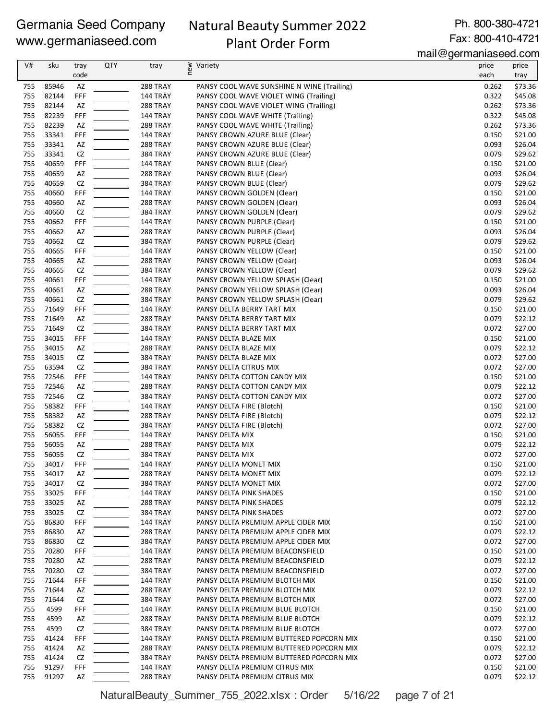# Natural Beauty Summer 2022 Plant Order Form

Ph. 800-380-4721 Fax: 800-410-4721

mail@germaniaseed.com

| V#         | sku            | tray       | <b>QTY</b> | tray                        | ≥ Variety<br>E                                                              | price          | price              |
|------------|----------------|------------|------------|-----------------------------|-----------------------------------------------------------------------------|----------------|--------------------|
|            |                | code       |            |                             |                                                                             | each           | tray               |
| 755        | 85946          | AZ         |            | 288 TRAY                    | PANSY COOL WAVE SUNSHINE N WINE (Trailing)                                  | 0.262          | \$73.36            |
| 755        | 82144          | FFF        |            | 144 TRAY                    | PANSY COOL WAVE VIOLET WING (Trailing)                                      | 0.322          | \$45.08            |
| 755<br>755 | 82144<br>82239 | AZ<br>FFF  |            | 288 TRAY<br>144 TRAY        | PANSY COOL WAVE VIOLET WING (Trailing)<br>PANSY COOL WAVE WHITE (Trailing)  | 0.262<br>0.322 | \$73.36<br>\$45.08 |
| 755        | 82239          | AZ         |            | 288 TRAY                    | PANSY COOL WAVE WHITE (Trailing)                                            | 0.262          | \$73.36            |
| 755        | 33341          | FFF        |            | 144 TRAY                    | PANSY CROWN AZURE BLUE (Clear)                                              | 0.150          | \$21.00            |
| 755        | 33341          | AZ         |            | 288 TRAY                    | PANSY CROWN AZURE BLUE (Clear)                                              | 0.093          | \$26.04            |
| 755        | 33341          | CZ         |            | 384 TRAY                    | PANSY CROWN AZURE BLUE (Clear)                                              | 0.079          | \$29.62            |
| 755        | 40659          | FFF        |            | 144 TRAY                    | PANSY CROWN BLUE (Clear)                                                    | 0.150          | \$21.00            |
| 755        | 40659          | AZ         |            | 288 TRAY                    | PANSY CROWN BLUE (Clear)                                                    | 0.093          | \$26.04            |
| 755        | 40659          | ${\sf CZ}$ |            | 384 TRAY                    | PANSY CROWN BLUE (Clear)                                                    | 0.079          | \$29.62            |
| 755        | 40660          | FFF        |            | 144 TRAY                    | PANSY CROWN GOLDEN (Clear)                                                  | 0.150          | \$21.00            |
| 755<br>755 | 40660<br>40660 | AZ<br>CZ   |            | 288 TRAY<br><b>384 TRAY</b> | PANSY CROWN GOLDEN (Clear)<br>PANSY CROWN GOLDEN (Clear)                    | 0.093<br>0.079 | \$26.04<br>\$29.62 |
| 755        | 40662          | FFF        |            | 144 TRAY                    | PANSY CROWN PURPLE (Clear)                                                  | 0.150          | \$21.00            |
| 755        | 40662          | AZ         |            | 288 TRAY                    | PANSY CROWN PURPLE (Clear)                                                  | 0.093          | \$26.04            |
| 755        | 40662          | CZ         |            | 384 TRAY                    | PANSY CROWN PURPLE (Clear)                                                  | 0.079          | \$29.62            |
| 755        | 40665          | FFF        |            | 144 TRAY                    | PANSY CROWN YELLOW (Clear)                                                  | 0.150          | \$21.00            |
| 755        | 40665          | AZ         |            | 288 TRAY                    | PANSY CROWN YELLOW (Clear)                                                  | 0.093          | \$26.04            |
| 755        | 40665          | ${\sf CZ}$ |            | 384 TRAY                    | PANSY CROWN YELLOW (Clear)                                                  | 0.079          | \$29.62            |
| 755        | 40661          | FFF        |            | 144 TRAY                    | PANSY CROWN YELLOW SPLASH (Clear)                                           | 0.150          | \$21.00            |
| 755        | 40661          | AZ         |            | 288 TRAY                    | PANSY CROWN YELLOW SPLASH (Clear)                                           | 0.093          | \$26.04            |
| 755        | 40661          | CZ         |            | <b>384 TRAY</b>             | PANSY CROWN YELLOW SPLASH (Clear)                                           | 0.079          | \$29.62            |
| 755        | 71649          | FFF        |            | <b>144 TRAY</b>             | PANSY DELTA BERRY TART MIX                                                  | 0.150          | \$21.00            |
| 755        | 71649          | AZ         |            | 288 TRAY                    | PANSY DELTA BERRY TART MIX                                                  | 0.079          | \$22.12            |
| 755        | 71649          | CZ         |            | 384 TRAY                    | PANSY DELTA BERRY TART MIX                                                  | 0.072          | \$27.00            |
| 755<br>755 | 34015<br>34015 | FFF<br>AZ  |            | 144 TRAY<br>288 TRAY        | PANSY DELTA BLAZE MIX                                                       | 0.150<br>0.079 | \$21.00            |
| 755        | 34015          | CZ         |            | 384 TRAY                    | PANSY DELTA BLAZE MIX<br>PANSY DELTA BLAZE MIX                              | 0.072          | \$22.12<br>\$27.00 |
| 755        | 63594          | CZ         |            | <b>384 TRAY</b>             | PANSY DELTA CITRUS MIX                                                      | 0.072          | \$27.00            |
| 755        | 72546          | FFF        |            | <b>144 TRAY</b>             | PANSY DELTA COTTON CANDY MIX                                                | 0.150          | \$21.00            |
| 755        | 72546          | AZ         |            | 288 TRAY                    | PANSY DELTA COTTON CANDY MIX                                                | 0.079          | \$22.12            |
| 755        | 72546          | CZ         |            | <b>384 TRAY</b>             | PANSY DELTA COTTON CANDY MIX                                                | 0.072          | \$27.00            |
| 755        | 58382          | FFF        |            | <b>144 TRAY</b>             | PANSY DELTA FIRE (Blotch)                                                   | 0.150          | \$21.00            |
| 755        | 58382          | AZ         |            | 288 TRAY                    | PANSY DELTA FIRE (Blotch)                                                   | 0.079          | \$22.12            |
| 755        | 58382          | CZ         |            | <b>384 TRAY</b>             | PANSY DELTA FIRE (Blotch)                                                   | 0.072          | \$27.00            |
| 755        | 56055          | FFF        |            | 144 TRAY                    | PANSY DELTA MIX                                                             | 0.150          | \$21.00            |
| 755        | 56055          | AZ         |            | 288 TRAY                    | PANSY DELTA MIX                                                             | 0.079          | \$22.12            |
| 755        | 56055          | CZ         |            | <b>384 TRAY</b>             | PANSY DELTA MIX                                                             | 0.072          | \$27.00            |
| 755        | 34017          | FFF        |            | <b>144 TRAY</b>             | PANSY DELTA MONET MIX                                                       | 0.150          | \$21.00            |
| 755        | 34017          | AZ         |            | 288 TRAY                    | PANSY DELTA MONET MIX                                                       | 0.079          | \$22.12            |
| 755<br>755 | 34017<br>33025 | CZ<br>FFF  |            | <b>384 TRAY</b><br>144 TRAY | PANSY DELTA MONET MIX<br>PANSY DELTA PINK SHADES                            | 0.072<br>0.150 | \$27.00<br>\$21.00 |
| 755        | 33025          | AZ         |            | 288 TRAY                    | PANSY DELTA PINK SHADES                                                     | 0.079          | \$22.12            |
| 755        | 33025          | CZ         |            | <b>384 TRAY</b>             | PANSY DELTA PINK SHADES                                                     | 0.072          | \$27.00            |
| 755        | 86830          | FFF        |            | <b>144 TRAY</b>             | PANSY DELTA PREMIUM APPLE CIDER MIX                                         | 0.150          | \$21.00            |
| 755        | 86830          | AZ         |            | 288 TRAY                    | PANSY DELTA PREMIUM APPLE CIDER MIX                                         | 0.079          | \$22.12            |
| 755        | 86830          | CZ         |            | <b>384 TRAY</b>             | PANSY DELTA PREMIUM APPLE CIDER MIX                                         | 0.072          | \$27.00            |
| 755        | 70280          | FFF        |            | 144 TRAY                    | PANSY DELTA PREMIUM BEACONSFIELD                                            | 0.150          | \$21.00            |
| 755        | 70280          | AZ         |            | 288 TRAY                    | PANSY DELTA PREMIUM BEACONSFIELD                                            | 0.079          | \$22.12            |
| 755        | 70280          | CZ         |            | <b>384 TRAY</b>             | PANSY DELTA PREMIUM BEACONSFIELD                                            | 0.072          | \$27.00            |
| 755        | 71644          | FFF        |            | 144 TRAY                    | PANSY DELTA PREMIUM BLOTCH MIX                                              | 0.150          | \$21.00            |
| 755        | 71644          | AZ         |            | 288 TRAY                    | PANSY DELTA PREMIUM BLOTCH MIX                                              | 0.079          | \$22.12            |
| 755        | 71644          | CZ         |            | <b>384 TRAY</b>             | PANSY DELTA PREMIUM BLOTCH MIX                                              | 0.072          | \$27.00            |
| 755        | 4599           | FFF        |            | 144 TRAY                    | PANSY DELTA PREMIUM BLUE BLOTCH                                             | 0.150          | \$21.00            |
| 755        | 4599           | AZ         |            | <b>288 TRAY</b>             | PANSY DELTA PREMIUM BLUE BLOTCH                                             | 0.079          | \$22.12            |
| 755<br>755 | 4599<br>41424  | CZ<br>FFF  |            | <b>384 TRAY</b><br>144 TRAY | PANSY DELTA PREMIUM BLUE BLOTCH<br>PANSY DELTA PREMIUM BUTTERED POPCORN MIX | 0.072<br>0.150 | \$27.00<br>\$21.00 |
| 755        | 41424          | AZ         |            | 288 TRAY                    | PANSY DELTA PREMIUM BUTTERED POPCORN MIX                                    | 0.079          | \$22.12            |
| 755        | 41424          | CZ         |            | <b>384 TRAY</b>             | PANSY DELTA PREMIUM BUTTERED POPCORN MIX                                    | 0.072          | \$27.00            |
| 755        | 91297          | FFF        |            | <b>144 TRAY</b>             | PANSY DELTA PREMIUM CITRUS MIX                                              | 0.150          | \$21.00            |
| 755        | 91297          | AZ         |            | 288 TRAY                    | PANSY DELTA PREMIUM CITRUS MIX                                              | 0.079          | \$22.12            |

NaturalBeauty\_Summer\_755\_2022.xlsx : Order 5/16/22 page 7 of 21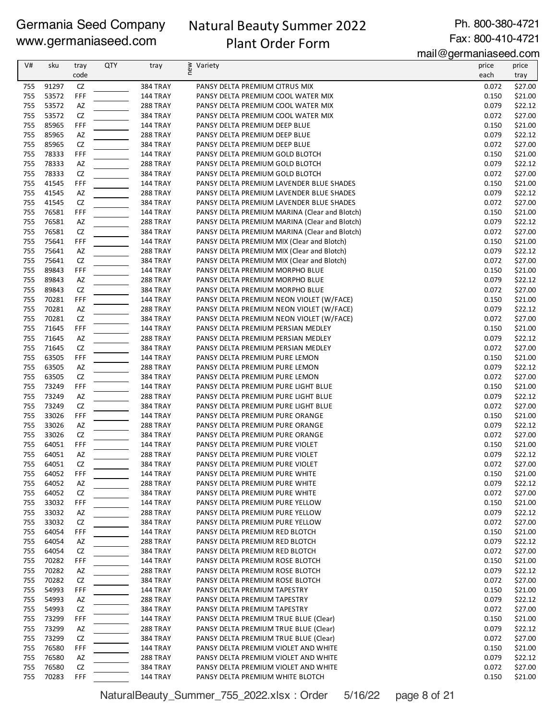# Natural Beauty Summer 2022 Plant Order Form

Ph. 800-380-4721 Fax: 800-410-4721

mail@germaniaseed.com

| tray<br>91297<br>384 TRAY<br>755<br>CZ<br>PANSY DELTA PREMIUM CITRUS MIX<br>0.072<br>\$27.00<br>FFF<br>755<br>53572<br>0.150<br>\$21.00<br>144 TRAY<br>PANSY DELTA PREMIUM COOL WATER MIX<br>755<br>53572<br>AZ<br>0.079<br>\$22.12<br><b>288 TRAY</b><br>PANSY DELTA PREMIUM COOL WATER MIX<br>755<br>53572<br>CZ<br>0.072<br>\$27.00<br><b>384 TRAY</b><br>PANSY DELTA PREMIUM COOL WATER MIX<br>755<br>85965<br>FFF<br>0.150<br>\$21.00<br>144 TRAY<br>PANSY DELTA PREMIUM DEEP BLUE<br>755<br>85965<br>AZ<br>0.079<br>\$22.12<br>288 TRAY<br>PANSY DELTA PREMIUM DEEP BLUE<br>755<br>85965<br>CZ<br>384 TRAY<br>0.072<br>\$27.00<br>PANSY DELTA PREMIUM DEEP BLUE<br>FFF<br>755<br>78333<br>\$21.00<br>144 TRAY<br>PANSY DELTA PREMIUM GOLD BLOTCH<br>0.150<br>755<br>78333<br>0.079<br>\$22.12<br>AZ<br>288 TRAY<br>PANSY DELTA PREMIUM GOLD BLOTCH<br>755<br>78333<br>CZ<br>0.072<br>\$27.00<br><b>384 TRAY</b><br>PANSY DELTA PREMIUM GOLD BLOTCH<br>755<br>41545<br>FFF<br>0.150<br>\$21.00<br>144 TRAY<br>PANSY DELTA PREMIUM LAVENDER BLUE SHADES<br>755<br>41545<br>AZ<br>0.079<br>\$22.12<br>288 TRAY<br>PANSY DELTA PREMIUM LAVENDER BLUE SHADES<br>755<br>41545<br>CZ<br>0.072<br>\$27.00<br><b>384 TRAY</b><br>PANSY DELTA PREMIUM LAVENDER BLUE SHADES<br>755<br>76581<br>FFF<br>144 TRAY<br>PANSY DELTA PREMIUM MARINA (Clear and Blotch)<br>0.150<br>\$21.00<br>755<br>76581<br>AZ<br>0.079<br>\$22.12<br>288 TRAY<br>PANSY DELTA PREMIUM MARINA (Clear and Blotch)<br>CZ<br>755<br>76581<br>0.072<br>\$27.00<br><b>384 TRAY</b><br>PANSY DELTA PREMIUM MARINA (Clear and Blotch)<br>755<br>75641<br>FFF<br>\$21.00<br>144 TRAY<br>PANSY DELTA PREMIUM MIX (Clear and Blotch)<br>0.150<br>755<br>75641<br>AZ<br>288 TRAY<br>0.079<br>\$22.12<br>PANSY DELTA PREMIUM MIX (Clear and Blotch)<br>755<br>75641<br>CZ<br>0.072<br>\$27.00<br>384 TRAY<br>PANSY DELTA PREMIUM MIX (Clear and Blotch)<br>755<br>89843<br>FFF<br>0.150<br>\$21.00<br>144 TRAY<br>PANSY DELTA PREMIUM MORPHO BLUE<br>755<br>89843<br>AZ<br>0.079<br>\$22.12<br>288 TRAY<br>PANSY DELTA PREMIUM MORPHO BLUE<br>755<br>89843<br>CZ<br>0.072<br>\$27.00<br><b>384 TRAY</b><br>PANSY DELTA PREMIUM MORPHO BLUE<br>755<br>70281<br>FFF<br>144 TRAY<br>PANSY DELTA PREMIUM NEON VIOLET (W/FACE)<br>0.150<br>\$21.00<br>755<br>70281<br>AZ<br>0.079<br>\$22.12<br>288 TRAY<br>PANSY DELTA PREMIUM NEON VIOLET (W/FACE)<br>755<br>70281<br>CZ<br>0.072<br>\$27.00<br><b>384 TRAY</b><br>PANSY DELTA PREMIUM NEON VIOLET (W/FACE)<br>755<br>71645<br>FFF<br>\$21.00<br>144 TRAY<br>PANSY DELTA PREMIUM PERSIAN MEDLEY<br>0.150<br>755<br>71645<br>AZ<br>288 TRAY<br>0.079<br>\$22.12<br>PANSY DELTA PREMIUM PERSIAN MEDLEY<br>755<br>71645<br>CZ<br>0.072<br>\$27.00<br><b>384 TRAY</b><br>PANSY DELTA PREMIUM PERSIAN MEDLEY<br>755<br>63505<br>FFF<br>0.150<br>\$21.00<br>144 TRAY<br>PANSY DELTA PREMIUM PURE LEMON<br>755<br>63505<br>AZ<br>0.079<br>\$22.12<br>288 TRAY<br>PANSY DELTA PREMIUM PURE LEMON<br>755<br>63505<br>CZ<br>0.072<br>\$27.00<br><b>384 TRAY</b><br>PANSY DELTA PREMIUM PURE LEMON<br>755<br>73249<br>FFF<br>\$21.00<br>144 TRAY<br>PANSY DELTA PREMIUM PURE LIGHT BLUE<br>0.150<br>755<br>73249<br>AZ<br>0.079<br>\$22.12<br>288 TRAY<br>PANSY DELTA PREMIUM PURE LIGHT BLUE<br>755<br>73249<br>CZ<br><b>384 TRAY</b><br>PANSY DELTA PREMIUM PURE LIGHT BLUE<br>0.072<br>\$27.00<br>755<br>33026<br>FFF<br>\$21.00<br>144 TRAY<br>PANSY DELTA PREMIUM PURE ORANGE<br>0.150<br>755<br>33026<br>0.079<br>\$22.12<br>AZ<br><b>288 TRAY</b><br>PANSY DELTA PREMIUM PURE ORANGE<br>755<br>33026<br>CZ<br>0.072<br>\$27.00<br><b>384 TRAY</b><br>PANSY DELTA PREMIUM PURE ORANGE<br>755<br>64051<br>FFF<br>0.150<br>\$21.00<br>144 TRAY<br>PANSY DELTA PREMIUM PURE VIOLET<br>755<br>AZ<br>64051<br>0.079<br>\$22.12<br>288 TRAY<br>PANSY DELTA PREMIUM PURE VIOLET<br>755<br>64051<br>CZ<br>0.072<br>\$27.00<br>384 TRAY<br>PANSY DELTA PREMIUM PURE VIOLET<br>64052<br>144 TRAY<br>0.150<br>\$21.00<br>755<br>FFF<br>PANSY DELTA PREMIUM PURE WHITE<br>64052<br>0.079<br>\$22.12<br>755<br>AZ<br>288 TRAY<br>PANSY DELTA PREMIUM PURE WHITE<br>755<br>64052<br>CZ<br><b>384 TRAY</b><br>PANSY DELTA PREMIUM PURE WHITE<br>0.072<br>\$27.00<br>755<br>33032<br>FFF<br>144 TRAY<br>0.150<br>\$21.00<br>PANSY DELTA PREMIUM PURE YELLOW<br>0.079<br>\$22.12<br>755<br>33032<br>288 TRAY<br>PANSY DELTA PREMIUM PURE YELLOW<br>AZ<br>33032<br>0.072<br>\$27.00<br>755<br>CZ<br>384 TRAY<br>PANSY DELTA PREMIUM PURE YELLOW<br>755<br>64054<br>FFF<br>144 TRAY<br>0.150<br>\$21.00<br>PANSY DELTA PREMIUM RED BLOTCH<br>64054<br>0.079<br>\$22.12<br>755<br>AZ<br>288 TRAY<br>PANSY DELTA PREMIUM RED BLOTCH<br>755<br>64054<br>CZ<br><b>384 TRAY</b><br>PANSY DELTA PREMIUM RED BLOTCH<br>0.072<br>\$27.00<br>755<br>70282<br>FFF<br>144 TRAY<br>PANSY DELTA PREMIUM ROSE BLOTCH<br>0.150<br>\$21.00<br>70282<br>0.079<br>755<br>AZ<br>288 TRAY<br>\$22.12<br>PANSY DELTA PREMIUM ROSE BLOTCH<br>70282<br>CZ<br>\$27.00<br>755<br><b>384 TRAY</b><br>PANSY DELTA PREMIUM ROSE BLOTCH<br>0.072<br>755<br>54993<br>FFF<br>144 TRAY<br>PANSY DELTA PREMIUM TAPESTRY<br>0.150<br>\$21.00<br>755<br>54993<br>288 TRAY<br>PANSY DELTA PREMIUM TAPESTRY<br>0.079<br>\$22.12<br>AZ<br>54993<br>0.072<br>\$27.00<br>755<br>CZ<br><b>384 TRAY</b><br>PANSY DELTA PREMIUM TAPESTRY<br>73299<br>\$21.00<br>755<br>FFF<br>144 TRAY<br>PANSY DELTA PREMIUM TRUE BLUE (Clear)<br>0.150<br>0.079<br>\$22.12<br>755<br>73299<br>AZ<br>288 TRAY<br>PANSY DELTA PREMIUM TRUE BLUE (Clear)<br>755<br>73299<br>CZ<br><b>384 TRAY</b><br>PANSY DELTA PREMIUM TRUE BLUE (Clear)<br>0.072<br>\$27.00<br>755<br>76580<br>FFF<br>144 TRAY<br>PANSY DELTA PREMIUM VIOLET AND WHITE<br>0.150<br>\$21.00<br>76580<br>0.079<br>\$22.12<br>755<br>AZ<br>288 TRAY<br>PANSY DELTA PREMIUM VIOLET AND WHITE | V# | sku | tray<br>code | QTY | tray | ≥ Variety<br>E | price<br>each | price |
|-------------------------------------------------------------------------------------------------------------------------------------------------------------------------------------------------------------------------------------------------------------------------------------------------------------------------------------------------------------------------------------------------------------------------------------------------------------------------------------------------------------------------------------------------------------------------------------------------------------------------------------------------------------------------------------------------------------------------------------------------------------------------------------------------------------------------------------------------------------------------------------------------------------------------------------------------------------------------------------------------------------------------------------------------------------------------------------------------------------------------------------------------------------------------------------------------------------------------------------------------------------------------------------------------------------------------------------------------------------------------------------------------------------------------------------------------------------------------------------------------------------------------------------------------------------------------------------------------------------------------------------------------------------------------------------------------------------------------------------------------------------------------------------------------------------------------------------------------------------------------------------------------------------------------------------------------------------------------------------------------------------------------------------------------------------------------------------------------------------------------------------------------------------------------------------------------------------------------------------------------------------------------------------------------------------------------------------------------------------------------------------------------------------------------------------------------------------------------------------------------------------------------------------------------------------------------------------------------------------------------------------------------------------------------------------------------------------------------------------------------------------------------------------------------------------------------------------------------------------------------------------------------------------------------------------------------------------------------------------------------------------------------------------------------------------------------------------------------------------------------------------------------------------------------------------------------------------------------------------------------------------------------------------------------------------------------------------------------------------------------------------------------------------------------------------------------------------------------------------------------------------------------------------------------------------------------------------------------------------------------------------------------------------------------------------------------------------------------------------------------------------------------------------------------------------------------------------------------------------------------------------------------------------------------------------------------------------------------------------------------------------------------------------------------------------------------------------------------------------------------------------------------------------------------------------------------------------------------------------------------------------------------------------------------------------------------------------------------------------------------------------------------------------------------------------------------------------------------------------------------------------------------------------------------------------------------------------------------------------------------------------------------------------------------------------------------------------------------------------------------------------------------------------------------------------------------------------------------------------------------------------------------------------------------------------------------------------------------------------------------------------------------------------------------------------------------------------------------------------------------------------------------------------------------------------------------------------------------------------------------------------------------------------------------------------------------------------------------------------------------------------------------------------------------------------------------------------------------------------------------------------------------------------------------------------------------------------------------------------------------------------------------------------------------------------------------------------------------------------------------------------------------------------------------------------------------------------------------------------------------------|----|-----|--------------|-----|------|----------------|---------------|-------|
|                                                                                                                                                                                                                                                                                                                                                                                                                                                                                                                                                                                                                                                                                                                                                                                                                                                                                                                                                                                                                                                                                                                                                                                                                                                                                                                                                                                                                                                                                                                                                                                                                                                                                                                                                                                                                                                                                                                                                                                                                                                                                                                                                                                                                                                                                                                                                                                                                                                                                                                                                                                                                                                                                                                                                                                                                                                                                                                                                                                                                                                                                                                                                                                                                                                                                                                                                                                                                                                                                                                                                                                                                                                                                                                                                                                                                                                                                                                                                                                                                                                                                                                                                                                                                                                                                                                                                                                                                                                                                                                                                                                                                                                                                                                                                                                                                                                                                                                                                                                                                                                                                                                                                                                                                                                                                                                                                                                                                                                                                                                                                                                                                                                                                                                                                                                                                                                                               |    |     |              |     |      |                |               |       |
|                                                                                                                                                                                                                                                                                                                                                                                                                                                                                                                                                                                                                                                                                                                                                                                                                                                                                                                                                                                                                                                                                                                                                                                                                                                                                                                                                                                                                                                                                                                                                                                                                                                                                                                                                                                                                                                                                                                                                                                                                                                                                                                                                                                                                                                                                                                                                                                                                                                                                                                                                                                                                                                                                                                                                                                                                                                                                                                                                                                                                                                                                                                                                                                                                                                                                                                                                                                                                                                                                                                                                                                                                                                                                                                                                                                                                                                                                                                                                                                                                                                                                                                                                                                                                                                                                                                                                                                                                                                                                                                                                                                                                                                                                                                                                                                                                                                                                                                                                                                                                                                                                                                                                                                                                                                                                                                                                                                                                                                                                                                                                                                                                                                                                                                                                                                                                                                                               |    |     |              |     |      |                |               |       |
|                                                                                                                                                                                                                                                                                                                                                                                                                                                                                                                                                                                                                                                                                                                                                                                                                                                                                                                                                                                                                                                                                                                                                                                                                                                                                                                                                                                                                                                                                                                                                                                                                                                                                                                                                                                                                                                                                                                                                                                                                                                                                                                                                                                                                                                                                                                                                                                                                                                                                                                                                                                                                                                                                                                                                                                                                                                                                                                                                                                                                                                                                                                                                                                                                                                                                                                                                                                                                                                                                                                                                                                                                                                                                                                                                                                                                                                                                                                                                                                                                                                                                                                                                                                                                                                                                                                                                                                                                                                                                                                                                                                                                                                                                                                                                                                                                                                                                                                                                                                                                                                                                                                                                                                                                                                                                                                                                                                                                                                                                                                                                                                                                                                                                                                                                                                                                                                                               |    |     |              |     |      |                |               |       |
|                                                                                                                                                                                                                                                                                                                                                                                                                                                                                                                                                                                                                                                                                                                                                                                                                                                                                                                                                                                                                                                                                                                                                                                                                                                                                                                                                                                                                                                                                                                                                                                                                                                                                                                                                                                                                                                                                                                                                                                                                                                                                                                                                                                                                                                                                                                                                                                                                                                                                                                                                                                                                                                                                                                                                                                                                                                                                                                                                                                                                                                                                                                                                                                                                                                                                                                                                                                                                                                                                                                                                                                                                                                                                                                                                                                                                                                                                                                                                                                                                                                                                                                                                                                                                                                                                                                                                                                                                                                                                                                                                                                                                                                                                                                                                                                                                                                                                                                                                                                                                                                                                                                                                                                                                                                                                                                                                                                                                                                                                                                                                                                                                                                                                                                                                                                                                                                                               |    |     |              |     |      |                |               |       |
|                                                                                                                                                                                                                                                                                                                                                                                                                                                                                                                                                                                                                                                                                                                                                                                                                                                                                                                                                                                                                                                                                                                                                                                                                                                                                                                                                                                                                                                                                                                                                                                                                                                                                                                                                                                                                                                                                                                                                                                                                                                                                                                                                                                                                                                                                                                                                                                                                                                                                                                                                                                                                                                                                                                                                                                                                                                                                                                                                                                                                                                                                                                                                                                                                                                                                                                                                                                                                                                                                                                                                                                                                                                                                                                                                                                                                                                                                                                                                                                                                                                                                                                                                                                                                                                                                                                                                                                                                                                                                                                                                                                                                                                                                                                                                                                                                                                                                                                                                                                                                                                                                                                                                                                                                                                                                                                                                                                                                                                                                                                                                                                                                                                                                                                                                                                                                                                                               |    |     |              |     |      |                |               |       |
|                                                                                                                                                                                                                                                                                                                                                                                                                                                                                                                                                                                                                                                                                                                                                                                                                                                                                                                                                                                                                                                                                                                                                                                                                                                                                                                                                                                                                                                                                                                                                                                                                                                                                                                                                                                                                                                                                                                                                                                                                                                                                                                                                                                                                                                                                                                                                                                                                                                                                                                                                                                                                                                                                                                                                                                                                                                                                                                                                                                                                                                                                                                                                                                                                                                                                                                                                                                                                                                                                                                                                                                                                                                                                                                                                                                                                                                                                                                                                                                                                                                                                                                                                                                                                                                                                                                                                                                                                                                                                                                                                                                                                                                                                                                                                                                                                                                                                                                                                                                                                                                                                                                                                                                                                                                                                                                                                                                                                                                                                                                                                                                                                                                                                                                                                                                                                                                                               |    |     |              |     |      |                |               |       |
|                                                                                                                                                                                                                                                                                                                                                                                                                                                                                                                                                                                                                                                                                                                                                                                                                                                                                                                                                                                                                                                                                                                                                                                                                                                                                                                                                                                                                                                                                                                                                                                                                                                                                                                                                                                                                                                                                                                                                                                                                                                                                                                                                                                                                                                                                                                                                                                                                                                                                                                                                                                                                                                                                                                                                                                                                                                                                                                                                                                                                                                                                                                                                                                                                                                                                                                                                                                                                                                                                                                                                                                                                                                                                                                                                                                                                                                                                                                                                                                                                                                                                                                                                                                                                                                                                                                                                                                                                                                                                                                                                                                                                                                                                                                                                                                                                                                                                                                                                                                                                                                                                                                                                                                                                                                                                                                                                                                                                                                                                                                                                                                                                                                                                                                                                                                                                                                                               |    |     |              |     |      |                |               |       |
|                                                                                                                                                                                                                                                                                                                                                                                                                                                                                                                                                                                                                                                                                                                                                                                                                                                                                                                                                                                                                                                                                                                                                                                                                                                                                                                                                                                                                                                                                                                                                                                                                                                                                                                                                                                                                                                                                                                                                                                                                                                                                                                                                                                                                                                                                                                                                                                                                                                                                                                                                                                                                                                                                                                                                                                                                                                                                                                                                                                                                                                                                                                                                                                                                                                                                                                                                                                                                                                                                                                                                                                                                                                                                                                                                                                                                                                                                                                                                                                                                                                                                                                                                                                                                                                                                                                                                                                                                                                                                                                                                                                                                                                                                                                                                                                                                                                                                                                                                                                                                                                                                                                                                                                                                                                                                                                                                                                                                                                                                                                                                                                                                                                                                                                                                                                                                                                                               |    |     |              |     |      |                |               |       |
|                                                                                                                                                                                                                                                                                                                                                                                                                                                                                                                                                                                                                                                                                                                                                                                                                                                                                                                                                                                                                                                                                                                                                                                                                                                                                                                                                                                                                                                                                                                                                                                                                                                                                                                                                                                                                                                                                                                                                                                                                                                                                                                                                                                                                                                                                                                                                                                                                                                                                                                                                                                                                                                                                                                                                                                                                                                                                                                                                                                                                                                                                                                                                                                                                                                                                                                                                                                                                                                                                                                                                                                                                                                                                                                                                                                                                                                                                                                                                                                                                                                                                                                                                                                                                                                                                                                                                                                                                                                                                                                                                                                                                                                                                                                                                                                                                                                                                                                                                                                                                                                                                                                                                                                                                                                                                                                                                                                                                                                                                                                                                                                                                                                                                                                                                                                                                                                                               |    |     |              |     |      |                |               |       |
|                                                                                                                                                                                                                                                                                                                                                                                                                                                                                                                                                                                                                                                                                                                                                                                                                                                                                                                                                                                                                                                                                                                                                                                                                                                                                                                                                                                                                                                                                                                                                                                                                                                                                                                                                                                                                                                                                                                                                                                                                                                                                                                                                                                                                                                                                                                                                                                                                                                                                                                                                                                                                                                                                                                                                                                                                                                                                                                                                                                                                                                                                                                                                                                                                                                                                                                                                                                                                                                                                                                                                                                                                                                                                                                                                                                                                                                                                                                                                                                                                                                                                                                                                                                                                                                                                                                                                                                                                                                                                                                                                                                                                                                                                                                                                                                                                                                                                                                                                                                                                                                                                                                                                                                                                                                                                                                                                                                                                                                                                                                                                                                                                                                                                                                                                                                                                                                                               |    |     |              |     |      |                |               |       |
|                                                                                                                                                                                                                                                                                                                                                                                                                                                                                                                                                                                                                                                                                                                                                                                                                                                                                                                                                                                                                                                                                                                                                                                                                                                                                                                                                                                                                                                                                                                                                                                                                                                                                                                                                                                                                                                                                                                                                                                                                                                                                                                                                                                                                                                                                                                                                                                                                                                                                                                                                                                                                                                                                                                                                                                                                                                                                                                                                                                                                                                                                                                                                                                                                                                                                                                                                                                                                                                                                                                                                                                                                                                                                                                                                                                                                                                                                                                                                                                                                                                                                                                                                                                                                                                                                                                                                                                                                                                                                                                                                                                                                                                                                                                                                                                                                                                                                                                                                                                                                                                                                                                                                                                                                                                                                                                                                                                                                                                                                                                                                                                                                                                                                                                                                                                                                                                                               |    |     |              |     |      |                |               |       |
|                                                                                                                                                                                                                                                                                                                                                                                                                                                                                                                                                                                                                                                                                                                                                                                                                                                                                                                                                                                                                                                                                                                                                                                                                                                                                                                                                                                                                                                                                                                                                                                                                                                                                                                                                                                                                                                                                                                                                                                                                                                                                                                                                                                                                                                                                                                                                                                                                                                                                                                                                                                                                                                                                                                                                                                                                                                                                                                                                                                                                                                                                                                                                                                                                                                                                                                                                                                                                                                                                                                                                                                                                                                                                                                                                                                                                                                                                                                                                                                                                                                                                                                                                                                                                                                                                                                                                                                                                                                                                                                                                                                                                                                                                                                                                                                                                                                                                                                                                                                                                                                                                                                                                                                                                                                                                                                                                                                                                                                                                                                                                                                                                                                                                                                                                                                                                                                                               |    |     |              |     |      |                |               |       |
|                                                                                                                                                                                                                                                                                                                                                                                                                                                                                                                                                                                                                                                                                                                                                                                                                                                                                                                                                                                                                                                                                                                                                                                                                                                                                                                                                                                                                                                                                                                                                                                                                                                                                                                                                                                                                                                                                                                                                                                                                                                                                                                                                                                                                                                                                                                                                                                                                                                                                                                                                                                                                                                                                                                                                                                                                                                                                                                                                                                                                                                                                                                                                                                                                                                                                                                                                                                                                                                                                                                                                                                                                                                                                                                                                                                                                                                                                                                                                                                                                                                                                                                                                                                                                                                                                                                                                                                                                                                                                                                                                                                                                                                                                                                                                                                                                                                                                                                                                                                                                                                                                                                                                                                                                                                                                                                                                                                                                                                                                                                                                                                                                                                                                                                                                                                                                                                                               |    |     |              |     |      |                |               |       |
|                                                                                                                                                                                                                                                                                                                                                                                                                                                                                                                                                                                                                                                                                                                                                                                                                                                                                                                                                                                                                                                                                                                                                                                                                                                                                                                                                                                                                                                                                                                                                                                                                                                                                                                                                                                                                                                                                                                                                                                                                                                                                                                                                                                                                                                                                                                                                                                                                                                                                                                                                                                                                                                                                                                                                                                                                                                                                                                                                                                                                                                                                                                                                                                                                                                                                                                                                                                                                                                                                                                                                                                                                                                                                                                                                                                                                                                                                                                                                                                                                                                                                                                                                                                                                                                                                                                                                                                                                                                                                                                                                                                                                                                                                                                                                                                                                                                                                                                                                                                                                                                                                                                                                                                                                                                                                                                                                                                                                                                                                                                                                                                                                                                                                                                                                                                                                                                                               |    |     |              |     |      |                |               |       |
|                                                                                                                                                                                                                                                                                                                                                                                                                                                                                                                                                                                                                                                                                                                                                                                                                                                                                                                                                                                                                                                                                                                                                                                                                                                                                                                                                                                                                                                                                                                                                                                                                                                                                                                                                                                                                                                                                                                                                                                                                                                                                                                                                                                                                                                                                                                                                                                                                                                                                                                                                                                                                                                                                                                                                                                                                                                                                                                                                                                                                                                                                                                                                                                                                                                                                                                                                                                                                                                                                                                                                                                                                                                                                                                                                                                                                                                                                                                                                                                                                                                                                                                                                                                                                                                                                                                                                                                                                                                                                                                                                                                                                                                                                                                                                                                                                                                                                                                                                                                                                                                                                                                                                                                                                                                                                                                                                                                                                                                                                                                                                                                                                                                                                                                                                                                                                                                                               |    |     |              |     |      |                |               |       |
|                                                                                                                                                                                                                                                                                                                                                                                                                                                                                                                                                                                                                                                                                                                                                                                                                                                                                                                                                                                                                                                                                                                                                                                                                                                                                                                                                                                                                                                                                                                                                                                                                                                                                                                                                                                                                                                                                                                                                                                                                                                                                                                                                                                                                                                                                                                                                                                                                                                                                                                                                                                                                                                                                                                                                                                                                                                                                                                                                                                                                                                                                                                                                                                                                                                                                                                                                                                                                                                                                                                                                                                                                                                                                                                                                                                                                                                                                                                                                                                                                                                                                                                                                                                                                                                                                                                                                                                                                                                                                                                                                                                                                                                                                                                                                                                                                                                                                                                                                                                                                                                                                                                                                                                                                                                                                                                                                                                                                                                                                                                                                                                                                                                                                                                                                                                                                                                                               |    |     |              |     |      |                |               |       |
|                                                                                                                                                                                                                                                                                                                                                                                                                                                                                                                                                                                                                                                                                                                                                                                                                                                                                                                                                                                                                                                                                                                                                                                                                                                                                                                                                                                                                                                                                                                                                                                                                                                                                                                                                                                                                                                                                                                                                                                                                                                                                                                                                                                                                                                                                                                                                                                                                                                                                                                                                                                                                                                                                                                                                                                                                                                                                                                                                                                                                                                                                                                                                                                                                                                                                                                                                                                                                                                                                                                                                                                                                                                                                                                                                                                                                                                                                                                                                                                                                                                                                                                                                                                                                                                                                                                                                                                                                                                                                                                                                                                                                                                                                                                                                                                                                                                                                                                                                                                                                                                                                                                                                                                                                                                                                                                                                                                                                                                                                                                                                                                                                                                                                                                                                                                                                                                                               |    |     |              |     |      |                |               |       |
|                                                                                                                                                                                                                                                                                                                                                                                                                                                                                                                                                                                                                                                                                                                                                                                                                                                                                                                                                                                                                                                                                                                                                                                                                                                                                                                                                                                                                                                                                                                                                                                                                                                                                                                                                                                                                                                                                                                                                                                                                                                                                                                                                                                                                                                                                                                                                                                                                                                                                                                                                                                                                                                                                                                                                                                                                                                                                                                                                                                                                                                                                                                                                                                                                                                                                                                                                                                                                                                                                                                                                                                                                                                                                                                                                                                                                                                                                                                                                                                                                                                                                                                                                                                                                                                                                                                                                                                                                                                                                                                                                                                                                                                                                                                                                                                                                                                                                                                                                                                                                                                                                                                                                                                                                                                                                                                                                                                                                                                                                                                                                                                                                                                                                                                                                                                                                                                                               |    |     |              |     |      |                |               |       |
|                                                                                                                                                                                                                                                                                                                                                                                                                                                                                                                                                                                                                                                                                                                                                                                                                                                                                                                                                                                                                                                                                                                                                                                                                                                                                                                                                                                                                                                                                                                                                                                                                                                                                                                                                                                                                                                                                                                                                                                                                                                                                                                                                                                                                                                                                                                                                                                                                                                                                                                                                                                                                                                                                                                                                                                                                                                                                                                                                                                                                                                                                                                                                                                                                                                                                                                                                                                                                                                                                                                                                                                                                                                                                                                                                                                                                                                                                                                                                                                                                                                                                                                                                                                                                                                                                                                                                                                                                                                                                                                                                                                                                                                                                                                                                                                                                                                                                                                                                                                                                                                                                                                                                                                                                                                                                                                                                                                                                                                                                                                                                                                                                                                                                                                                                                                                                                                                               |    |     |              |     |      |                |               |       |
|                                                                                                                                                                                                                                                                                                                                                                                                                                                                                                                                                                                                                                                                                                                                                                                                                                                                                                                                                                                                                                                                                                                                                                                                                                                                                                                                                                                                                                                                                                                                                                                                                                                                                                                                                                                                                                                                                                                                                                                                                                                                                                                                                                                                                                                                                                                                                                                                                                                                                                                                                                                                                                                                                                                                                                                                                                                                                                                                                                                                                                                                                                                                                                                                                                                                                                                                                                                                                                                                                                                                                                                                                                                                                                                                                                                                                                                                                                                                                                                                                                                                                                                                                                                                                                                                                                                                                                                                                                                                                                                                                                                                                                                                                                                                                                                                                                                                                                                                                                                                                                                                                                                                                                                                                                                                                                                                                                                                                                                                                                                                                                                                                                                                                                                                                                                                                                                                               |    |     |              |     |      |                |               |       |
|                                                                                                                                                                                                                                                                                                                                                                                                                                                                                                                                                                                                                                                                                                                                                                                                                                                                                                                                                                                                                                                                                                                                                                                                                                                                                                                                                                                                                                                                                                                                                                                                                                                                                                                                                                                                                                                                                                                                                                                                                                                                                                                                                                                                                                                                                                                                                                                                                                                                                                                                                                                                                                                                                                                                                                                                                                                                                                                                                                                                                                                                                                                                                                                                                                                                                                                                                                                                                                                                                                                                                                                                                                                                                                                                                                                                                                                                                                                                                                                                                                                                                                                                                                                                                                                                                                                                                                                                                                                                                                                                                                                                                                                                                                                                                                                                                                                                                                                                                                                                                                                                                                                                                                                                                                                                                                                                                                                                                                                                                                                                                                                                                                                                                                                                                                                                                                                                               |    |     |              |     |      |                |               |       |
|                                                                                                                                                                                                                                                                                                                                                                                                                                                                                                                                                                                                                                                                                                                                                                                                                                                                                                                                                                                                                                                                                                                                                                                                                                                                                                                                                                                                                                                                                                                                                                                                                                                                                                                                                                                                                                                                                                                                                                                                                                                                                                                                                                                                                                                                                                                                                                                                                                                                                                                                                                                                                                                                                                                                                                                                                                                                                                                                                                                                                                                                                                                                                                                                                                                                                                                                                                                                                                                                                                                                                                                                                                                                                                                                                                                                                                                                                                                                                                                                                                                                                                                                                                                                                                                                                                                                                                                                                                                                                                                                                                                                                                                                                                                                                                                                                                                                                                                                                                                                                                                                                                                                                                                                                                                                                                                                                                                                                                                                                                                                                                                                                                                                                                                                                                                                                                                                               |    |     |              |     |      |                |               |       |
|                                                                                                                                                                                                                                                                                                                                                                                                                                                                                                                                                                                                                                                                                                                                                                                                                                                                                                                                                                                                                                                                                                                                                                                                                                                                                                                                                                                                                                                                                                                                                                                                                                                                                                                                                                                                                                                                                                                                                                                                                                                                                                                                                                                                                                                                                                                                                                                                                                                                                                                                                                                                                                                                                                                                                                                                                                                                                                                                                                                                                                                                                                                                                                                                                                                                                                                                                                                                                                                                                                                                                                                                                                                                                                                                                                                                                                                                                                                                                                                                                                                                                                                                                                                                                                                                                                                                                                                                                                                                                                                                                                                                                                                                                                                                                                                                                                                                                                                                                                                                                                                                                                                                                                                                                                                                                                                                                                                                                                                                                                                                                                                                                                                                                                                                                                                                                                                                               |    |     |              |     |      |                |               |       |
|                                                                                                                                                                                                                                                                                                                                                                                                                                                                                                                                                                                                                                                                                                                                                                                                                                                                                                                                                                                                                                                                                                                                                                                                                                                                                                                                                                                                                                                                                                                                                                                                                                                                                                                                                                                                                                                                                                                                                                                                                                                                                                                                                                                                                                                                                                                                                                                                                                                                                                                                                                                                                                                                                                                                                                                                                                                                                                                                                                                                                                                                                                                                                                                                                                                                                                                                                                                                                                                                                                                                                                                                                                                                                                                                                                                                                                                                                                                                                                                                                                                                                                                                                                                                                                                                                                                                                                                                                                                                                                                                                                                                                                                                                                                                                                                                                                                                                                                                                                                                                                                                                                                                                                                                                                                                                                                                                                                                                                                                                                                                                                                                                                                                                                                                                                                                                                                                               |    |     |              |     |      |                |               |       |
|                                                                                                                                                                                                                                                                                                                                                                                                                                                                                                                                                                                                                                                                                                                                                                                                                                                                                                                                                                                                                                                                                                                                                                                                                                                                                                                                                                                                                                                                                                                                                                                                                                                                                                                                                                                                                                                                                                                                                                                                                                                                                                                                                                                                                                                                                                                                                                                                                                                                                                                                                                                                                                                                                                                                                                                                                                                                                                                                                                                                                                                                                                                                                                                                                                                                                                                                                                                                                                                                                                                                                                                                                                                                                                                                                                                                                                                                                                                                                                                                                                                                                                                                                                                                                                                                                                                                                                                                                                                                                                                                                                                                                                                                                                                                                                                                                                                                                                                                                                                                                                                                                                                                                                                                                                                                                                                                                                                                                                                                                                                                                                                                                                                                                                                                                                                                                                                                               |    |     |              |     |      |                |               |       |
|                                                                                                                                                                                                                                                                                                                                                                                                                                                                                                                                                                                                                                                                                                                                                                                                                                                                                                                                                                                                                                                                                                                                                                                                                                                                                                                                                                                                                                                                                                                                                                                                                                                                                                                                                                                                                                                                                                                                                                                                                                                                                                                                                                                                                                                                                                                                                                                                                                                                                                                                                                                                                                                                                                                                                                                                                                                                                                                                                                                                                                                                                                                                                                                                                                                                                                                                                                                                                                                                                                                                                                                                                                                                                                                                                                                                                                                                                                                                                                                                                                                                                                                                                                                                                                                                                                                                                                                                                                                                                                                                                                                                                                                                                                                                                                                                                                                                                                                                                                                                                                                                                                                                                                                                                                                                                                                                                                                                                                                                                                                                                                                                                                                                                                                                                                                                                                                                               |    |     |              |     |      |                |               |       |
|                                                                                                                                                                                                                                                                                                                                                                                                                                                                                                                                                                                                                                                                                                                                                                                                                                                                                                                                                                                                                                                                                                                                                                                                                                                                                                                                                                                                                                                                                                                                                                                                                                                                                                                                                                                                                                                                                                                                                                                                                                                                                                                                                                                                                                                                                                                                                                                                                                                                                                                                                                                                                                                                                                                                                                                                                                                                                                                                                                                                                                                                                                                                                                                                                                                                                                                                                                                                                                                                                                                                                                                                                                                                                                                                                                                                                                                                                                                                                                                                                                                                                                                                                                                                                                                                                                                                                                                                                                                                                                                                                                                                                                                                                                                                                                                                                                                                                                                                                                                                                                                                                                                                                                                                                                                                                                                                                                                                                                                                                                                                                                                                                                                                                                                                                                                                                                                                               |    |     |              |     |      |                |               |       |
|                                                                                                                                                                                                                                                                                                                                                                                                                                                                                                                                                                                                                                                                                                                                                                                                                                                                                                                                                                                                                                                                                                                                                                                                                                                                                                                                                                                                                                                                                                                                                                                                                                                                                                                                                                                                                                                                                                                                                                                                                                                                                                                                                                                                                                                                                                                                                                                                                                                                                                                                                                                                                                                                                                                                                                                                                                                                                                                                                                                                                                                                                                                                                                                                                                                                                                                                                                                                                                                                                                                                                                                                                                                                                                                                                                                                                                                                                                                                                                                                                                                                                                                                                                                                                                                                                                                                                                                                                                                                                                                                                                                                                                                                                                                                                                                                                                                                                                                                                                                                                                                                                                                                                                                                                                                                                                                                                                                                                                                                                                                                                                                                                                                                                                                                                                                                                                                                               |    |     |              |     |      |                |               |       |
|                                                                                                                                                                                                                                                                                                                                                                                                                                                                                                                                                                                                                                                                                                                                                                                                                                                                                                                                                                                                                                                                                                                                                                                                                                                                                                                                                                                                                                                                                                                                                                                                                                                                                                                                                                                                                                                                                                                                                                                                                                                                                                                                                                                                                                                                                                                                                                                                                                                                                                                                                                                                                                                                                                                                                                                                                                                                                                                                                                                                                                                                                                                                                                                                                                                                                                                                                                                                                                                                                                                                                                                                                                                                                                                                                                                                                                                                                                                                                                                                                                                                                                                                                                                                                                                                                                                                                                                                                                                                                                                                                                                                                                                                                                                                                                                                                                                                                                                                                                                                                                                                                                                                                                                                                                                                                                                                                                                                                                                                                                                                                                                                                                                                                                                                                                                                                                                                               |    |     |              |     |      |                |               |       |
|                                                                                                                                                                                                                                                                                                                                                                                                                                                                                                                                                                                                                                                                                                                                                                                                                                                                                                                                                                                                                                                                                                                                                                                                                                                                                                                                                                                                                                                                                                                                                                                                                                                                                                                                                                                                                                                                                                                                                                                                                                                                                                                                                                                                                                                                                                                                                                                                                                                                                                                                                                                                                                                                                                                                                                                                                                                                                                                                                                                                                                                                                                                                                                                                                                                                                                                                                                                                                                                                                                                                                                                                                                                                                                                                                                                                                                                                                                                                                                                                                                                                                                                                                                                                                                                                                                                                                                                                                                                                                                                                                                                                                                                                                                                                                                                                                                                                                                                                                                                                                                                                                                                                                                                                                                                                                                                                                                                                                                                                                                                                                                                                                                                                                                                                                                                                                                                                               |    |     |              |     |      |                |               |       |
|                                                                                                                                                                                                                                                                                                                                                                                                                                                                                                                                                                                                                                                                                                                                                                                                                                                                                                                                                                                                                                                                                                                                                                                                                                                                                                                                                                                                                                                                                                                                                                                                                                                                                                                                                                                                                                                                                                                                                                                                                                                                                                                                                                                                                                                                                                                                                                                                                                                                                                                                                                                                                                                                                                                                                                                                                                                                                                                                                                                                                                                                                                                                                                                                                                                                                                                                                                                                                                                                                                                                                                                                                                                                                                                                                                                                                                                                                                                                                                                                                                                                                                                                                                                                                                                                                                                                                                                                                                                                                                                                                                                                                                                                                                                                                                                                                                                                                                                                                                                                                                                                                                                                                                                                                                                                                                                                                                                                                                                                                                                                                                                                                                                                                                                                                                                                                                                                               |    |     |              |     |      |                |               |       |
|                                                                                                                                                                                                                                                                                                                                                                                                                                                                                                                                                                                                                                                                                                                                                                                                                                                                                                                                                                                                                                                                                                                                                                                                                                                                                                                                                                                                                                                                                                                                                                                                                                                                                                                                                                                                                                                                                                                                                                                                                                                                                                                                                                                                                                                                                                                                                                                                                                                                                                                                                                                                                                                                                                                                                                                                                                                                                                                                                                                                                                                                                                                                                                                                                                                                                                                                                                                                                                                                                                                                                                                                                                                                                                                                                                                                                                                                                                                                                                                                                                                                                                                                                                                                                                                                                                                                                                                                                                                                                                                                                                                                                                                                                                                                                                                                                                                                                                                                                                                                                                                                                                                                                                                                                                                                                                                                                                                                                                                                                                                                                                                                                                                                                                                                                                                                                                                                               |    |     |              |     |      |                |               |       |
|                                                                                                                                                                                                                                                                                                                                                                                                                                                                                                                                                                                                                                                                                                                                                                                                                                                                                                                                                                                                                                                                                                                                                                                                                                                                                                                                                                                                                                                                                                                                                                                                                                                                                                                                                                                                                                                                                                                                                                                                                                                                                                                                                                                                                                                                                                                                                                                                                                                                                                                                                                                                                                                                                                                                                                                                                                                                                                                                                                                                                                                                                                                                                                                                                                                                                                                                                                                                                                                                                                                                                                                                                                                                                                                                                                                                                                                                                                                                                                                                                                                                                                                                                                                                                                                                                                                                                                                                                                                                                                                                                                                                                                                                                                                                                                                                                                                                                                                                                                                                                                                                                                                                                                                                                                                                                                                                                                                                                                                                                                                                                                                                                                                                                                                                                                                                                                                                               |    |     |              |     |      |                |               |       |
|                                                                                                                                                                                                                                                                                                                                                                                                                                                                                                                                                                                                                                                                                                                                                                                                                                                                                                                                                                                                                                                                                                                                                                                                                                                                                                                                                                                                                                                                                                                                                                                                                                                                                                                                                                                                                                                                                                                                                                                                                                                                                                                                                                                                                                                                                                                                                                                                                                                                                                                                                                                                                                                                                                                                                                                                                                                                                                                                                                                                                                                                                                                                                                                                                                                                                                                                                                                                                                                                                                                                                                                                                                                                                                                                                                                                                                                                                                                                                                                                                                                                                                                                                                                                                                                                                                                                                                                                                                                                                                                                                                                                                                                                                                                                                                                                                                                                                                                                                                                                                                                                                                                                                                                                                                                                                                                                                                                                                                                                                                                                                                                                                                                                                                                                                                                                                                                                               |    |     |              |     |      |                |               |       |
|                                                                                                                                                                                                                                                                                                                                                                                                                                                                                                                                                                                                                                                                                                                                                                                                                                                                                                                                                                                                                                                                                                                                                                                                                                                                                                                                                                                                                                                                                                                                                                                                                                                                                                                                                                                                                                                                                                                                                                                                                                                                                                                                                                                                                                                                                                                                                                                                                                                                                                                                                                                                                                                                                                                                                                                                                                                                                                                                                                                                                                                                                                                                                                                                                                                                                                                                                                                                                                                                                                                                                                                                                                                                                                                                                                                                                                                                                                                                                                                                                                                                                                                                                                                                                                                                                                                                                                                                                                                                                                                                                                                                                                                                                                                                                                                                                                                                                                                                                                                                                                                                                                                                                                                                                                                                                                                                                                                                                                                                                                                                                                                                                                                                                                                                                                                                                                                                               |    |     |              |     |      |                |               |       |
|                                                                                                                                                                                                                                                                                                                                                                                                                                                                                                                                                                                                                                                                                                                                                                                                                                                                                                                                                                                                                                                                                                                                                                                                                                                                                                                                                                                                                                                                                                                                                                                                                                                                                                                                                                                                                                                                                                                                                                                                                                                                                                                                                                                                                                                                                                                                                                                                                                                                                                                                                                                                                                                                                                                                                                                                                                                                                                                                                                                                                                                                                                                                                                                                                                                                                                                                                                                                                                                                                                                                                                                                                                                                                                                                                                                                                                                                                                                                                                                                                                                                                                                                                                                                                                                                                                                                                                                                                                                                                                                                                                                                                                                                                                                                                                                                                                                                                                                                                                                                                                                                                                                                                                                                                                                                                                                                                                                                                                                                                                                                                                                                                                                                                                                                                                                                                                                                               |    |     |              |     |      |                |               |       |
|                                                                                                                                                                                                                                                                                                                                                                                                                                                                                                                                                                                                                                                                                                                                                                                                                                                                                                                                                                                                                                                                                                                                                                                                                                                                                                                                                                                                                                                                                                                                                                                                                                                                                                                                                                                                                                                                                                                                                                                                                                                                                                                                                                                                                                                                                                                                                                                                                                                                                                                                                                                                                                                                                                                                                                                                                                                                                                                                                                                                                                                                                                                                                                                                                                                                                                                                                                                                                                                                                                                                                                                                                                                                                                                                                                                                                                                                                                                                                                                                                                                                                                                                                                                                                                                                                                                                                                                                                                                                                                                                                                                                                                                                                                                                                                                                                                                                                                                                                                                                                                                                                                                                                                                                                                                                                                                                                                                                                                                                                                                                                                                                                                                                                                                                                                                                                                                                               |    |     |              |     |      |                |               |       |
|                                                                                                                                                                                                                                                                                                                                                                                                                                                                                                                                                                                                                                                                                                                                                                                                                                                                                                                                                                                                                                                                                                                                                                                                                                                                                                                                                                                                                                                                                                                                                                                                                                                                                                                                                                                                                                                                                                                                                                                                                                                                                                                                                                                                                                                                                                                                                                                                                                                                                                                                                                                                                                                                                                                                                                                                                                                                                                                                                                                                                                                                                                                                                                                                                                                                                                                                                                                                                                                                                                                                                                                                                                                                                                                                                                                                                                                                                                                                                                                                                                                                                                                                                                                                                                                                                                                                                                                                                                                                                                                                                                                                                                                                                                                                                                                                                                                                                                                                                                                                                                                                                                                                                                                                                                                                                                                                                                                                                                                                                                                                                                                                                                                                                                                                                                                                                                                                               |    |     |              |     |      |                |               |       |
|                                                                                                                                                                                                                                                                                                                                                                                                                                                                                                                                                                                                                                                                                                                                                                                                                                                                                                                                                                                                                                                                                                                                                                                                                                                                                                                                                                                                                                                                                                                                                                                                                                                                                                                                                                                                                                                                                                                                                                                                                                                                                                                                                                                                                                                                                                                                                                                                                                                                                                                                                                                                                                                                                                                                                                                                                                                                                                                                                                                                                                                                                                                                                                                                                                                                                                                                                                                                                                                                                                                                                                                                                                                                                                                                                                                                                                                                                                                                                                                                                                                                                                                                                                                                                                                                                                                                                                                                                                                                                                                                                                                                                                                                                                                                                                                                                                                                                                                                                                                                                                                                                                                                                                                                                                                                                                                                                                                                                                                                                                                                                                                                                                                                                                                                                                                                                                                                               |    |     |              |     |      |                |               |       |
|                                                                                                                                                                                                                                                                                                                                                                                                                                                                                                                                                                                                                                                                                                                                                                                                                                                                                                                                                                                                                                                                                                                                                                                                                                                                                                                                                                                                                                                                                                                                                                                                                                                                                                                                                                                                                                                                                                                                                                                                                                                                                                                                                                                                                                                                                                                                                                                                                                                                                                                                                                                                                                                                                                                                                                                                                                                                                                                                                                                                                                                                                                                                                                                                                                                                                                                                                                                                                                                                                                                                                                                                                                                                                                                                                                                                                                                                                                                                                                                                                                                                                                                                                                                                                                                                                                                                                                                                                                                                                                                                                                                                                                                                                                                                                                                                                                                                                                                                                                                                                                                                                                                                                                                                                                                                                                                                                                                                                                                                                                                                                                                                                                                                                                                                                                                                                                                                               |    |     |              |     |      |                |               |       |
|                                                                                                                                                                                                                                                                                                                                                                                                                                                                                                                                                                                                                                                                                                                                                                                                                                                                                                                                                                                                                                                                                                                                                                                                                                                                                                                                                                                                                                                                                                                                                                                                                                                                                                                                                                                                                                                                                                                                                                                                                                                                                                                                                                                                                                                                                                                                                                                                                                                                                                                                                                                                                                                                                                                                                                                                                                                                                                                                                                                                                                                                                                                                                                                                                                                                                                                                                                                                                                                                                                                                                                                                                                                                                                                                                                                                                                                                                                                                                                                                                                                                                                                                                                                                                                                                                                                                                                                                                                                                                                                                                                                                                                                                                                                                                                                                                                                                                                                                                                                                                                                                                                                                                                                                                                                                                                                                                                                                                                                                                                                                                                                                                                                                                                                                                                                                                                                                               |    |     |              |     |      |                |               |       |
|                                                                                                                                                                                                                                                                                                                                                                                                                                                                                                                                                                                                                                                                                                                                                                                                                                                                                                                                                                                                                                                                                                                                                                                                                                                                                                                                                                                                                                                                                                                                                                                                                                                                                                                                                                                                                                                                                                                                                                                                                                                                                                                                                                                                                                                                                                                                                                                                                                                                                                                                                                                                                                                                                                                                                                                                                                                                                                                                                                                                                                                                                                                                                                                                                                                                                                                                                                                                                                                                                                                                                                                                                                                                                                                                                                                                                                                                                                                                                                                                                                                                                                                                                                                                                                                                                                                                                                                                                                                                                                                                                                                                                                                                                                                                                                                                                                                                                                                                                                                                                                                                                                                                                                                                                                                                                                                                                                                                                                                                                                                                                                                                                                                                                                                                                                                                                                                                               |    |     |              |     |      |                |               |       |
|                                                                                                                                                                                                                                                                                                                                                                                                                                                                                                                                                                                                                                                                                                                                                                                                                                                                                                                                                                                                                                                                                                                                                                                                                                                                                                                                                                                                                                                                                                                                                                                                                                                                                                                                                                                                                                                                                                                                                                                                                                                                                                                                                                                                                                                                                                                                                                                                                                                                                                                                                                                                                                                                                                                                                                                                                                                                                                                                                                                                                                                                                                                                                                                                                                                                                                                                                                                                                                                                                                                                                                                                                                                                                                                                                                                                                                                                                                                                                                                                                                                                                                                                                                                                                                                                                                                                                                                                                                                                                                                                                                                                                                                                                                                                                                                                                                                                                                                                                                                                                                                                                                                                                                                                                                                                                                                                                                                                                                                                                                                                                                                                                                                                                                                                                                                                                                                                               |    |     |              |     |      |                |               |       |
|                                                                                                                                                                                                                                                                                                                                                                                                                                                                                                                                                                                                                                                                                                                                                                                                                                                                                                                                                                                                                                                                                                                                                                                                                                                                                                                                                                                                                                                                                                                                                                                                                                                                                                                                                                                                                                                                                                                                                                                                                                                                                                                                                                                                                                                                                                                                                                                                                                                                                                                                                                                                                                                                                                                                                                                                                                                                                                                                                                                                                                                                                                                                                                                                                                                                                                                                                                                                                                                                                                                                                                                                                                                                                                                                                                                                                                                                                                                                                                                                                                                                                                                                                                                                                                                                                                                                                                                                                                                                                                                                                                                                                                                                                                                                                                                                                                                                                                                                                                                                                                                                                                                                                                                                                                                                                                                                                                                                                                                                                                                                                                                                                                                                                                                                                                                                                                                                               |    |     |              |     |      |                |               |       |
|                                                                                                                                                                                                                                                                                                                                                                                                                                                                                                                                                                                                                                                                                                                                                                                                                                                                                                                                                                                                                                                                                                                                                                                                                                                                                                                                                                                                                                                                                                                                                                                                                                                                                                                                                                                                                                                                                                                                                                                                                                                                                                                                                                                                                                                                                                                                                                                                                                                                                                                                                                                                                                                                                                                                                                                                                                                                                                                                                                                                                                                                                                                                                                                                                                                                                                                                                                                                                                                                                                                                                                                                                                                                                                                                                                                                                                                                                                                                                                                                                                                                                                                                                                                                                                                                                                                                                                                                                                                                                                                                                                                                                                                                                                                                                                                                                                                                                                                                                                                                                                                                                                                                                                                                                                                                                                                                                                                                                                                                                                                                                                                                                                                                                                                                                                                                                                                                               |    |     |              |     |      |                |               |       |
|                                                                                                                                                                                                                                                                                                                                                                                                                                                                                                                                                                                                                                                                                                                                                                                                                                                                                                                                                                                                                                                                                                                                                                                                                                                                                                                                                                                                                                                                                                                                                                                                                                                                                                                                                                                                                                                                                                                                                                                                                                                                                                                                                                                                                                                                                                                                                                                                                                                                                                                                                                                                                                                                                                                                                                                                                                                                                                                                                                                                                                                                                                                                                                                                                                                                                                                                                                                                                                                                                                                                                                                                                                                                                                                                                                                                                                                                                                                                                                                                                                                                                                                                                                                                                                                                                                                                                                                                                                                                                                                                                                                                                                                                                                                                                                                                                                                                                                                                                                                                                                                                                                                                                                                                                                                                                                                                                                                                                                                                                                                                                                                                                                                                                                                                                                                                                                                                               |    |     |              |     |      |                |               |       |
|                                                                                                                                                                                                                                                                                                                                                                                                                                                                                                                                                                                                                                                                                                                                                                                                                                                                                                                                                                                                                                                                                                                                                                                                                                                                                                                                                                                                                                                                                                                                                                                                                                                                                                                                                                                                                                                                                                                                                                                                                                                                                                                                                                                                                                                                                                                                                                                                                                                                                                                                                                                                                                                                                                                                                                                                                                                                                                                                                                                                                                                                                                                                                                                                                                                                                                                                                                                                                                                                                                                                                                                                                                                                                                                                                                                                                                                                                                                                                                                                                                                                                                                                                                                                                                                                                                                                                                                                                                                                                                                                                                                                                                                                                                                                                                                                                                                                                                                                                                                                                                                                                                                                                                                                                                                                                                                                                                                                                                                                                                                                                                                                                                                                                                                                                                                                                                                                               |    |     |              |     |      |                |               |       |
|                                                                                                                                                                                                                                                                                                                                                                                                                                                                                                                                                                                                                                                                                                                                                                                                                                                                                                                                                                                                                                                                                                                                                                                                                                                                                                                                                                                                                                                                                                                                                                                                                                                                                                                                                                                                                                                                                                                                                                                                                                                                                                                                                                                                                                                                                                                                                                                                                                                                                                                                                                                                                                                                                                                                                                                                                                                                                                                                                                                                                                                                                                                                                                                                                                                                                                                                                                                                                                                                                                                                                                                                                                                                                                                                                                                                                                                                                                                                                                                                                                                                                                                                                                                                                                                                                                                                                                                                                                                                                                                                                                                                                                                                                                                                                                                                                                                                                                                                                                                                                                                                                                                                                                                                                                                                                                                                                                                                                                                                                                                                                                                                                                                                                                                                                                                                                                                                               |    |     |              |     |      |                |               |       |
|                                                                                                                                                                                                                                                                                                                                                                                                                                                                                                                                                                                                                                                                                                                                                                                                                                                                                                                                                                                                                                                                                                                                                                                                                                                                                                                                                                                                                                                                                                                                                                                                                                                                                                                                                                                                                                                                                                                                                                                                                                                                                                                                                                                                                                                                                                                                                                                                                                                                                                                                                                                                                                                                                                                                                                                                                                                                                                                                                                                                                                                                                                                                                                                                                                                                                                                                                                                                                                                                                                                                                                                                                                                                                                                                                                                                                                                                                                                                                                                                                                                                                                                                                                                                                                                                                                                                                                                                                                                                                                                                                                                                                                                                                                                                                                                                                                                                                                                                                                                                                                                                                                                                                                                                                                                                                                                                                                                                                                                                                                                                                                                                                                                                                                                                                                                                                                                                               |    |     |              |     |      |                |               |       |
|                                                                                                                                                                                                                                                                                                                                                                                                                                                                                                                                                                                                                                                                                                                                                                                                                                                                                                                                                                                                                                                                                                                                                                                                                                                                                                                                                                                                                                                                                                                                                                                                                                                                                                                                                                                                                                                                                                                                                                                                                                                                                                                                                                                                                                                                                                                                                                                                                                                                                                                                                                                                                                                                                                                                                                                                                                                                                                                                                                                                                                                                                                                                                                                                                                                                                                                                                                                                                                                                                                                                                                                                                                                                                                                                                                                                                                                                                                                                                                                                                                                                                                                                                                                                                                                                                                                                                                                                                                                                                                                                                                                                                                                                                                                                                                                                                                                                                                                                                                                                                                                                                                                                                                                                                                                                                                                                                                                                                                                                                                                                                                                                                                                                                                                                                                                                                                                                               |    |     |              |     |      |                |               |       |
|                                                                                                                                                                                                                                                                                                                                                                                                                                                                                                                                                                                                                                                                                                                                                                                                                                                                                                                                                                                                                                                                                                                                                                                                                                                                                                                                                                                                                                                                                                                                                                                                                                                                                                                                                                                                                                                                                                                                                                                                                                                                                                                                                                                                                                                                                                                                                                                                                                                                                                                                                                                                                                                                                                                                                                                                                                                                                                                                                                                                                                                                                                                                                                                                                                                                                                                                                                                                                                                                                                                                                                                                                                                                                                                                                                                                                                                                                                                                                                                                                                                                                                                                                                                                                                                                                                                                                                                                                                                                                                                                                                                                                                                                                                                                                                                                                                                                                                                                                                                                                                                                                                                                                                                                                                                                                                                                                                                                                                                                                                                                                                                                                                                                                                                                                                                                                                                                               |    |     |              |     |      |                |               |       |
|                                                                                                                                                                                                                                                                                                                                                                                                                                                                                                                                                                                                                                                                                                                                                                                                                                                                                                                                                                                                                                                                                                                                                                                                                                                                                                                                                                                                                                                                                                                                                                                                                                                                                                                                                                                                                                                                                                                                                                                                                                                                                                                                                                                                                                                                                                                                                                                                                                                                                                                                                                                                                                                                                                                                                                                                                                                                                                                                                                                                                                                                                                                                                                                                                                                                                                                                                                                                                                                                                                                                                                                                                                                                                                                                                                                                                                                                                                                                                                                                                                                                                                                                                                                                                                                                                                                                                                                                                                                                                                                                                                                                                                                                                                                                                                                                                                                                                                                                                                                                                                                                                                                                                                                                                                                                                                                                                                                                                                                                                                                                                                                                                                                                                                                                                                                                                                                                               |    |     |              |     |      |                |               |       |
|                                                                                                                                                                                                                                                                                                                                                                                                                                                                                                                                                                                                                                                                                                                                                                                                                                                                                                                                                                                                                                                                                                                                                                                                                                                                                                                                                                                                                                                                                                                                                                                                                                                                                                                                                                                                                                                                                                                                                                                                                                                                                                                                                                                                                                                                                                                                                                                                                                                                                                                                                                                                                                                                                                                                                                                                                                                                                                                                                                                                                                                                                                                                                                                                                                                                                                                                                                                                                                                                                                                                                                                                                                                                                                                                                                                                                                                                                                                                                                                                                                                                                                                                                                                                                                                                                                                                                                                                                                                                                                                                                                                                                                                                                                                                                                                                                                                                                                                                                                                                                                                                                                                                                                                                                                                                                                                                                                                                                                                                                                                                                                                                                                                                                                                                                                                                                                                                               |    |     |              |     |      |                |               |       |
|                                                                                                                                                                                                                                                                                                                                                                                                                                                                                                                                                                                                                                                                                                                                                                                                                                                                                                                                                                                                                                                                                                                                                                                                                                                                                                                                                                                                                                                                                                                                                                                                                                                                                                                                                                                                                                                                                                                                                                                                                                                                                                                                                                                                                                                                                                                                                                                                                                                                                                                                                                                                                                                                                                                                                                                                                                                                                                                                                                                                                                                                                                                                                                                                                                                                                                                                                                                                                                                                                                                                                                                                                                                                                                                                                                                                                                                                                                                                                                                                                                                                                                                                                                                                                                                                                                                                                                                                                                                                                                                                                                                                                                                                                                                                                                                                                                                                                                                                                                                                                                                                                                                                                                                                                                                                                                                                                                                                                                                                                                                                                                                                                                                                                                                                                                                                                                                                               |    |     |              |     |      |                |               |       |
|                                                                                                                                                                                                                                                                                                                                                                                                                                                                                                                                                                                                                                                                                                                                                                                                                                                                                                                                                                                                                                                                                                                                                                                                                                                                                                                                                                                                                                                                                                                                                                                                                                                                                                                                                                                                                                                                                                                                                                                                                                                                                                                                                                                                                                                                                                                                                                                                                                                                                                                                                                                                                                                                                                                                                                                                                                                                                                                                                                                                                                                                                                                                                                                                                                                                                                                                                                                                                                                                                                                                                                                                                                                                                                                                                                                                                                                                                                                                                                                                                                                                                                                                                                                                                                                                                                                                                                                                                                                                                                                                                                                                                                                                                                                                                                                                                                                                                                                                                                                                                                                                                                                                                                                                                                                                                                                                                                                                                                                                                                                                                                                                                                                                                                                                                                                                                                                                               |    |     |              |     |      |                |               |       |
|                                                                                                                                                                                                                                                                                                                                                                                                                                                                                                                                                                                                                                                                                                                                                                                                                                                                                                                                                                                                                                                                                                                                                                                                                                                                                                                                                                                                                                                                                                                                                                                                                                                                                                                                                                                                                                                                                                                                                                                                                                                                                                                                                                                                                                                                                                                                                                                                                                                                                                                                                                                                                                                                                                                                                                                                                                                                                                                                                                                                                                                                                                                                                                                                                                                                                                                                                                                                                                                                                                                                                                                                                                                                                                                                                                                                                                                                                                                                                                                                                                                                                                                                                                                                                                                                                                                                                                                                                                                                                                                                                                                                                                                                                                                                                                                                                                                                                                                                                                                                                                                                                                                                                                                                                                                                                                                                                                                                                                                                                                                                                                                                                                                                                                                                                                                                                                                                               |    |     |              |     |      |                |               |       |
|                                                                                                                                                                                                                                                                                                                                                                                                                                                                                                                                                                                                                                                                                                                                                                                                                                                                                                                                                                                                                                                                                                                                                                                                                                                                                                                                                                                                                                                                                                                                                                                                                                                                                                                                                                                                                                                                                                                                                                                                                                                                                                                                                                                                                                                                                                                                                                                                                                                                                                                                                                                                                                                                                                                                                                                                                                                                                                                                                                                                                                                                                                                                                                                                                                                                                                                                                                                                                                                                                                                                                                                                                                                                                                                                                                                                                                                                                                                                                                                                                                                                                                                                                                                                                                                                                                                                                                                                                                                                                                                                                                                                                                                                                                                                                                                                                                                                                                                                                                                                                                                                                                                                                                                                                                                                                                                                                                                                                                                                                                                                                                                                                                                                                                                                                                                                                                                                               |    |     |              |     |      |                |               |       |
| 76580<br>CZ<br>0.072<br>\$27.00<br>755<br>384 TRAY<br>PANSY DELTA PREMIUM VIOLET AND WHITE                                                                                                                                                                                                                                                                                                                                                                                                                                                                                                                                                                                                                                                                                                                                                                                                                                                                                                                                                                                                                                                                                                                                                                                                                                                                                                                                                                                                                                                                                                                                                                                                                                                                                                                                                                                                                                                                                                                                                                                                                                                                                                                                                                                                                                                                                                                                                                                                                                                                                                                                                                                                                                                                                                                                                                                                                                                                                                                                                                                                                                                                                                                                                                                                                                                                                                                                                                                                                                                                                                                                                                                                                                                                                                                                                                                                                                                                                                                                                                                                                                                                                                                                                                                                                                                                                                                                                                                                                                                                                                                                                                                                                                                                                                                                                                                                                                                                                                                                                                                                                                                                                                                                                                                                                                                                                                                                                                                                                                                                                                                                                                                                                                                                                                                                                                                    |    |     |              |     |      |                |               |       |
| 70283<br>FFF<br>\$21.00<br>755<br>144 TRAY<br>PANSY DELTA PREMIUM WHITE BLOTCH<br>0.150                                                                                                                                                                                                                                                                                                                                                                                                                                                                                                                                                                                                                                                                                                                                                                                                                                                                                                                                                                                                                                                                                                                                                                                                                                                                                                                                                                                                                                                                                                                                                                                                                                                                                                                                                                                                                                                                                                                                                                                                                                                                                                                                                                                                                                                                                                                                                                                                                                                                                                                                                                                                                                                                                                                                                                                                                                                                                                                                                                                                                                                                                                                                                                                                                                                                                                                                                                                                                                                                                                                                                                                                                                                                                                                                                                                                                                                                                                                                                                                                                                                                                                                                                                                                                                                                                                                                                                                                                                                                                                                                                                                                                                                                                                                                                                                                                                                                                                                                                                                                                                                                                                                                                                                                                                                                                                                                                                                                                                                                                                                                                                                                                                                                                                                                                                                       |    |     |              |     |      |                |               |       |

NaturalBeauty\_Summer\_755\_2022.xlsx : Order 5/16/22 page 8 of 21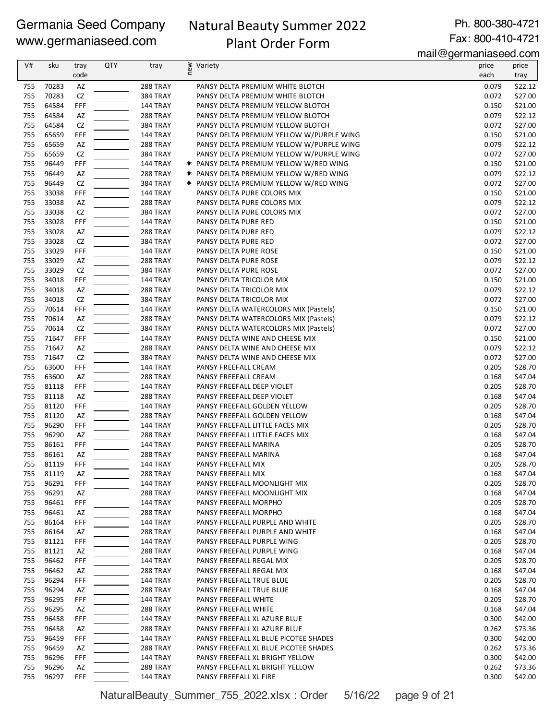# Natural Beauty Summer 2022

Ph. 800-380-4721 Fax: 800-410-4721

Plant Order Form

mail@germaniaseed.com

| V#         | sku            | tray      | <b>QTY</b> | tray                               | ≷ Variety<br>E                                                         | price          | price              |
|------------|----------------|-----------|------------|------------------------------------|------------------------------------------------------------------------|----------------|--------------------|
|            |                | code      |            |                                    |                                                                        | each           | tray               |
| 755        | 70283          | AZ        |            | 288 TRAY                           | PANSY DELTA PREMIUM WHITE BLOTCH                                       | 0.079          | \$22.12            |
| 755        | 70283          | CZ        |            | 384 TRAY                           | PANSY DELTA PREMIUM WHITE BLOTCH                                       | 0.072          | \$27.00            |
| 755<br>755 | 64584<br>64584 | FFF<br>AZ |            | 144 TRAY<br>288 TRAY               | PANSY DELTA PREMIUM YELLOW BLOTCH                                      | 0.150<br>0.079 | \$21.00<br>\$22.12 |
| 755        | 64584          | CZ        |            | <b>384 TRAY</b>                    | PANSY DELTA PREMIUM YELLOW BLOTCH<br>PANSY DELTA PREMIUM YELLOW BLOTCH | 0.072          | \$27.00            |
| 755        | 65659          | FFF       |            | 144 TRAY                           | PANSY DELTA PREMIUM YELLOW W/PURPLE WING                               | 0.150          | \$21.00            |
| 755        | 65659          | AZ        |            | <b>288 TRAY</b>                    | PANSY DELTA PREMIUM YELLOW W/PURPLE WING                               | 0.079          | \$22.12            |
| 755        | 65659          | CZ        |            | 384 TRAY                           | PANSY DELTA PREMIUM YELLOW W/PURPLE WING                               | 0.072          | \$27.00            |
| 755        | 96449          | FFF       |            | 144 TRAY                           | <b>★ PANSY DELTA PREMIUM YELLOW W/RED WING</b>                         | 0.150          | \$21.00            |
| 755        | 96449          | AZ        |            | 288 TRAY                           | * PANSY DELTA PREMIUM YELLOW W/RED WING                                | 0.079          | \$22.12            |
| 755        | 96449          | CZ        |            | 384 TRAY                           | <b>★ PANSY DELTA PREMIUM YELLOW W/RED WING</b>                         | 0.072          | \$27.00            |
| 755        | 33038          | FFF       |            | 144 TRAY                           | PANSY DELTA PURE COLORS MIX                                            | 0.150          | \$21.00            |
| 755        | 33038          | AZ        |            | <b>288 TRAY</b>                    | PANSY DELTA PURE COLORS MIX                                            | 0.079          | \$22.12            |
| 755        | 33038          | CZ        |            | <b>384 TRAY</b>                    | PANSY DELTA PURE COLORS MIX                                            | 0.072          | \$27.00            |
| 755        | 33028          | FFF       |            | 144 TRAY                           | PANSY DELTA PURE RED                                                   | 0.150          | \$21.00            |
| 755        | 33028          | AZ        |            | 288 TRAY                           | PANSY DELTA PURE RED                                                   | 0.079          | \$22.12            |
| 755<br>755 | 33028          | CZ        |            | 384 TRAY                           | PANSY DELTA PURE RED                                                   | 0.072          | \$27.00            |
| 755        | 33029<br>33029 | FFF<br>AZ |            | <b>144 TRAY</b><br><b>288 TRAY</b> | PANSY DELTA PURE ROSE<br>PANSY DELTA PURE ROSE                         | 0.150<br>0.079 | \$21.00<br>\$22.12 |
| 755        | 33029          | CZ        |            | 384 TRAY                           | PANSY DELTA PURE ROSE                                                  | 0.072          | \$27.00            |
| 755        | 34018          | FFF       |            | 144 TRAY                           | PANSY DELTA TRICOLOR MIX                                               | 0.150          | \$21.00            |
| 755        | 34018          | AZ        |            | 288 TRAY                           | PANSY DELTA TRICOLOR MIX                                               | 0.079          | \$22.12            |
| 755        | 34018          | CZ        |            | 384 TRAY                           | PANSY DELTA TRICOLOR MIX                                               | 0.072          | \$27.00            |
| 755        | 70614          | FFF       |            | 144 TRAY                           | PANSY DELTA WATERCOLORS MIX (Pastels)                                  | 0.150          | \$21.00            |
| 755        | 70614          | AZ        |            | 288 TRAY                           | PANSY DELTA WATERCOLORS MIX (Pastels)                                  | 0.079          | \$22.12            |
| 755        | 70614          | CZ        |            | 384 TRAY                           | PANSY DELTA WATERCOLORS MIX (Pastels)                                  | 0.072          | \$27.00            |
| 755        | 71647          | FFF       |            | 144 TRAY                           | PANSY DELTA WINE AND CHEESE MIX                                        | 0.150          | \$21.00            |
| 755        | 71647          | AZ        |            | <b>288 TRAY</b>                    | PANSY DELTA WINE AND CHEESE MIX                                        | 0.079          | \$22.12            |
| 755        | 71647          | CZ        |            | 384 TRAY                           | PANSY DELTA WINE AND CHEESE MIX                                        | 0.072          | \$27.00            |
| 755        | 63600          | FFF       |            | 144 TRAY                           | PANSY FREEFALL CREAM                                                   | 0.205          | \$28.70            |
| 755        | 63600          | AZ        |            | <b>288 TRAY</b>                    | PANSY FREEFALL CREAM                                                   | 0.168          | \$47.04            |
| 755        | 81118          | FFF       |            | 144 TRAY                           | PANSY FREEFALL DEEP VIOLET                                             | 0.205          | \$28.70            |
| 755<br>755 | 81118<br>81120 | AZ<br>FFF |            | <b>288 TRAY</b>                    | PANSY FREEFALL DEEP VIOLET                                             | 0.168<br>0.205 | \$47.04<br>\$28.70 |
| 755        | 81120          | AZ        |            | 144 TRAY<br>288 TRAY               | PANSY FREEFALL GOLDEN YELLOW<br>PANSY FREEFALL GOLDEN YELLOW           | 0.168          | \$47.04            |
| 755        | 96290          | FFF       |            | 144 TRAY                           | PANSY FREEFALL LITTLE FACES MIX                                        | 0.205          | \$28.70            |
| 755        | 96290          | AZ        |            | <b>288 TRAY</b>                    | PANSY FREEFALL LITTLE FACES MIX                                        | 0.168          | \$47.04            |
| 755        | 86161          | FFF       |            | 144 TRAY                           | PANSY FREEFALL MARINA                                                  | 0.205          | \$28.70            |
| 755        | 86161          | AZ        |            | <b>288 TRAY</b>                    | PANSY FREEFALL MARINA                                                  | 0.168          | \$47.04            |
| 755        | 81119          | FFF       |            | <b>144 TRAY</b>                    | PANSY FREEFALL MIX                                                     | 0.205          | \$28.70            |
| 755        | 81119          | AZ        |            | <b>288 TRAY</b>                    | PANSY FREEFALL MIX                                                     | 0.168          | \$47.04            |
| 755        | 96291          | FFF       |            | 144 TRAY                           | PANSY FREEFALL MOONLIGHT MIX                                           | 0.205          | \$28.70            |
| 755        | 96291          | AZ        |            | <b>288 TRAY</b>                    | PANSY FREEFALL MOONLIGHT MIX                                           | 0.168          | \$47.04            |
| 755        | 96461          | FFF       |            | <b>144 TRAY</b>                    | PANSY FREEFALL MORPHO                                                  | 0.205          | \$28.70            |
| 755        | 96461          | AZ        |            | <b>288 TRAY</b>                    | PANSY FREEFALL MORPHO                                                  | 0.168          | \$47.04            |
| 755        | 86164          | FFF       |            | <b>144 TRAY</b>                    | PANSY FREEFALL PURPLE AND WHITE                                        | 0.205          | \$28.70            |
| 755        | 86164          | AZ        |            | <b>288 TRAY</b>                    | PANSY FREEFALL PURPLE AND WHITE                                        | 0.168          | \$47.04            |
| 755<br>755 | 81121<br>81121 | FFF<br>AZ |            | <b>144 TRAY</b><br><b>288 TRAY</b> | PANSY FREEFALL PURPLE WING<br>PANSY FREEFALL PURPLE WING               | 0.205<br>0.168 | \$28.70<br>\$47.04 |
| 755        | 96462          | FFF       |            | <b>144 TRAY</b>                    | PANSY FREEFALL REGAL MIX                                               | 0.205          | \$28.70            |
| 755        | 96462          | AZ        |            | 288 TRAY                           | PANSY FREEFALL REGAL MIX                                               | 0.168          | \$47.04            |
| 755        | 96294          | FFF       |            | 144 TRAY                           | PANSY FREEFALL TRUE BLUE                                               | 0.205          | \$28.70            |
| 755        | 96294          | AZ        |            | <b>288 TRAY</b>                    | PANSY FREEFALL TRUE BLUE                                               | 0.168          | \$47.04            |
| 755        | 96295          | FFF       |            | <b>144 TRAY</b>                    | PANSY FREEFALL WHITE                                                   | 0.205          | \$28.70            |
| 755        | 96295          | AZ        |            | 288 TRAY                           | PANSY FREEFALL WHITE                                                   | 0.168          | \$47.04            |
| 755        | 96458          | FFF       |            | 144 TRAY                           | PANSY FREEFALL XL AZURE BLUE                                           | 0.300          | \$42.00            |
| 755        | 96458          | AZ        |            | 288 TRAY                           | PANSY FREEFALL XL AZURE BLUE                                           | 0.262          | \$73.36            |
| 755        | 96459          | FFF       |            | <b>144 TRAY</b>                    | PANSY FREEFALL XL BLUE PICOTEE SHADES                                  | 0.300          | \$42.00            |
| 755        | 96459          | AZ        |            | 288 TRAY                           | PANSY FREEFALL XL BLUE PICOTEE SHADES                                  | 0.262          | \$73.36            |
| 755        | 96296          | FFF       |            | 144 TRAY                           | PANSY FREEFALL XL BRIGHT YELLOW                                        | 0.300          | \$42.00            |
| 755        | 96296          | AZ        |            | <b>288 TRAY</b>                    | PANSY FREEFALL XL BRIGHT YELLOW                                        | 0.262          | \$73.36            |
| 755        | 96297          | FFF       |            | <b>144 TRAY</b>                    | PANSY FREEFALL XL FIRE                                                 | 0.300          | \$42.00            |

NaturalBeauty\_Summer\_755\_2022.xlsx : Order 5/16/22 page 9 of 21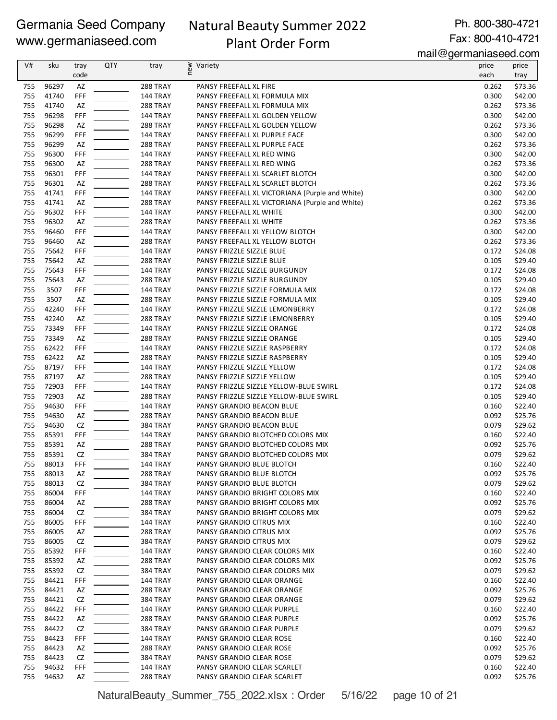# Natural Beauty Summer 2022 Plant Order Form

Ph. 800-380-4721 Fax: 800-410-4721

mail@germaniaseed.com

| V#  | sku   | tray      | <b>QTY</b> | tray            |                                                 | <br>price | price   |
|-----|-------|-----------|------------|-----------------|-------------------------------------------------|-----------|---------|
|     |       | code      |            |                 | ≷ Variety<br>E                                  | each      | tray    |
| 755 | 96297 | AZ        |            | 288 TRAY        | PANSY FREEFALL XL FIRE                          | 0.262     | \$73.36 |
| 755 | 41740 | FFF       |            | 144 TRAY        | PANSY FREEFALL XL FORMULA MIX                   | 0.300     | \$42.00 |
| 755 | 41740 | AZ        |            | 288 TRAY        | PANSY FREEFALL XL FORMULA MIX                   | 0.262     | \$73.36 |
| 755 | 96298 | FFF       |            | 144 TRAY        | PANSY FREEFALL XL GOLDEN YELLOW                 | 0.300     | \$42.00 |
| 755 | 96298 | AZ        |            | 288 TRAY        | PANSY FREEFALL XL GOLDEN YELLOW                 | 0.262     | \$73.36 |
| 755 | 96299 | FFF       |            | 144 TRAY        | PANSY FREEFALL XL PURPLE FACE                   | 0.300     | \$42.00 |
| 755 | 96299 | AZ        |            | 288 TRAY        | PANSY FREEFALL XL PURPLE FACE                   | 0.262     | \$73.36 |
| 755 | 96300 | FFF       |            | 144 TRAY        | PANSY FREEFALL XL RED WING                      | 0.300     | \$42.00 |
| 755 | 96300 | AZ        |            | 288 TRAY        | PANSY FREEFALL XL RED WING                      | 0.262     | \$73.36 |
| 755 | 96301 | FFF       |            | 144 TRAY        | PANSY FREEFALL XL SCARLET BLOTCH                | 0.300     | \$42.00 |
| 755 | 96301 | AZ        |            | 288 TRAY        | PANSY FREEFALL XL SCARLET BLOTCH                | 0.262     | \$73.36 |
| 755 | 41741 | FFF       |            | 144 TRAY        | PANSY FREEFALL XL VICTORIANA (Purple and White) | 0.300     | \$42.00 |
| 755 | 41741 | AZ        |            | 288 TRAY        | PANSY FREEFALL XL VICTORIANA (Purple and White) | 0.262     | \$73.36 |
| 755 | 96302 | FFF       |            | 144 TRAY        | PANSY FREEFALL XL WHITE                         | 0.300     | \$42.00 |
| 755 | 96302 | AZ        |            | <b>288 TRAY</b> | PANSY FREEFALL XL WHITE                         | 0.262     | \$73.36 |
| 755 | 96460 | FFF       |            | 144 TRAY        | PANSY FREEFALL XL YELLOW BLOTCH                 | 0.300     | \$42.00 |
| 755 | 96460 | AZ        |            | 288 TRAY        | PANSY FREEFALL XL YELLOW BLOTCH                 | 0.262     | \$73.36 |
| 755 | 75642 | FFF       |            | 144 TRAY        | PANSY FRIZZLE SIZZLE BLUE                       | 0.172     | \$24.08 |
| 755 | 75642 | AZ        |            | 288 TRAY        | PANSY FRIZZLE SIZZLE BLUE                       | 0.105     | \$29.40 |
| 755 | 75643 | FFF       |            | 144 TRAY        | PANSY FRIZZLE SIZZLE BURGUNDY                   | 0.172     | \$24.08 |
| 755 | 75643 | AZ        |            | 288 TRAY        | PANSY FRIZZLE SIZZLE BURGUNDY                   | 0.105     | \$29.40 |
| 755 | 3507  | FFF       |            | 144 TRAY        | PANSY FRIZZLE SIZZLE FORMULA MIX                | 0.172     | \$24.08 |
| 755 | 3507  | AZ        |            | 288 TRAY        | PANSY FRIZZLE SIZZLE FORMULA MIX                | 0.105     | \$29.40 |
| 755 | 42240 | FFF       |            | 144 TRAY        | PANSY FRIZZLE SIZZLE LEMONBERRY                 | 0.172     | \$24.08 |
| 755 | 42240 | AZ        |            | 288 TRAY        | PANSY FRIZZLE SIZZLE LEMONBERRY                 | 0.105     | \$29.40 |
| 755 | 73349 | FFF       |            | 144 TRAY        | PANSY FRIZZLE SIZZLE ORANGE                     | 0.172     | \$24.08 |
| 755 | 73349 | AZ        |            | 288 TRAY        | PANSY FRIZZLE SIZZLE ORANGE                     | 0.105     | \$29.40 |
| 755 | 62422 | FFF       |            | 144 TRAY        | PANSY FRIZZLE SIZZLE RASPBERRY                  | 0.172     | \$24.08 |
| 755 | 62422 | AZ        |            | 288 TRAY        | PANSY FRIZZLE SIZZLE RASPBERRY                  | 0.105     | \$29.40 |
| 755 | 87197 | FFF       |            | 144 TRAY        | PANSY FRIZZLE SIZZLE YELLOW                     | 0.172     | \$24.08 |
| 755 | 87197 | AZ        |            | 288 TRAY        | PANSY FRIZZLE SIZZLE YELLOW                     | 0.105     | \$29.40 |
| 755 | 72903 | FFF       |            | 144 TRAY        | PANSY FRIZZLE SIZZLE YELLOW-BLUE SWIRL          | 0.172     | \$24.08 |
| 755 | 72903 | AZ        |            | 288 TRAY        | PANSY FRIZZLE SIZZLE YELLOW-BLUE SWIRL          | 0.105     | \$29.40 |
| 755 | 94630 | FFF       |            | 144 TRAY        | PANSY GRANDIO BEACON BLUE                       | 0.160     | \$22.40 |
| 755 | 94630 | AZ        |            | 288 TRAY        | PANSY GRANDIO BEACON BLUE                       | 0.092     | \$25.76 |
| 755 | 94630 | CZ        |            | 384 TRAY        | PANSY GRANDIO BEACON BLUE                       | 0.079     | \$29.62 |
| 755 | 85391 | FFF       |            | 144 TRAY        | PANSY GRANDIO BLOTCHED COLORS MIX               | 0.160     | \$22.40 |
| 755 | 85391 | AZ        |            | 288 TRAY        | PANSY GRANDIO BLOTCHED COLORS MIX               | 0.092     | \$25.76 |
| 755 | 85391 | <b>CZ</b> |            | 384 TRAY        | PANSY GRANDIO BLOTCHED COLORS MIX               | 0.079     | \$29.62 |
| 755 | 88013 | FFF       |            | 144 TRAY        | PANSY GRANDIO BLUE BLOTCH                       | 0.160     | \$22.40 |
| 755 | 88013 | AZ        |            | 288 TRAY        | PANSY GRANDIO BLUE BLOTCH                       | 0.092     | \$25.76 |
| 755 | 88013 | CZ        |            | <b>384 TRAY</b> | PANSY GRANDIO BLUE BLOTCH                       | 0.079     | \$29.62 |
| 755 | 86004 | FFF       |            | 144 TRAY        | PANSY GRANDIO BRIGHT COLORS MIX                 | 0.160     | \$22.40 |
| 755 | 86004 | AZ        |            | 288 TRAY        | PANSY GRANDIO BRIGHT COLORS MIX                 | 0.092     | \$25.76 |
| 755 | 86004 | CZ        |            | 384 TRAY        | PANSY GRANDIO BRIGHT COLORS MIX                 | 0.079     | \$29.62 |
| 755 | 86005 | FFF       |            | 144 TRAY        | PANSY GRANDIO CITRUS MIX                        | 0.160     | \$22.40 |
| 755 | 86005 | AZ        |            | 288 TRAY        | PANSY GRANDIO CITRUS MIX                        | 0.092     | \$25.76 |
| 755 | 86005 | CZ        |            | <b>384 TRAY</b> | PANSY GRANDIO CITRUS MIX                        | 0.079     | \$29.62 |
| 755 | 85392 | FFF       |            | 144 TRAY        | PANSY GRANDIO CLEAR COLORS MIX                  | 0.160     | \$22.40 |
| 755 | 85392 | AZ        |            | 288 TRAY        | PANSY GRANDIO CLEAR COLORS MIX                  | 0.092     | \$25.76 |
| 755 | 85392 | CZ        |            | 384 TRAY        | PANSY GRANDIO CLEAR COLORS MIX                  | 0.079     | \$29.62 |
| 755 | 84421 | FFF       |            | 144 TRAY        | PANSY GRANDIO CLEAR ORANGE                      | 0.160     | \$22.40 |
| 755 | 84421 | AZ        |            | 288 TRAY        | PANSY GRANDIO CLEAR ORANGE                      | 0.092     | \$25.76 |
| 755 | 84421 | CZ        |            | <b>384 TRAY</b> | PANSY GRANDIO CLEAR ORANGE                      | 0.079     | \$29.62 |
| 755 | 84422 | FFF       |            | 144 TRAY        | PANSY GRANDIO CLEAR PURPLE                      | 0.160     | \$22.40 |
| 755 | 84422 | AZ        |            | 288 TRAY        | PANSY GRANDIO CLEAR PURPLE                      | 0.092     | \$25.76 |
| 755 | 84422 | CZ        |            | <b>384 TRAY</b> | PANSY GRANDIO CLEAR PURPLE                      | 0.079     | \$29.62 |
| 755 | 84423 | FFF       |            | 144 TRAY        | PANSY GRANDIO CLEAR ROSE                        | 0.160     | \$22.40 |
| 755 | 84423 | AZ        |            | 288 TRAY        | PANSY GRANDIO CLEAR ROSE                        | 0.092     | \$25.76 |
| 755 | 84423 | CZ        |            | 384 TRAY        | PANSY GRANDIO CLEAR ROSE                        | 0.079     | \$29.62 |
| 755 | 94632 | FFF       |            | 144 TRAY        | PANSY GRANDIO CLEAR SCARLET                     | 0.160     | \$22.40 |
| 755 | 94632 | AZ        |            | 288 TRAY        | PANSY GRANDIO CLEAR SCARLET                     | 0.092     | \$25.76 |

NaturalBeauty\_Summer\_755\_2022.xlsx : Order 5/16/22 page 10 of 21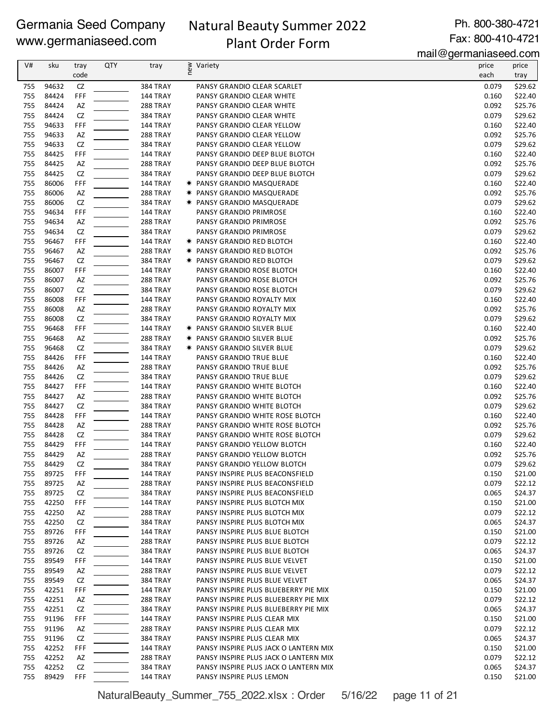# Natural Beauty Summer 2022 Plant Order Form

Ph. 800-380-4721 Fax: 800-410-4721

mail@germaniaseed.com

| V#         | sku            | tray      | QTY | tray                               | ≥ Variety<br>E                                                         | price          | price              |
|------------|----------------|-----------|-----|------------------------------------|------------------------------------------------------------------------|----------------|--------------------|
|            |                | code      |     |                                    |                                                                        | each           | tray               |
| 755        | 94632          | CZ        |     | 384 TRAY                           | PANSY GRANDIO CLEAR SCARLET                                            | 0.079          | \$29.62            |
| 755        | 84424          | FFF       |     | 144 TRAY                           | PANSY GRANDIO CLEAR WHITE                                              | 0.160          | \$22.40            |
| 755        | 84424          | AZ        |     | 288 TRAY                           | PANSY GRANDIO CLEAR WHITE                                              | 0.092          | \$25.76            |
| 755        | 84424          | CZ        |     | <b>384 TRAY</b>                    | PANSY GRANDIO CLEAR WHITE                                              | 0.079          | \$29.62            |
| 755<br>755 | 94633<br>94633 | FFF<br>AZ |     | 144 TRAY<br><b>288 TRAY</b>        | PANSY GRANDIO CLEAR YELLOW<br>PANSY GRANDIO CLEAR YELLOW               | 0.160<br>0.092 | \$22.40<br>\$25.76 |
| 755        | 94633          | CZ        |     | <b>384 TRAY</b>                    | PANSY GRANDIO CLEAR YELLOW                                             | 0.079          | \$29.62            |
| 755        | 84425          | FFF       |     | <b>144 TRAY</b>                    | PANSY GRANDIO DEEP BLUE BLOTCH                                         | 0.160          | \$22.40            |
| 755        | 84425          | AZ        |     | <b>288 TRAY</b>                    | PANSY GRANDIO DEEP BLUE BLOTCH                                         | 0.092          | \$25.76            |
| 755        | 84425          | CZ        |     | <b>384 TRAY</b>                    | PANSY GRANDIO DEEP BLUE BLOTCH                                         | 0.079          | \$29.62            |
| 755        | 86006          | FFF       |     | 144 TRAY                           | * PANSY GRANDIO MASQUERADE                                             | 0.160          | \$22.40            |
| 755        | 86006          | AZ        |     | 288 TRAY                           | <b>★ PANSY GRANDIO MASQUERADE</b>                                      | 0.092          | \$25.76            |
| 755        | 86006          | CZ        |     | 384 TRAY                           | <b>★ PANSY GRANDIO MASQUERADE</b>                                      | 0.079          | \$29.62            |
| 755        | 94634          | FFF       |     | <b>144 TRAY</b>                    | PANSY GRANDIO PRIMROSE                                                 | 0.160          | \$22.40            |
| 755        | 94634          | AZ        |     | <b>288 TRAY</b>                    | PANSY GRANDIO PRIMROSE                                                 | 0.092          | \$25.76            |
| 755        | 94634          | CZ        |     | <b>384 TRAY</b>                    | PANSY GRANDIO PRIMROSE                                                 | 0.079          | \$29.62            |
| 755        | 96467          | FFF       |     | <b>144 TRAY</b>                    | <b>★ PANSY GRANDIO RED BLOTCH</b>                                      | 0.160          | \$22.40            |
| 755        | 96467          | AZ        |     | <b>288 TRAY</b>                    | * PANSY GRANDIO RED BLOTCH                                             | 0.092          | \$25.76            |
| 755        | 96467          | CZ        |     | <b>384 TRAY</b>                    | <b>★ PANSY GRANDIO RED BLOTCH</b>                                      | 0.079          | \$29.62<br>\$22.40 |
| 755<br>755 | 86007<br>86007 | FFF<br>AZ |     | 144 TRAY<br>288 TRAY               | PANSY GRANDIO ROSE BLOTCH<br>PANSY GRANDIO ROSE BLOTCH                 | 0.160<br>0.092 | \$25.76            |
| 755        | 86007          | CZ        |     | <b>384 TRAY</b>                    | PANSY GRANDIO ROSE BLOTCH                                              | 0.079          | \$29.62            |
| 755        | 86008          | FFF       |     | <b>144 TRAY</b>                    | PANSY GRANDIO ROYALTY MIX                                              | 0.160          | \$22.40            |
| 755        | 86008          | AZ        |     | <b>288 TRAY</b>                    | PANSY GRANDIO ROYALTY MIX                                              | 0.092          | \$25.76            |
| 755        | 86008          | CZ        |     | <b>384 TRAY</b>                    | PANSY GRANDIO ROYALTY MIX                                              | 0.079          | \$29.62            |
| 755        | 96468          | FFF       |     | <b>144 TRAY</b>                    | <b>★ PANSY GRANDIO SILVER BLUE</b>                                     | 0.160          | \$22.40            |
| 755        | 96468          | AZ        |     | 288 TRAY                           | <b>★ PANSY GRANDIO SILVER BLUE</b>                                     | 0.092          | \$25.76            |
| 755        | 96468          | CZ        |     | <b>384 TRAY</b>                    | <b>★ PANSY GRANDIO SILVER BLUE</b>                                     | 0.079          | \$29.62            |
| 755        | 84426          | FFF       |     | <b>144 TRAY</b>                    | PANSY GRANDIO TRUE BLUE                                                | 0.160          | \$22.40            |
| 755        | 84426          | AZ        |     | 288 TRAY                           | PANSY GRANDIO TRUE BLUE                                                | 0.092          | \$25.76            |
| 755        | 84426          | CZ        |     | <b>384 TRAY</b>                    | PANSY GRANDIO TRUE BLUE                                                | 0.079          | \$29.62            |
| 755        | 84427          | FFF       |     | 144 TRAY                           | PANSY GRANDIO WHITE BLOTCH                                             | 0.160          | \$22.40            |
| 755        | 84427          | AZ        |     | 288 TRAY                           | PANSY GRANDIO WHITE BLOTCH                                             | 0.092          | \$25.76            |
| 755        | 84427          | CZ        |     | <b>384 TRAY</b>                    | PANSY GRANDIO WHITE BLOTCH                                             | 0.079          | \$29.62            |
| 755<br>755 | 84428<br>84428 | FFF       |     | <b>144 TRAY</b>                    | PANSY GRANDIO WHITE ROSE BLOTCH                                        | 0.160<br>0.092 | \$22.40            |
| 755        | 84428          | AZ<br>CZ  |     | 288 TRAY<br><b>384 TRAY</b>        | PANSY GRANDIO WHITE ROSE BLOTCH<br>PANSY GRANDIO WHITE ROSE BLOTCH     | 0.079          | \$25.76<br>\$29.62 |
| 755        | 84429          | FFF       |     | <b>144 TRAY</b>                    | PANSY GRANDIO YELLOW BLOTCH                                            | 0.160          | \$22.40            |
| 755        | 84429          | AZ        |     | <b>288 TRAY</b>                    | PANSY GRANDIO YELLOW BLOTCH                                            | 0.092          | \$25.76            |
| 755        | 84429          | CZ        |     | 384 TRAY                           | PANSY GRANDIO YELLOW BLOTCH                                            | 0.079          | \$29.62            |
| 755        | 89725          | FFF       |     | 144 TRAY                           | PANSY INSPIRE PLUS BEACONSFIELD                                        | 0.150          | \$21.00            |
| 755        | 89725          | AZ        |     | 288 TRAY                           | PANSY INSPIRE PLUS BEACONSFIELD                                        | 0.079          | \$22.12            |
| 755        | 89725          | CZ        |     | <b>384 TRAY</b>                    | PANSY INSPIRE PLUS BEACONSFIELD                                        | 0.065          | \$24.37            |
| 755        | 42250          | FFF       |     | <b>144 TRAY</b>                    | PANSY INSPIRE PLUS BLOTCH MIX                                          | 0.150          | \$21.00            |
| 755        | 42250          | AZ        |     | 288 TRAY                           | PANSY INSPIRE PLUS BLOTCH MIX                                          | 0.079          | \$22.12            |
| 755        | 42250          | CZ        |     | <b>384 TRAY</b>                    | PANSY INSPIRE PLUS BLOTCH MIX                                          | 0.065          | \$24.37            |
| 755        | 89726          | FFF       |     | <b>144 TRAY</b>                    | PANSY INSPIRE PLUS BLUE BLOTCH                                         | 0.150          | \$21.00            |
| 755        | 89726          | AZ        |     | 288 TRAY                           | PANSY INSPIRE PLUS BLUE BLOTCH                                         | 0.079          | \$22.12            |
| 755        | 89726          | CZ        |     | <b>384 TRAY</b>                    | PANSY INSPIRE PLUS BLUE BLOTCH                                         | 0.065          | \$24.37            |
| 755        | 89549          | FFF       |     | <b>144 TRAY</b>                    | PANSY INSPIRE PLUS BLUE VELVET                                         | 0.150          | \$21.00            |
| 755        | 89549          | AZ        |     | <b>288 TRAY</b>                    | PANSY INSPIRE PLUS BLUE VELVET                                         | 0.079          | \$22.12            |
| 755<br>755 | 89549<br>42251 | CZ<br>FFF |     | <b>384 TRAY</b><br><b>144 TRAY</b> | PANSY INSPIRE PLUS BLUE VELVET<br>PANSY INSPIRE PLUS BLUEBERRY PIE MIX | 0.065<br>0.150 | \$24.37<br>\$21.00 |
| 755        | 42251          | AZ        |     | 288 TRAY                           | PANSY INSPIRE PLUS BLUEBERRY PIE MIX                                   | 0.079          | \$22.12            |
| 755        | 42251          | CZ        |     | <b>384 TRAY</b>                    | PANSY INSPIRE PLUS BLUEBERRY PIE MIX                                   | 0.065          | \$24.37            |
| 755        | 91196          | FFF       |     | 144 TRAY                           | PANSY INSPIRE PLUS CLEAR MIX                                           | 0.150          | \$21.00            |
| 755        | 91196          | AZ        |     | 288 TRAY                           | PANSY INSPIRE PLUS CLEAR MIX                                           | 0.079          | \$22.12            |
| 755        | 91196          | CZ        |     | <b>384 TRAY</b>                    | PANSY INSPIRE PLUS CLEAR MIX                                           | 0.065          | \$24.37            |
| 755        | 42252          | FFF       |     | 144 TRAY                           | PANSY INSPIRE PLUS JACK O LANTERN MIX                                  | 0.150          | \$21.00            |
| 755        | 42252          | AZ        |     | <b>288 TRAY</b>                    | PANSY INSPIRE PLUS JACK O LANTERN MIX                                  | 0.079          | \$22.12            |
| 755        | 42252          | CZ        |     | <b>384 TRAY</b>                    | PANSY INSPIRE PLUS JACK O LANTERN MIX                                  | 0.065          | \$24.37            |
| 755        | 89429          | FFF       |     | <b>144 TRAY</b>                    | PANSY INSPIRE PLUS LEMON                                               | 0.150          | \$21.00            |

NaturalBeauty\_Summer\_755\_2022.xlsx : Order 5/16/22 page 11 of 21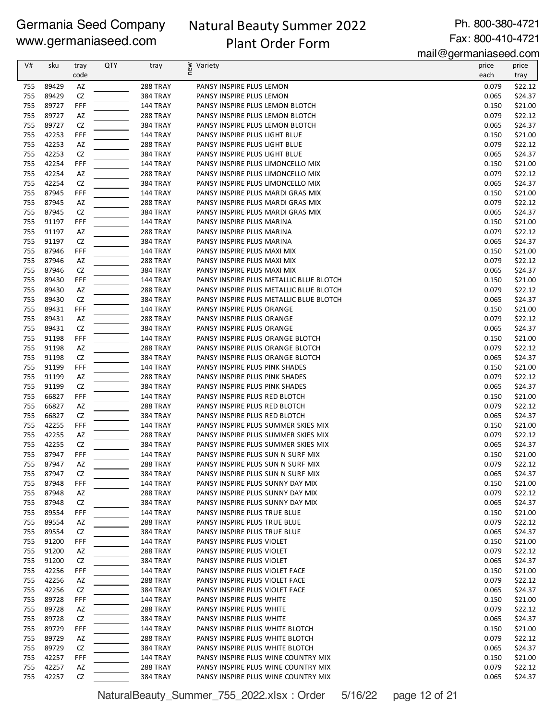# Natural Beauty Summer 2022 Plant Order Form

Ph. 800-380-4721 Fax: 800-410-4721

mail@germaniaseed.com

| V#         | sku            | tray<br>code | QTY | tray                               | ≥ Variety<br>E                                                             | price<br>each  | price              |
|------------|----------------|--------------|-----|------------------------------------|----------------------------------------------------------------------------|----------------|--------------------|
|            | 89429          |              |     | 288 TRAY                           | PANSY INSPIRE PLUS LEMON                                                   | 0.079          | tray               |
| 755<br>755 | 89429          | AZ<br>CZ     |     | 384 TRAY                           | PANSY INSPIRE PLUS LEMON                                                   | 0.065          | \$22.12<br>\$24.37 |
| 755        | 89727          | FFF          |     | 144 TRAY                           | PANSY INSPIRE PLUS LEMON BLOTCH                                            | 0.150          | \$21.00            |
| 755        | 89727          | AZ           |     | <b>288 TRAY</b>                    | PANSY INSPIRE PLUS LEMON BLOTCH                                            | 0.079          | \$22.12            |
| 755        | 89727          | CZ           |     | 384 TRAY                           | PANSY INSPIRE PLUS LEMON BLOTCH                                            | 0.065          | \$24.37            |
| 755        | 42253          | FFF          |     | <b>144 TRAY</b>                    | PANSY INSPIRE PLUS LIGHT BLUE                                              | 0.150          | \$21.00            |
| 755        | 42253          | AZ           |     | <b>288 TRAY</b>                    | PANSY INSPIRE PLUS LIGHT BLUE                                              | 0.079          | \$22.12            |
| 755        | 42253          | CZ           |     | 384 TRAY                           | PANSY INSPIRE PLUS LIGHT BLUE                                              | 0.065          | \$24.37            |
| 755        | 42254          | FFF          |     | <b>144 TRAY</b>                    | PANSY INSPIRE PLUS LIMONCELLO MIX                                          | 0.150          | \$21.00            |
| 755        | 42254          | AZ           |     | <b>288 TRAY</b>                    | PANSY INSPIRE PLUS LIMONCELLO MIX                                          | 0.079          | \$22.12            |
| 755        | 42254          | CZ           |     | 384 TRAY                           | PANSY INSPIRE PLUS LIMONCELLO MIX                                          | 0.065          | \$24.37            |
| 755        | 87945          | FFF          |     | 144 TRAY                           | PANSY INSPIRE PLUS MARDI GRAS MIX                                          | 0.150          | \$21.00            |
| 755<br>755 | 87945<br>87945 | AZ           |     | <b>288 TRAY</b>                    | PANSY INSPIRE PLUS MARDI GRAS MIX                                          | 0.079<br>0.065 | \$22.12<br>\$24.37 |
| 755        | 91197          | CZ<br>FFF    |     | 384 TRAY<br><b>144 TRAY</b>        | PANSY INSPIRE PLUS MARDI GRAS MIX<br>PANSY INSPIRE PLUS MARINA             | 0.150          | \$21.00            |
| 755        | 91197          | AZ           |     | <b>288 TRAY</b>                    | PANSY INSPIRE PLUS MARINA                                                  | 0.079          | \$22.12            |
| 755        | 91197          | CZ           |     | 384 TRAY                           | PANSY INSPIRE PLUS MARINA                                                  | 0.065          | \$24.37            |
| 755        | 87946          | FFF          |     | <b>144 TRAY</b>                    | PANSY INSPIRE PLUS MAXI MIX                                                | 0.150          | \$21.00            |
| 755        | 87946          | AZ           |     | <b>288 TRAY</b>                    | PANSY INSPIRE PLUS MAXI MIX                                                | 0.079          | \$22.12            |
| 755        | 87946          | CZ           |     | 384 TRAY                           | PANSY INSPIRE PLUS MAXI MIX                                                | 0.065          | \$24.37            |
| 755        | 89430          | FFF          |     | <b>144 TRAY</b>                    | PANSY INSPIRE PLUS METALLIC BLUE BLOTCH                                    | 0.150          | \$21.00            |
| 755        | 89430          | AZ           |     | 288 TRAY                           | PANSY INSPIRE PLUS METALLIC BLUE BLOTCH                                    | 0.079          | \$22.12            |
| 755        | 89430          | CZ           |     | 384 TRAY                           | PANSY INSPIRE PLUS METALLIC BLUE BLOTCH                                    | 0.065          | \$24.37            |
| 755        | 89431          | FFF          |     | 144 TRAY                           | PANSY INSPIRE PLUS ORANGE                                                  | 0.150          | \$21.00            |
| 755        | 89431          | AZ           |     | <b>288 TRAY</b>                    | PANSY INSPIRE PLUS ORANGE                                                  | 0.079          | \$22.12            |
| 755        | 89431          | CZ           |     | 384 TRAY                           | PANSY INSPIRE PLUS ORANGE                                                  | 0.065          | \$24.37            |
| 755        | 91198          | FFF          |     | <b>144 TRAY</b>                    | PANSY INSPIRE PLUS ORANGE BLOTCH                                           | 0.150          | \$21.00            |
| 755        | 91198          | AZ           |     | <b>288 TRAY</b>                    | PANSY INSPIRE PLUS ORANGE BLOTCH                                           | 0.079          | \$22.12            |
| 755<br>755 | 91198<br>91199 | CZ<br>FFF    |     | 384 TRAY<br><b>144 TRAY</b>        | PANSY INSPIRE PLUS ORANGE BLOTCH<br>PANSY INSPIRE PLUS PINK SHADES         | 0.065<br>0.150 | \$24.37<br>\$21.00 |
| 755        | 91199          | AZ           |     | <b>288 TRAY</b>                    | PANSY INSPIRE PLUS PINK SHADES                                             | 0.079          | \$22.12            |
| 755        | 91199          | CZ           |     | 384 TRAY                           | PANSY INSPIRE PLUS PINK SHADES                                             | 0.065          | \$24.37            |
| 755        | 66827          | FFF          |     | 144 TRAY                           | PANSY INSPIRE PLUS RED BLOTCH                                              | 0.150          | \$21.00            |
| 755        | 66827          | AZ           |     | <b>288 TRAY</b>                    | PANSY INSPIRE PLUS RED BLOTCH                                              | 0.079          | \$22.12            |
| 755        | 66827          | CZ           |     | 384 TRAY                           | PANSY INSPIRE PLUS RED BLOTCH                                              | 0.065          | \$24.37            |
| 755        | 42255          | FFF          |     | <b>144 TRAY</b>                    | PANSY INSPIRE PLUS SUMMER SKIES MIX                                        | 0.150          | \$21.00            |
| 755        | 42255          | AZ           |     | <b>288 TRAY</b>                    | PANSY INSPIRE PLUS SUMMER SKIES MIX                                        | 0.079          | \$22.12            |
| 755        | 42255          | CZ           |     | 384 TRAY                           | PANSY INSPIRE PLUS SUMMER SKIES MIX                                        | 0.065          | \$24.37            |
| 755        | 87947          | FFF          |     | <b>144 TRAY</b>                    | PANSY INSPIRE PLUS SUN N SURF MIX                                          | 0.150          | \$21.00            |
| 755        | 87947          | AZ           |     | 288 TRAY                           | PANSY INSPIRE PLUS SUN N SURF MIX                                          | 0.079          | \$22.12            |
| 755        | 87947          | CZ           |     | 384 TRAY                           | PANSY INSPIRE PLUS SUN N SURF MIX                                          | 0.065          | \$24.37            |
| 755        | 87948          | FFF          |     | <b>144 TRAY</b>                    | PANSY INSPIRE PLUS SUNNY DAY MIX                                           | 0.150          | \$21.00            |
| 755        | 87948          | AZ           |     | <b>288 TRAY</b>                    | PANSY INSPIRE PLUS SUNNY DAY MIX                                           | 0.079          | \$22.12            |
| 755<br>755 | 87948<br>89554 | CZ<br>FFF    |     | 384 TRAY<br><b>144 TRAY</b>        | PANSY INSPIRE PLUS SUNNY DAY MIX<br>PANSY INSPIRE PLUS TRUE BLUE           | 0.065<br>0.150 | \$24.37<br>\$21.00 |
| 755        | 89554          | AZ           |     | 288 TRAY                           | PANSY INSPIRE PLUS TRUE BLUE                                               | 0.079          | \$22.12            |
| 755        | 89554          | CZ           |     | <b>384 TRAY</b>                    | PANSY INSPIRE PLUS TRUE BLUE                                               | 0.065          | \$24.37            |
| 755        | 91200          | FFF          |     | 144 TRAY                           | PANSY INSPIRE PLUS VIOLET                                                  | 0.150          | \$21.00            |
| 755        | 91200          | AZ           |     | <b>288 TRAY</b>                    | PANSY INSPIRE PLUS VIOLET                                                  | 0.079          | \$22.12            |
| 755        | 91200          | CZ           |     | <b>384 TRAY</b>                    | PANSY INSPIRE PLUS VIOLET                                                  | 0.065          | \$24.37            |
| 755        | 42256          | FFF          |     | 144 TRAY                           | PANSY INSPIRE PLUS VIOLET FACE                                             | 0.150          | \$21.00            |
| 755        | 42256          | AZ           |     | <b>288 TRAY</b>                    | PANSY INSPIRE PLUS VIOLET FACE                                             | 0.079          | \$22.12            |
| 755        | 42256          | CZ           |     | 384 TRAY                           | PANSY INSPIRE PLUS VIOLET FACE                                             | 0.065          | \$24.37            |
| 755        | 89728          | FFF          |     | 144 TRAY                           | PANSY INSPIRE PLUS WHITE                                                   | 0.150          | \$21.00            |
| 755        | 89728          | AZ           |     | <b>288 TRAY</b>                    | PANSY INSPIRE PLUS WHITE                                                   | 0.079          | \$22.12            |
| 755        | 89728          | CZ           |     | 384 TRAY                           | PANSY INSPIRE PLUS WHITE                                                   | 0.065          | \$24.37            |
| 755        | 89729          | FFF          |     | 144 TRAY                           | PANSY INSPIRE PLUS WHITE BLOTCH                                            | 0.150          | \$21.00            |
| 755        | 89729          | AZ           |     | <b>288 TRAY</b>                    | PANSY INSPIRE PLUS WHITE BLOTCH                                            | 0.079          | \$22.12            |
| 755        | 89729          | CZ           |     | 384 TRAY                           | PANSY INSPIRE PLUS WHITE BLOTCH                                            | 0.065          | \$24.37            |
| 755<br>755 | 42257<br>42257 | FFF<br>AZ    |     | <b>144 TRAY</b><br><b>288 TRAY</b> | PANSY INSPIRE PLUS WINE COUNTRY MIX<br>PANSY INSPIRE PLUS WINE COUNTRY MIX | 0.150<br>0.079 | \$21.00<br>\$22.12 |
| 755        | 42257          | CZ           |     | 384 TRAY                           | PANSY INSPIRE PLUS WINE COUNTRY MIX                                        | 0.065          | \$24.37            |
|            |                |              |     |                                    |                                                                            |                |                    |

NaturalBeauty\_Summer\_755\_2022.xlsx : Order 5/16/22 page 12 of 21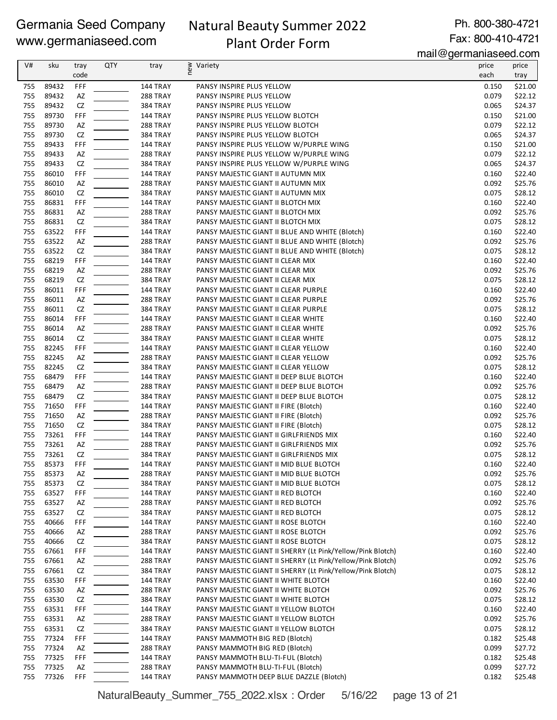# Natural Beauty Summer 2022 Plant Order Form

Ph. 800-380-4721 Fax: 800-410-4721

mail@germaniaseed.com

|            |       |      |            |                                    |                                                             | 11811290111811800000001 |         |
|------------|-------|------|------------|------------------------------------|-------------------------------------------------------------|-------------------------|---------|
| V#         | sku   | tray | <b>QTY</b> | tray                               | new<br>Variety                                              | price                   | price   |
|            |       | code |            |                                    |                                                             | each                    | tray    |
| 755        | 89432 | FFF  |            | 144 TRAY                           | PANSY INSPIRE PLUS YELLOW                                   | 0.150                   | \$21.00 |
| 755        | 89432 | AZ   |            | 288 TRAY                           | PANSY INSPIRE PLUS YELLOW                                   | 0.079                   | \$22.12 |
| 755        | 89432 | CZ   |            | <b>384 TRAY</b>                    | PANSY INSPIRE PLUS YELLOW                                   | 0.065                   | \$24.37 |
| 755        | 89730 | FFF  |            | 144 TRAY                           | PANSY INSPIRE PLUS YELLOW BLOTCH                            | 0.150                   | \$21.00 |
| 755        | 89730 | AZ   |            | <b>288 TRAY</b>                    | PANSY INSPIRE PLUS YELLOW BLOTCH                            | 0.079                   | \$22.12 |
| 755        | 89730 | CZ   |            | <b>384 TRAY</b>                    | PANSY INSPIRE PLUS YELLOW BLOTCH                            | 0.065                   | \$24.37 |
| 755        | 89433 | FFF  |            | 144 TRAY                           | PANSY INSPIRE PLUS YELLOW W/PURPLE WING                     | 0.150                   | \$21.00 |
| 755        | 89433 | AZ   |            | <b>288 TRAY</b>                    | PANSY INSPIRE PLUS YELLOW W/PURPLE WING                     | 0.079                   | \$22.12 |
| 755        | 89433 | CZ   |            | <b>384 TRAY</b>                    | PANSY INSPIRE PLUS YELLOW W/PURPLE WING                     | 0.065                   | \$24.37 |
| 755        | 86010 | FFF  |            | 144 TRAY                           | PANSY MAJESTIC GIANT II AUTUMN MIX                          | 0.160                   | \$22.40 |
| 755        | 86010 | AZ   |            | 288 TRAY                           | PANSY MAJESTIC GIANT II AUTUMN MIX                          | 0.092                   | \$25.76 |
| 755        | 86010 | CZ   |            | <b>384 TRAY</b>                    | PANSY MAJESTIC GIANT II AUTUMN MIX                          | 0.075                   | \$28.12 |
| 755        | 86831 | FFF  |            | 144 TRAY                           | PANSY MAJESTIC GIANT II BLOTCH MIX                          | 0.160                   | \$22.40 |
| 755        | 86831 | AZ   |            | <b>288 TRAY</b>                    | PANSY MAJESTIC GIANT II BLOTCH MIX                          | 0.092                   | \$25.76 |
| 755        | 86831 | CZ   |            | <b>384 TRAY</b>                    | PANSY MAJESTIC GIANT II BLOTCH MIX                          | 0.075                   | \$28.12 |
| 755        | 63522 | FFF  |            | 144 TRAY                           | PANSY MAJESTIC GIANT II BLUE AND WHITE (Blotch)             | 0.160                   | \$22.40 |
| 755        | 63522 | AZ   |            | 288 TRAY                           | PANSY MAJESTIC GIANT II BLUE AND WHITE (Blotch)             | 0.092                   | \$25.76 |
| 755        | 63522 | CZ   |            | <b>384 TRAY</b>                    | PANSY MAJESTIC GIANT II BLUE AND WHITE (Blotch)             | 0.075                   | \$28.12 |
| 755        | 68219 | FFF  |            | 144 TRAY                           | PANSY MAJESTIC GIANT II CLEAR MIX                           | 0.160                   | \$22.40 |
| 755        | 68219 | AZ   |            | 288 TRAY                           | PANSY MAJESTIC GIANT II CLEAR MIX                           | 0.092                   | \$25.76 |
| 755        | 68219 | CZ   |            | <b>384 TRAY</b>                    | PANSY MAJESTIC GIANT II CLEAR MIX                           | 0.075                   | \$28.12 |
| 755        | 86011 | FFF  |            | 144 TRAY                           | PANSY MAJESTIC GIANT II CLEAR PURPLE                        | 0.160                   | \$22.40 |
| 755        | 86011 | AZ   |            | <b>288 TRAY</b>                    | PANSY MAJESTIC GIANT II CLEAR PURPLE                        | 0.092                   | \$25.76 |
| 755        | 86011 | CZ   |            | <b>384 TRAY</b>                    | PANSY MAJESTIC GIANT II CLEAR PURPLE                        | 0.075                   | \$28.12 |
| 755        | 86014 | FFF  |            | 144 TRAY                           | PANSY MAJESTIC GIANT II CLEAR WHITE                         | 0.160                   | \$22.40 |
| 755        | 86014 | AZ   |            | <b>288 TRAY</b>                    | PANSY MAJESTIC GIANT II CLEAR WHITE                         | 0.092                   | \$25.76 |
| 755        | 86014 | CZ   |            | <b>384 TRAY</b>                    | PANSY MAJESTIC GIANT II CLEAR WHITE                         | 0.075                   | \$28.12 |
| 755        | 82245 | FFF  |            | 144 TRAY                           | PANSY MAJESTIC GIANT II CLEAR YELLOW                        | 0.160                   | \$22.40 |
| 755        | 82245 | AZ   |            | 288 TRAY                           | PANSY MAJESTIC GIANT II CLEAR YELLOW                        | 0.092                   | \$25.76 |
| 755        | 82245 | CZ   |            | <b>384 TRAY</b>                    | PANSY MAJESTIC GIANT II CLEAR YELLOW                        | 0.075                   | \$28.12 |
| 755        | 68479 | FFF  |            | 144 TRAY                           | PANSY MAJESTIC GIANT II DEEP BLUE BLOTCH                    | 0.160                   | \$22.40 |
| 755        | 68479 | AZ   |            | <b>288 TRAY</b>                    | PANSY MAJESTIC GIANT II DEEP BLUE BLOTCH                    | 0.092                   | \$25.76 |
| 755        | 68479 | CZ   |            | <b>384 TRAY</b>                    | PANSY MAJESTIC GIANT II DEEP BLUE BLOTCH                    | 0.075                   | \$28.12 |
| 755        | 71650 | FFF  |            | 144 TRAY                           | PANSY MAJESTIC GIANT II FIRE (Blotch)                       | 0.160                   | \$22.40 |
| 755        | 71650 | AZ   |            | <b>288 TRAY</b>                    | PANSY MAJESTIC GIANT II FIRE (Blotch)                       | 0.092                   | \$25.76 |
| 755        | 71650 | CZ   |            | <b>384 TRAY</b>                    | PANSY MAJESTIC GIANT II FIRE (Blotch)                       | 0.075                   | \$28.12 |
| 755        | 73261 | FFF  |            |                                    | PANSY MAJESTIC GIANT II GIRLFRIENDS MIX                     | 0.160                   | \$22.40 |
| 755        | 73261 | AZ   |            | 144 TRAY                           |                                                             | 0.092                   | \$25.76 |
| 755        | 73261 | CZ   |            | <b>288 TRAY</b><br><b>384 TRAY</b> | PANSY MAJESTIC GIANT II GIRLFRIENDS MIX                     | 0.075                   | \$28.12 |
|            |       |      |            |                                    | PANSY MAJESTIC GIANT II GIRLFRIENDS MIX                     |                         |         |
| 755        | 85373 | FFF  |            | 144 TRAY                           | PANSY MAJESTIC GIANT II MID BLUE BLOTCH                     | 0.160                   | \$22.40 |
| 755        | 85373 | AZ   |            | <b>288 TRAY</b>                    | PANSY MAJESTIC GIANT II MID BLUE BLOTCH                     | 0.092                   | \$25.76 |
| 755        | 85373 | CZ   |            | <b>384 TRAY</b>                    | PANSY MAJESTIC GIANT II MID BLUE BLOTCH                     | 0.075                   | \$28.12 |
| 755        | 63527 | FFF  |            | 144 TRAY                           | PANSY MAJESTIC GIANT II RED BLOTCH                          | 0.160                   | \$22.40 |
| 755        | 63527 | AZ   |            | <b>288 TRAY</b>                    | PANSY MAJESTIC GIANT II RED BLOTCH                          | 0.092                   | \$25.76 |
| 755<br>755 | 63527 | CZ   |            | <b>384 TRAY</b>                    | PANSY MAJESTIC GIANT II RED BLOTCH                          | 0.075                   | \$28.12 |
|            | 40666 | FFF  |            | 144 TRAY                           | PANSY MAJESTIC GIANT II ROSE BLOTCH                         | 0.160                   | \$22.40 |
| 755        | 40666 | AZ   |            | 288 TRAY                           | PANSY MAJESTIC GIANT II ROSE BLOTCH                         | 0.092                   | \$25.76 |
| 755        | 40666 | CZ   |            | 384 TRAY                           | PANSY MAJESTIC GIANT II ROSE BLOTCH                         | 0.075                   | \$28.12 |
| 755        | 67661 | FFF  |            | 144 TRAY                           | PANSY MAJESTIC GIANT II SHERRY (Lt Pink/Yellow/Pink Blotch) | 0.160                   | \$22.40 |
| 755        | 67661 | AZ   |            | <b>288 TRAY</b>                    | PANSY MAJESTIC GIANT II SHERRY (Lt Pink/Yellow/Pink Blotch) | 0.092                   | \$25.76 |
| 755        | 67661 | CZ   |            | 384 TRAY                           | PANSY MAJESTIC GIANT II SHERRY (Lt Pink/Yellow/Pink Blotch) | 0.075                   | \$28.12 |
| 755        | 63530 | FFF  |            | 144 TRAY                           | PANSY MAJESTIC GIANT II WHITE BLOTCH                        | 0.160                   | \$22.40 |
| 755        | 63530 | AZ   |            | <b>288 TRAY</b>                    | PANSY MAJESTIC GIANT II WHITE BLOTCH                        | 0.092                   | \$25.76 |
| 755        | 63530 | CZ   |            | 384 TRAY                           | PANSY MAJESTIC GIANT II WHITE BLOTCH                        | 0.075                   | \$28.12 |
| 755        | 63531 | FFF  |            | 144 TRAY                           | PANSY MAJESTIC GIANT II YELLOW BLOTCH                       | 0.160                   | \$22.40 |
| 755        | 63531 | AZ   |            | 288 TRAY                           | PANSY MAJESTIC GIANT II YELLOW BLOTCH                       | 0.092                   | \$25.76 |
| 755        | 63531 | CZ   |            | 384 TRAY                           | PANSY MAJESTIC GIANT II YELLOW BLOTCH                       | 0.075                   | \$28.12 |
| 755        | 77324 | FFF  |            | 144 TRAY                           | PANSY MAMMOTH BIG RED (Blotch)                              | 0.182                   | \$25.48 |
| 755        | 77324 | AZ   |            | 288 TRAY                           | PANSY MAMMOTH BIG RED (Blotch)                              | 0.099                   | \$27.72 |
| 755        | 77325 | FFF  |            | 144 TRAY                           | PANSY MAMMOTH BLU-TI-FUL (Blotch)                           | 0.182                   | \$25.48 |
| 755        | 77325 | AZ   |            | 288 TRAY                           | PANSY MAMMOTH BLU-TI-FUL (Blotch)                           | 0.099                   | \$27.72 |
| 755        | 77326 | FFF  |            | 144 TRAY                           | PANSY MAMMOTH DEEP BLUE DAZZLE (Blotch)                     | 0.182                   | \$25.48 |

NaturalBeauty\_Summer\_755\_2022.xlsx : Order 5/16/22 page 13 of 21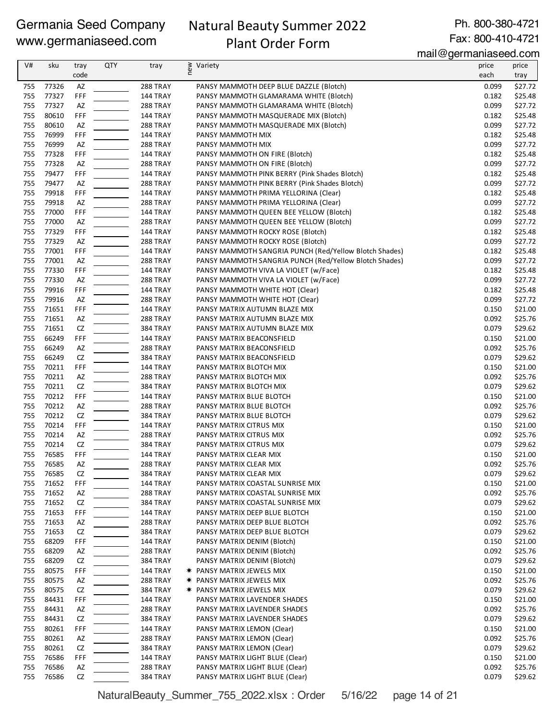# Natural Beauty Summer 2022

Plant Order Form

Ph. 800-380-4721 Fax: 800-410-4721

mail@germaniaseed.com

| V#  | sku   | tray | <b>QTY</b> | tray            | new<br>Variety                                         | price | price   |
|-----|-------|------|------------|-----------------|--------------------------------------------------------|-------|---------|
|     |       | code |            |                 |                                                        | each  | tray    |
| 755 | 77326 | AZ   |            | 288 TRAY        | PANSY MAMMOTH DEEP BLUE DAZZLE (Blotch)                | 0.099 | \$27.72 |
| 755 | 77327 | FFF  |            | <b>144 TRAY</b> | PANSY MAMMOTH GLAMARAMA WHITE (Blotch)                 | 0.182 | \$25.48 |
| 755 | 77327 | AZ   |            | <b>288 TRAY</b> | PANSY MAMMOTH GLAMARAMA WHITE (Blotch)                 | 0.099 | \$27.72 |
| 755 | 80610 | FFF  |            | <b>144 TRAY</b> | PANSY MAMMOTH MASQUERADE MIX (Blotch)                  | 0.182 | \$25.48 |
| 755 | 80610 | AZ   |            | <b>288 TRAY</b> | PANSY MAMMOTH MASQUERADE MIX (Blotch)                  | 0.099 | \$27.72 |
| 755 | 76999 | FFF  |            | <b>144 TRAY</b> | PANSY MAMMOTH MIX                                      | 0.182 | \$25.48 |
| 755 | 76999 | AZ   |            | <b>288 TRAY</b> | PANSY MAMMOTH MIX                                      | 0.099 | \$27.72 |
| 755 | 77328 | FFF  |            | <b>144 TRAY</b> | PANSY MAMMOTH ON FIRE (Blotch)                         | 0.182 | \$25.48 |
| 755 | 77328 | AZ   |            | <b>288 TRAY</b> | PANSY MAMMOTH ON FIRE (Blotch)                         | 0.099 | \$27.72 |
| 755 | 79477 | FFF  |            | <b>144 TRAY</b> | PANSY MAMMOTH PINK BERRY (Pink Shades Blotch)          | 0.182 | \$25.48 |
| 755 | 79477 | AZ   |            | 288 TRAY        | PANSY MAMMOTH PINK BERRY (Pink Shades Blotch)          | 0.099 | \$27.72 |
| 755 | 79918 | FFF  |            | <b>144 TRAY</b> | PANSY MAMMOTH PRIMA YELLORINA (Clear)                  | 0.182 | \$25.48 |
| 755 | 79918 | AZ   |            | <b>288 TRAY</b> | PANSY MAMMOTH PRIMA YELLORINA (Clear)                  | 0.099 | \$27.72 |
| 755 | 77000 | FFF  |            | <b>144 TRAY</b> | PANSY MAMMOTH QUEEN BEE YELLOW (Blotch)                | 0.182 | \$25.48 |
| 755 | 77000 | AZ   |            | <b>288 TRAY</b> | PANSY MAMMOTH QUEEN BEE YELLOW (Blotch)                | 0.099 | \$27.72 |
| 755 | 77329 | FFF  |            | <b>144 TRAY</b> | PANSY MAMMOTH ROCKY ROSE (Blotch)                      | 0.182 | \$25.48 |
| 755 | 77329 | AZ   |            | <b>288 TRAY</b> | PANSY MAMMOTH ROCKY ROSE (Blotch)                      | 0.099 | \$27.72 |
| 755 | 77001 | FFF  |            | <b>144 TRAY</b> | PANSY MAMMOTH SANGRIA PUNCH (Red/Yellow Blotch Shades) | 0.182 | \$25.48 |
| 755 | 77001 | AZ   |            | <b>288 TRAY</b> | PANSY MAMMOTH SANGRIA PUNCH (Red/Yellow Blotch Shades) | 0.099 | \$27.72 |
| 755 | 77330 | FFF  |            | <b>144 TRAY</b> | PANSY MAMMOTH VIVA LA VIOLET (w/Face)                  | 0.182 | \$25.48 |
| 755 | 77330 | AZ   |            | <b>288 TRAY</b> | PANSY MAMMOTH VIVA LA VIOLET (w/Face)                  | 0.099 | \$27.72 |
| 755 | 79916 | FFF  |            | <b>144 TRAY</b> | PANSY MAMMOTH WHITE HOT (Clear)                        | 0.182 | \$25.48 |
| 755 | 79916 | AZ   |            | <b>288 TRAY</b> | PANSY MAMMOTH WHITE HOT (Clear)                        | 0.099 | \$27.72 |
| 755 | 71651 | FFF  |            | <b>144 TRAY</b> | PANSY MATRIX AUTUMN BLAZE MIX                          | 0.150 | \$21.00 |
| 755 | 71651 | AZ   |            | <b>288 TRAY</b> | PANSY MATRIX AUTUMN BLAZE MIX                          | 0.092 | \$25.76 |
| 755 | 71651 | CZ   |            | <b>384 TRAY</b> | PANSY MATRIX AUTUMN BLAZE MIX                          | 0.079 | \$29.62 |
| 755 | 66249 | FFF  |            | 144 TRAY        | PANSY MATRIX BEACONSFIELD                              | 0.150 | \$21.00 |
| 755 | 66249 | AZ   |            | <b>288 TRAY</b> | PANSY MATRIX BEACONSFIELD                              | 0.092 | \$25.76 |
| 755 | 66249 | CZ   |            | <b>384 TRAY</b> | PANSY MATRIX BEACONSFIELD                              | 0.079 | \$29.62 |
| 755 | 70211 | FFF  |            | <b>144 TRAY</b> | PANSY MATRIX BLOTCH MIX                                | 0.150 | \$21.00 |
| 755 | 70211 | AZ   |            | 288 TRAY        | PANSY MATRIX BLOTCH MIX                                | 0.092 | \$25.76 |
| 755 | 70211 | CZ   |            | <b>384 TRAY</b> | PANSY MATRIX BLOTCH MIX                                | 0.079 | \$29.62 |
| 755 | 70212 | FFF  |            | <b>144 TRAY</b> | PANSY MATRIX BLUE BLOTCH                               | 0.150 | \$21.00 |
| 755 | 70212 | AZ   |            | <b>288 TRAY</b> | PANSY MATRIX BLUE BLOTCH                               | 0.092 | \$25.76 |
| 755 | 70212 | CZ   |            | <b>384 TRAY</b> | PANSY MATRIX BLUE BLOTCH                               | 0.079 | \$29.62 |
| 755 | 70214 | FFF  |            | <b>144 TRAY</b> | PANSY MATRIX CITRUS MIX                                | 0.150 | \$21.00 |
| 755 | 70214 | AZ   |            | <b>288 TRAY</b> | PANSY MATRIX CITRUS MIX                                | 0.092 | \$25.76 |
| 755 | 70214 | CZ   |            | <b>384 TRAY</b> | PANSY MATRIX CITRUS MIX                                | 0.079 | \$29.62 |
| 755 | 76585 | FFF  |            | <b>144 TRAY</b> | PANSY MATRIX CLEAR MIX                                 | 0.150 | \$21.00 |
| 755 | 76585 | AZ   |            | <b>288 TRAY</b> | PANSY MATRIX CLEAR MIX                                 | 0.092 | \$25.76 |
| 755 | 76585 | CZ   |            | 384 TRAY        | PANSY MATRIX CLEAR MIX                                 | 0.079 | \$29.62 |
| 755 | 71652 | FFF  |            | 144 TRAY        | PANSY MATRIX COASTAL SUNRISE MIX                       | 0.150 | \$21.00 |
| 755 | 71652 | AZ   |            | 288 TRAY        | PANSY MATRIX COASTAL SUNRISE MIX                       | 0.092 | \$25.76 |
| 755 | 71652 | CZ   |            | 384 TRAY        | PANSY MATRIX COASTAL SUNRISE MIX                       | 0.079 | \$29.62 |
| 755 | 71653 | FFF  |            | 144 TRAY        | PANSY MATRIX DEEP BLUE BLOTCH                          | 0.150 | \$21.00 |
| 755 | 71653 | AZ   |            | <b>288 TRAY</b> | PANSY MATRIX DEEP BLUE BLOTCH                          | 0.092 | \$25.76 |
| 755 | 71653 | CZ   |            | <b>384 TRAY</b> | PANSY MATRIX DEEP BLUE BLOTCH                          | 0.079 | \$29.62 |
| 755 | 68209 | FFF  |            | <b>144 TRAY</b> | PANSY MATRIX DENIM (Blotch)                            | 0.150 | \$21.00 |
| 755 | 68209 | AZ   |            | 288 TRAY        | PANSY MATRIX DENIM (Blotch)                            | 0.092 | \$25.76 |
| 755 | 68209 | CZ   |            | 384 TRAY        | PANSY MATRIX DENIM (Blotch)                            | 0.079 | \$29.62 |
| 755 | 80575 | FFF  |            | 144 TRAY        | <b>★ PANSY MATRIX JEWELS MIX</b>                       | 0.150 | \$21.00 |
| 755 | 80575 | AZ   |            | <b>288 TRAY</b> | <b>★ PANSY MATRIX JEWELS MIX</b>                       | 0.092 | \$25.76 |
| 755 | 80575 | CZ   |            | 384 TRAY        | <b>★ PANSY MATRIX JEWELS MIX</b>                       | 0.079 | \$29.62 |
| 755 | 84431 | FFF  |            | 144 TRAY        | PANSY MATRIX LAVENDER SHADES                           | 0.150 | \$21.00 |
| 755 | 84431 | AZ   |            | <b>288 TRAY</b> | PANSY MATRIX LAVENDER SHADES                           | 0.092 | \$25.76 |
| 755 | 84431 | CZ   |            | 384 TRAY        | PANSY MATRIX LAVENDER SHADES                           | 0.079 | \$29.62 |
| 755 | 80261 | FFF  |            | <b>144 TRAY</b> | PANSY MATRIX LEMON (Clear)                             | 0.150 | \$21.00 |
| 755 | 80261 | AZ   |            | 288 TRAY        | PANSY MATRIX LEMON (Clear)                             | 0.092 | \$25.76 |
| 755 | 80261 | CZ   |            | 384 TRAY        | PANSY MATRIX LEMON (Clear)                             | 0.079 | \$29.62 |
| 755 | 76586 | FFF  |            | 144 TRAY        | PANSY MATRIX LIGHT BLUE (Clear)                        | 0.150 | \$21.00 |
| 755 | 76586 | AZ   |            | <b>288 TRAY</b> | PANSY MATRIX LIGHT BLUE (Clear)                        | 0.092 | \$25.76 |
| 755 | 76586 | CZ   |            | 384 TRAY        | PANSY MATRIX LIGHT BLUE (Clear)                        | 0.079 | \$29.62 |

NaturalBeauty\_Summer\_755\_2022.xlsx : Order 5/16/22 page 14 of 21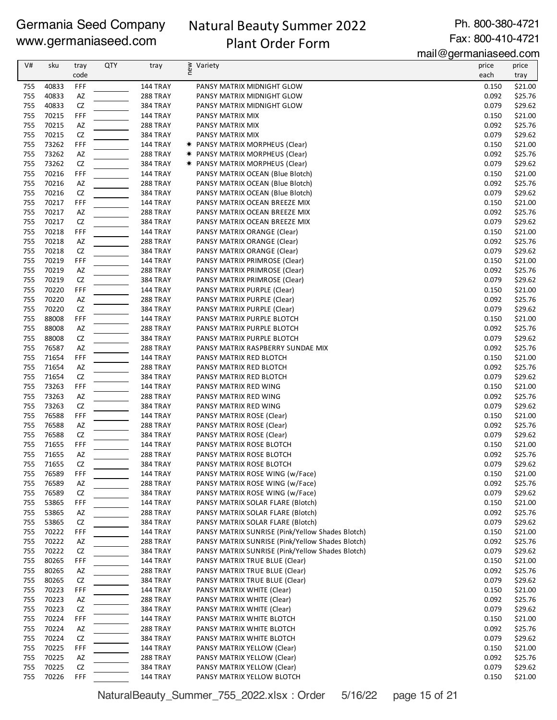# Natural Beauty Summer 2022 Plant Order Form

Ph. 800-380-4721 Fax: 800-410-4721

mail@germaniaseed.com

| V#         | sku            | tray             | QTY | tray                               | new<br>Variety                                                                     | price          | price              |
|------------|----------------|------------------|-----|------------------------------------|------------------------------------------------------------------------------------|----------------|--------------------|
|            |                | code             |     |                                    |                                                                                    | each           | tray               |
| 755        | 40833          | FFF              |     | 144 TRAY                           | PANSY MATRIX MIDNIGHT GLOW                                                         | 0.150          | \$21.00            |
| 755        | 40833          | AZ               |     | 288 TRAY                           | PANSY MATRIX MIDNIGHT GLOW                                                         | 0.092          | \$25.76            |
| 755<br>755 | 40833<br>70215 | CZ               |     | <b>384 TRAY</b>                    | PANSY MATRIX MIDNIGHT GLOW                                                         | 0.079<br>0.150 | \$29.62<br>\$21.00 |
| 755        | 70215          | FFF<br>AZ        |     | <b>144 TRAY</b><br>288 TRAY        | PANSY MATRIX MIX<br>PANSY MATRIX MIX                                               | 0.092          | \$25.76            |
| 755        | 70215          | <b>CZ</b>        |     | <b>384 TRAY</b>                    | PANSY MATRIX MIX                                                                   | 0.079          | \$29.62            |
| 755        | 73262          | FFF              |     | <b>144 TRAY</b>                    | <b>*</b> PANSY MATRIX MORPHEUS (Clear)                                             | 0.150          | \$21.00            |
| 755        | 73262          | AZ               |     | <b>288 TRAY</b>                    | * PANSY MATRIX MORPHEUS (Clear)                                                    | 0.092          | \$25.76            |
| 755        | 73262          | <b>CZ</b>        |     | <b>384 TRAY</b>                    | * PANSY MATRIX MORPHEUS (Clear)                                                    | 0.079          | \$29.62            |
| 755        | 70216          | FFF              |     | <b>144 TRAY</b>                    | PANSY MATRIX OCEAN (Blue Blotch)                                                   | 0.150          | \$21.00            |
| 755        | 70216          | AZ               |     | 288 TRAY                           | PANSY MATRIX OCEAN (Blue Blotch)                                                   | 0.092          | \$25.76            |
| 755        | 70216          | CZ               |     | <b>384 TRAY</b>                    | PANSY MATRIX OCEAN (Blue Blotch)                                                   | 0.079          | \$29.62            |
| 755        | 70217          | FFF              |     | <b>144 TRAY</b>                    | PANSY MATRIX OCEAN BREEZE MIX                                                      | 0.150          | \$21.00            |
| 755        | 70217          | AZ               |     | 288 TRAY                           | PANSY MATRIX OCEAN BREEZE MIX                                                      | 0.092          | \$25.76            |
| 755        | 70217          | <b>CZ</b>        |     | <b>384 TRAY</b>                    | PANSY MATRIX OCEAN BREEZE MIX                                                      | 0.079          | \$29.62            |
| 755        | 70218          | FFF              |     | <b>144 TRAY</b>                    | PANSY MATRIX ORANGE (Clear)                                                        | 0.150          | \$21.00            |
| 755        | 70218          | AZ               |     | 288 TRAY                           | PANSY MATRIX ORANGE (Clear)                                                        | 0.092          | \$25.76            |
| 755<br>755 | 70218<br>70219 | <b>CZ</b><br>FFF |     | <b>384 TRAY</b><br>144 TRAY        | PANSY MATRIX ORANGE (Clear)<br>PANSY MATRIX PRIMROSE (Clear)                       | 0.079<br>0.150 | \$29.62<br>\$21.00 |
| 755        | 70219          | AZ               |     | 288 TRAY                           | PANSY MATRIX PRIMROSE (Clear)                                                      | 0.092          | \$25.76            |
| 755        | 70219          | CZ               |     | <b>384 TRAY</b>                    | PANSY MATRIX PRIMROSE (Clear)                                                      | 0.079          | \$29.62            |
| 755        | 70220          | FFF              |     | <b>144 TRAY</b>                    | PANSY MATRIX PURPLE (Clear)                                                        | 0.150          | \$21.00            |
| 755        | 70220          | AZ               |     | 288 TRAY                           | PANSY MATRIX PURPLE (Clear)                                                        | 0.092          | \$25.76            |
| 755        | 70220          | CZ               |     | <b>384 TRAY</b>                    | PANSY MATRIX PURPLE (Clear)                                                        | 0.079          | \$29.62            |
| 755        | 88008          | FFF              |     | <b>144 TRAY</b>                    | PANSY MATRIX PURPLE BLOTCH                                                         | 0.150          | \$21.00            |
| 755        | 88008          | AZ               |     | 288 TRAY                           | PANSY MATRIX PURPLE BLOTCH                                                         | 0.092          | \$25.76            |
| 755        | 88008          | <b>CZ</b>        |     | <b>384 TRAY</b>                    | PANSY MATRIX PURPLE BLOTCH                                                         | 0.079          | \$29.62            |
| 755        | 76587          | AZ               |     | 288 TRAY                           | PANSY MATRIX RASPBERRY SUNDAE MIX                                                  | 0.092          | \$25.76            |
| 755        | 71654          | FFF              |     | 144 TRAY                           | PANSY MATRIX RED BLOTCH                                                            | 0.150          | \$21.00            |
| 755        | 71654          | AZ               |     | 288 TRAY                           | PANSY MATRIX RED BLOTCH                                                            | 0.092          | \$25.76            |
| 755        | 71654          | <b>CZ</b>        |     | <b>384 TRAY</b>                    | PANSY MATRIX RED BLOTCH                                                            | 0.079          | \$29.62            |
| 755        | 73263          | FFF              |     | <b>144 TRAY</b>                    | PANSY MATRIX RED WING                                                              | 0.150          | \$21.00            |
| 755<br>755 | 73263<br>73263 | AZ               |     | 288 TRAY                           | PANSY MATRIX RED WING                                                              | 0.092          | \$25.76<br>\$29.62 |
| 755        | 76588          | CZ<br>FFF        |     | <b>384 TRAY</b><br><b>144 TRAY</b> | PANSY MATRIX RED WING<br>PANSY MATRIX ROSE (Clear)                                 | 0.079<br>0.150 | \$21.00            |
| 755        | 76588          | AZ               |     | 288 TRAY                           | PANSY MATRIX ROSE (Clear)                                                          | 0.092          | \$25.76            |
| 755        | 76588          | <b>CZ</b>        |     | <b>384 TRAY</b>                    | PANSY MATRIX ROSE (Clear)                                                          | 0.079          | \$29.62            |
| 755        | 71655          | FFF              |     | <b>144 TRAY</b>                    | PANSY MATRIX ROSE BLOTCH                                                           | 0.150          | \$21.00            |
| 755        | 71655          | AZ               |     | <b>288 TRAY</b>                    | PANSY MATRIX ROSE BLOTCH                                                           | 0.092          | \$25.76            |
| 755        | 71655          | CZ               |     | 384 TRAY                           | PANSY MATRIX ROSE BLOTCH                                                           | 0.079          | \$29.62            |
| 755        | 76589          | FFF              |     | 144 TRAY                           | PANSY MATRIX ROSE WING (w/Face)                                                    | 0.150          | \$21.00            |
| 755        | 76589          | AZ               |     | 288 TRAY                           | PANSY MATRIX ROSE WING (w/Face)                                                    | 0.092          | \$25.76            |
| 755        | 76589          | CZ               |     | <b>384 TRAY</b>                    | PANSY MATRIX ROSE WING (w/Face)                                                    | 0.079          | \$29.62            |
| 755        | 53865          | FFF              |     | 144 TRAY                           | PANSY MATRIX SOLAR FLARE (Blotch)                                                  | 0.150          | \$21.00            |
| 755        | 53865          | AZ               |     | 288 TRAY                           | PANSY MATRIX SOLAR FLARE (Blotch)                                                  | 0.092          | \$25.76            |
| 755        | 53865          | CZ               |     | 384 TRAY                           | PANSY MATRIX SOLAR FLARE (Blotch)                                                  | 0.079          | \$29.62            |
| 755        | 70222          | FFF              |     | <b>144 TRAY</b>                    | PANSY MATRIX SUNRISE (Pink/Yellow Shades Blotch)                                   | 0.150          | \$21.00            |
| 755        | 70222          | AZ               |     | 288 TRAY                           | PANSY MATRIX SUNRISE (Pink/Yellow Shades Blotch)                                   | 0.092          | \$25.76            |
| 755<br>755 | 70222<br>80265 | CZ<br>FFF        |     | <b>384 TRAY</b><br>144 TRAY        | PANSY MATRIX SUNRISE (Pink/Yellow Shades Blotch)<br>PANSY MATRIX TRUE BLUE (Clear) | 0.079<br>0.150 | \$29.62<br>\$21.00 |
| 755        | 80265          | AZ               |     | 288 TRAY                           | PANSY MATRIX TRUE BLUE (Clear)                                                     | 0.092          | \$25.76            |
| 755        | 80265          | CZ               |     | <b>384 TRAY</b>                    | PANSY MATRIX TRUE BLUE (Clear)                                                     | 0.079          | \$29.62            |
| 755        | 70223          | FFF              |     | <b>144 TRAY</b>                    | PANSY MATRIX WHITE (Clear)                                                         | 0.150          | \$21.00            |
| 755        | 70223          | AZ               |     | 288 TRAY                           | PANSY MATRIX WHITE (Clear)                                                         | 0.092          | \$25.76            |
| 755        | 70223          | CZ               |     | 384 TRAY                           | PANSY MATRIX WHITE (Clear)                                                         | 0.079          | \$29.62            |
| 755        | 70224          | FFF              |     | 144 TRAY                           | PANSY MATRIX WHITE BLOTCH                                                          | 0.150          | \$21.00            |
| 755        | 70224          | AZ               |     | 288 TRAY                           | PANSY MATRIX WHITE BLOTCH                                                          | 0.092          | \$25.76            |
| 755        | 70224          | CZ               |     | <b>384 TRAY</b>                    | PANSY MATRIX WHITE BLOTCH                                                          | 0.079          | \$29.62            |
| 755        | 70225          | FFF              |     | 144 TRAY                           | PANSY MATRIX YELLOW (Clear)                                                        | 0.150          | \$21.00            |
| 755        | 70225          | AZ               |     | 288 TRAY                           | PANSY MATRIX YELLOW (Clear)                                                        | 0.092          | \$25.76            |
| 755        | 70225          | CZ               |     | <b>384 TRAY</b>                    | PANSY MATRIX YELLOW (Clear)                                                        | 0.079          | \$29.62            |
| 755        | 70226          | FFF              |     | <b>144 TRAY</b>                    | PANSY MATRIX YELLOW BLOTCH                                                         | 0.150          | \$21.00            |

NaturalBeauty\_Summer\_755\_2022.xlsx : Order 5/16/22 page 15 of 21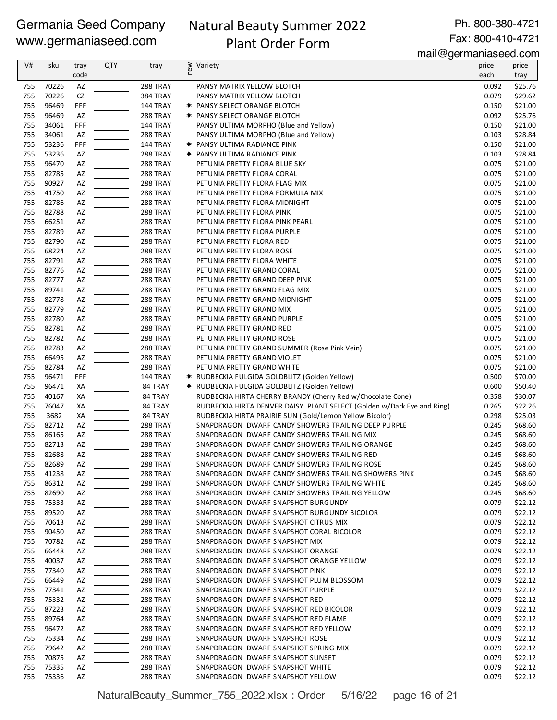# Natural Beauty Summer 2022 Plant Order Form

Ph. 800-380-4721 Fax: 800-410-4721

mail@germaniaseed.com

|     |       |      |            |                 | u – <u>y</u>                                                           | 01111011100000.0011 |         |
|-----|-------|------|------------|-----------------|------------------------------------------------------------------------|---------------------|---------|
| V#  | sku   | tray | <b>QTY</b> | tray            | ≥ Variety<br>E                                                         | price               | price   |
|     |       | code |            |                 |                                                                        | each                | tray    |
| 755 | 70226 | AZ   |            | 288 TRAY        | PANSY MATRIX YELLOW BLOTCH                                             | 0.092               | \$25.76 |
| 755 | 70226 | CZ   |            | <b>384 TRAY</b> | PANSY MATRIX YELLOW BLOTCH                                             | 0.079               | \$29.62 |
| 755 | 96469 | FFF  |            | 144 TRAY        | * PANSY SELECT ORANGE BLOTCH                                           | 0.150               | \$21.00 |
| 755 | 96469 | AZ   |            | <b>288 TRAY</b> | * PANSY SELECT ORANGE BLOTCH                                           | 0.092               | \$25.76 |
| 755 | 34061 | FFF  |            | 144 TRAY        | PANSY ULTIMA MORPHO (Blue and Yellow)                                  | 0.150               | \$21.00 |
| 755 | 34061 | AZ   |            | 288 TRAY        | PANSY ULTIMA MORPHO (Blue and Yellow)                                  | 0.103               | \$28.84 |
| 755 | 53236 | FFF  |            | 144 TRAY        | <b>★ PANSY ULTIMA RADIANCE PINK</b>                                    | 0.150               | \$21.00 |
| 755 | 53236 | AZ   |            | 288 TRAY        | * PANSY ULTIMA RADIANCE PINK                                           | 0.103               | \$28.84 |
| 755 | 96470 | AZ   |            | 288 TRAY        | PETUNIA PRETTY FLORA BLUE SKY                                          | 0.075               | \$21.00 |
| 755 | 82785 | AZ   |            | <b>288 TRAY</b> | PETUNIA PRETTY FLORA CORAL                                             | 0.075               | \$21.00 |
| 755 | 90927 | AZ   |            | 288 TRAY        | PETUNIA PRETTY FLORA FLAG MIX                                          | 0.075               | \$21.00 |
| 755 | 41750 | AZ   |            | 288 TRAY        | PETUNIA PRETTY FLORA FORMULA MIX                                       | 0.075               | \$21.00 |
| 755 | 82786 | AZ   |            | 288 TRAY        | PETUNIA PRETTY FLORA MIDNIGHT                                          | 0.075               | \$21.00 |
| 755 | 82788 | AZ   |            | 288 TRAY        | PETUNIA PRETTY FLORA PINK                                              | 0.075               | \$21.00 |
| 755 | 66251 | AZ   |            | 288 TRAY        | PETUNIA PRETTY FLORA PINK PEARL                                        | 0.075               | \$21.00 |
| 755 | 82789 | AZ   |            | 288 TRAY        | PETUNIA PRETTY FLORA PURPLE                                            | 0.075               | \$21.00 |
| 755 | 82790 | AZ   |            | 288 TRAY        | PETUNIA PRETTY FLORA RED                                               | 0.075               | \$21.00 |
| 755 | 68224 | AZ   |            | 288 TRAY        | PETUNIA PRETTY FLORA ROSE                                              | 0.075               | \$21.00 |
| 755 | 82791 |      |            |                 |                                                                        | 0.075               | \$21.00 |
|     |       | AZ   |            | 288 TRAY        | PETUNIA PRETTY FLORA WHITE                                             |                     |         |
| 755 | 82776 | AZ   |            | 288 TRAY        | PETUNIA PRETTY GRAND CORAL                                             | 0.075               | \$21.00 |
| 755 | 82777 | AZ   |            | 288 TRAY        | PETUNIA PRETTY GRAND DEEP PINK                                         | 0.075               | \$21.00 |
| 755 | 89741 | AZ   |            | 288 TRAY        | PETUNIA PRETTY GRAND FLAG MIX                                          | 0.075               | \$21.00 |
| 755 | 82778 | AZ   |            | 288 TRAY        | PETUNIA PRETTY GRAND MIDNIGHT                                          | 0.075               | \$21.00 |
| 755 | 82779 | AZ   |            | 288 TRAY        | PETUNIA PRETTY GRAND MIX                                               | 0.075               | \$21.00 |
| 755 | 82780 | AZ   |            | 288 TRAY        | PETUNIA PRETTY GRAND PURPLE                                            | 0.075               | \$21.00 |
| 755 | 82781 | AZ   |            | 288 TRAY        | PETUNIA PRETTY GRAND RED                                               | 0.075               | \$21.00 |
| 755 | 82782 | AZ   |            | 288 TRAY        | PETUNIA PRETTY GRAND ROSE                                              | 0.075               | \$21.00 |
| 755 | 82783 | AZ   |            | 288 TRAY        | PETUNIA PRETTY GRAND SUMMER (Rose Pink Vein)                           | 0.075               | \$21.00 |
| 755 | 66495 | AZ   |            | 288 TRAY        | PETUNIA PRETTY GRAND VIOLET                                            | 0.075               | \$21.00 |
| 755 | 82784 | AZ   |            | <b>288 TRAY</b> | PETUNIA PRETTY GRAND WHITE                                             | 0.075               | \$21.00 |
| 755 | 96471 | FFF  |            | <b>144 TRAY</b> | * RUDBECKIA FULGIDA GOLDBLITZ (Golden Yellow)                          | 0.500               | \$70.00 |
| 755 | 96471 | XA   |            | 84 TRAY         | * RUDBECKIA FULGIDA GOLDBLITZ (Golden Yellow)                          | 0.600               | \$50.40 |
| 755 | 40167 | XA   |            | 84 TRAY         | RUDBECKIA HIRTA CHERRY BRANDY (Cherry Red w/Chocolate Cone)            | 0.358               | \$30.07 |
| 755 | 76047 | XA   |            | 84 TRAY         | RUDBECKIA HIRTA DENVER DAISY PLANT SELECT (Golden w/Dark Eye and Ring) | 0.265               | \$22.26 |
| 755 | 3682  | XA   |            | 84 TRAY         | RUDBECKIA HIRTA PRAIRIE SUN (Gold/Lemon Yellow Bicolor)                | 0.298               | \$25.03 |
| 755 | 82712 | AZ   |            | 288 TRAY        | SNAPDRAGON DWARF CANDY SHOWERS TRAILING DEEP PURPLE                    | 0.245               | \$68.60 |
| 755 | 86165 | AZ   |            | 288 TRAY        | SNAPDRAGON DWARF CANDY SHOWERS TRAILING MIX                            | 0.245               | \$68.60 |
| 755 | 82713 | AZ   |            | 288 TRAY        | SNAPDRAGON DWARF CANDY SHOWERS TRAILING ORANGE                         | 0.245               | \$68.60 |
| 755 | 82688 | AZ   |            | 288 TRAY        | SNAPDRAGON DWARF CANDY SHOWERS TRAILING RED                            | 0.245               | \$68.60 |
| 755 | 82689 | AZ   |            | 288 TRAY        | SNAPDRAGON DWARF CANDY SHOWERS TRAILING ROSE                           | 0.245               | \$68.60 |
| 755 | 41238 | AZ   |            | 288 TRAY        | SNAPDRAGON DWARF CANDY SHOWERS TRAILING SHOWERS PINK                   | 0.245               | \$68.60 |
| 755 | 86312 | AZ   |            | 288 TRAY        | SNAPDRAGON DWARF CANDY SHOWERS TRAILING WHITE                          | 0.245               | \$68.60 |
| 755 | 82690 | AZ   |            | 288 TRAY        | SNAPDRAGON DWARF CANDY SHOWERS TRAILING YELLOW                         | 0.245               | \$68.60 |
| 755 | 75333 | AZ   |            | 288 TRAY        | SNAPDRAGON DWARF SNAPSHOT BURGUNDY                                     | 0.079               | \$22.12 |
| 755 | 89520 | AZ   |            | 288 TRAY        | SNAPDRAGON DWARF SNAPSHOT BURGUNDY BICOLOR                             | 0.079               | \$22.12 |
| 755 | 70613 | AZ   |            | 288 TRAY        | SNAPDRAGON DWARF SNAPSHOT CITRUS MIX                                   | 0.079               | \$22.12 |
| 755 | 90450 |      |            | 288 TRAY        | SNAPDRAGON DWARF SNAPSHOT CORAL BICOLOR                                | 0.079               | \$22.12 |
|     | 70782 | AZ   |            |                 |                                                                        | 0.079               | \$22.12 |
| 755 |       | AZ   |            | 288 TRAY        | SNAPDRAGON DWARF SNAPSHOT MIX                                          |                     |         |
| 755 | 66448 | AZ   |            | 288 TRAY        | SNAPDRAGON DWARF SNAPSHOT ORANGE                                       | 0.079               | \$22.12 |
| 755 | 40037 | AZ   |            | 288 TRAY        | SNAPDRAGON DWARF SNAPSHOT ORANGE YELLOW                                | 0.079               | \$22.12 |
| 755 | 77340 | AZ   |            | 288 TRAY        | SNAPDRAGON DWARF SNAPSHOT PINK                                         | 0.079               | \$22.12 |
| 755 | 66449 | AZ   |            | 288 TRAY        | SNAPDRAGON DWARF SNAPSHOT PLUM BLOSSOM                                 | 0.079               | \$22.12 |
| 755 | 77341 | AZ   |            | 288 TRAY        | SNAPDRAGON DWARF SNAPSHOT PURPLE                                       | 0.079               | \$22.12 |
| 755 | 75332 | AZ   |            | 288 TRAY        | SNAPDRAGON DWARF SNAPSHOT RED                                          | 0.079               | \$22.12 |
| 755 | 87223 | AZ   |            | 288 TRAY        | SNAPDRAGON DWARF SNAPSHOT RED BICOLOR                                  | 0.079               | \$22.12 |
| 755 | 89764 | AZ   |            | 288 TRAY        | SNAPDRAGON DWARF SNAPSHOT RED FLAME                                    | 0.079               | \$22.12 |
| 755 | 96472 | AZ   |            | 288 TRAY        | SNAPDRAGON DWARF SNAPSHOT RED YELLOW                                   | 0.079               | \$22.12 |
| 755 | 75334 | AZ   |            | 288 TRAY        | SNAPDRAGON DWARF SNAPSHOT ROSE                                         | 0.079               | \$22.12 |
| 755 | 79642 | AZ   |            | 288 TRAY        | SNAPDRAGON DWARF SNAPSHOT SPRING MIX                                   | 0.079               | \$22.12 |
| 755 | 70875 | AZ   |            | 288 TRAY        | SNAPDRAGON DWARF SNAPSHOT SUNSET                                       | 0.079               | \$22.12 |
| 755 | 75335 | AZ   |            | 288 TRAY        | SNAPDRAGON DWARF SNAPSHOT WHITE                                        | 0.079               | \$22.12 |
| 755 | 75336 | AZ   |            | 288 TRAY        | SNAPDRAGON DWARF SNAPSHOT YELLOW                                       | 0.079               | \$22.12 |
|     |       |      |            |                 |                                                                        |                     |         |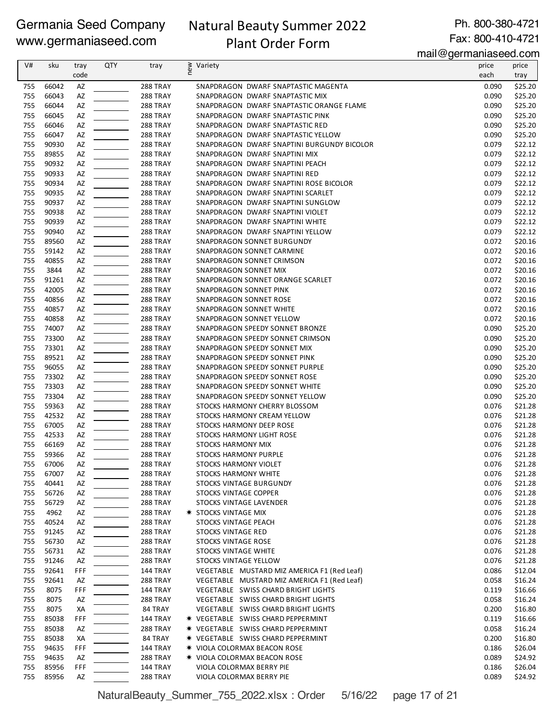# Natural Beauty Summer 2022

Ph. 800-380-4721 Fax: 800-410-4721

# Plant Order Form

mail@germaniaseed.com

| V#  | sku   | tray | <b>QTY</b> | tray            | new<br>Variety                              | price | price   |
|-----|-------|------|------------|-----------------|---------------------------------------------|-------|---------|
|     |       | code |            |                 |                                             | each  | tray    |
| 755 | 66042 | AZ   |            | 288 TRAY        | SNAPDRAGON DWARF SNAPTASTIC MAGENTA         | 0.090 | \$25.20 |
| 755 | 66043 | AZ   |            | 288 TRAY        | SNAPDRAGON DWARF SNAPTASTIC MIX             | 0.090 | \$25.20 |
| 755 | 66044 | AZ   |            | 288 TRAY        | SNAPDRAGON DWARF SNAPTASTIC ORANGE FLAME    | 0.090 | \$25.20 |
| 755 | 66045 | AZ   |            | 288 TRAY        | SNAPDRAGON DWARF SNAPTASTIC PINK            | 0.090 | \$25.20 |
| 755 |       |      |            |                 |                                             |       |         |
|     | 66046 | AZ   |            | 288 TRAY        | SNAPDRAGON DWARF SNAPTASTIC RED             | 0.090 | \$25.20 |
| 755 | 66047 | AZ   |            | 288 TRAY        | SNAPDRAGON DWARF SNAPTASTIC YELLOW          | 0.090 | \$25.20 |
| 755 | 90930 | AZ   |            | 288 TRAY        | SNAPDRAGON DWARF SNAPTINI BURGUNDY BICOLOR  | 0.079 | \$22.12 |
| 755 | 89855 | AZ   |            | <b>288 TRAY</b> | SNAPDRAGON DWARF SNAPTINI MIX               | 0.079 | \$22.12 |
| 755 | 90932 | AZ   |            | 288 TRAY        | SNAPDRAGON DWARF SNAPTINI PEACH             | 0.079 | \$22.12 |
| 755 | 90933 | AZ   |            | <b>288 TRAY</b> | SNAPDRAGON DWARF SNAPTINI RED               | 0.079 | \$22.12 |
| 755 | 90934 | AZ   |            | 288 TRAY        | SNAPDRAGON DWARF SNAPTINI ROSE BICOLOR      | 0.079 | \$22.12 |
| 755 | 90935 | AZ   |            | 288 TRAY        | SNAPDRAGON DWARF SNAPTINI SCARLET           | 0.079 | \$22.12 |
| 755 | 90937 | AZ   |            | 288 TRAY        | SNAPDRAGON DWARF SNAPTINI SUNGLOW           | 0.079 | \$22.12 |
| 755 | 90938 | AZ   |            | 288 TRAY        | SNAPDRAGON DWARF SNAPTINI VIOLET            | 0.079 | \$22.12 |
| 755 | 90939 | AZ   |            | 288 TRAY        | SNAPDRAGON DWARF SNAPTINI WHITE             | 0.079 | \$22.12 |
| 755 | 90940 | AZ   |            | 288 TRAY        | SNAPDRAGON DWARF SNAPTINI YELLOW            | 0.079 | \$22.12 |
|     |       |      |            |                 |                                             |       |         |
| 755 | 89560 | AZ   |            | 288 TRAY        | SNAPDRAGON SONNET BURGUNDY                  | 0.072 | \$20.16 |
| 755 | 59142 | AZ   |            | <b>288 TRAY</b> | SNAPDRAGON SONNET CARMINE                   | 0.072 | \$20.16 |
| 755 | 40855 | AZ   |            | 288 TRAY        | SNAPDRAGON SONNET CRIMSON                   | 0.072 | \$20.16 |
| 755 | 3844  | AZ   |            | 288 TRAY        | <b>SNAPDRAGON SONNET MIX</b>                | 0.072 | \$20.16 |
| 755 | 91261 | AZ   |            | 288 TRAY        | SNAPDRAGON SONNET ORANGE SCARLET            | 0.072 | \$20.16 |
| 755 | 42005 | AZ   |            | 288 TRAY        | <b>SNAPDRAGON SONNET PINK</b>               | 0.072 | \$20.16 |
| 755 | 40856 | AZ   |            | 288 TRAY        | <b>SNAPDRAGON SONNET ROSE</b>               | 0.072 | \$20.16 |
| 755 | 40857 | AZ   |            | 288 TRAY        | <b>SNAPDRAGON SONNET WHITE</b>              | 0.072 | \$20.16 |
| 755 | 40858 | AZ   |            | 288 TRAY        | SNAPDRAGON SONNET YELLOW                    | 0.072 | \$20.16 |
| 755 | 74007 | AZ   |            | <b>288 TRAY</b> | SNAPDRAGON SPEEDY SONNET BRONZE             | 0.090 | \$25.20 |
| 755 | 73300 | AZ   |            | <b>288 TRAY</b> | SNAPDRAGON SPEEDY SONNET CRIMSON            | 0.090 | \$25.20 |
|     |       |      |            |                 |                                             |       |         |
| 755 | 73301 | AZ   |            | <b>288 TRAY</b> | SNAPDRAGON SPEEDY SONNET MIX                | 0.090 | \$25.20 |
| 755 | 89521 | AZ   |            | 288 TRAY        | SNAPDRAGON SPEEDY SONNET PINK               | 0.090 | \$25.20 |
| 755 | 96055 | AZ   |            | 288 TRAY        | SNAPDRAGON SPEEDY SONNET PURPLE             | 0.090 | \$25.20 |
| 755 | 73302 | AZ   |            | 288 TRAY        | SNAPDRAGON SPEEDY SONNET ROSE               | 0.090 | \$25.20 |
| 755 | 73303 | AZ   |            | 288 TRAY        | SNAPDRAGON SPEEDY SONNET WHITE              | 0.090 | \$25.20 |
| 755 | 73304 | AZ   |            | 288 TRAY        | SNAPDRAGON SPEEDY SONNET YELLOW             | 0.090 | \$25.20 |
| 755 | 59363 | AZ   |            | 288 TRAY        | STOCKS HARMONY CHERRY BLOSSOM               | 0.076 | \$21.28 |
| 755 | 42532 | AZ   |            | 288 TRAY        | STOCKS HARMONY CREAM YELLOW                 | 0.076 | \$21.28 |
| 755 | 67005 | AZ   |            | 288 TRAY        | STOCKS HARMONY DEEP ROSE                    | 0.076 | \$21.28 |
| 755 | 42533 | AZ   |            | <b>288 TRAY</b> | STOCKS HARMONY LIGHT ROSE                   | 0.076 | \$21.28 |
| 755 | 66169 | AZ   |            | <b>288 TRAY</b> | <b>STOCKS HARMONY MIX</b>                   | 0.076 | \$21.28 |
| 755 | 59366 | AZ   |            | 288 TRAY        | STOCKS HARMONY PURPLE                       | 0.076 | \$21.28 |
|     |       |      |            |                 |                                             |       |         |
| 755 | 67006 | AZ   |            | 288 TRAY        | STOCKS HARMONY VIOLET                       | 0.076 | \$21.28 |
| 755 | 67007 | AZ   |            | 288 TRAY        | STOCKS HARMONY WHITE                        | 0.076 | \$21.28 |
| 755 | 40441 | AZ   |            | 288 TRAY        | STOCKS VINTAGE BURGUNDY                     | 0.076 | \$21.28 |
| 755 | 56726 | AZ   |            | 288 TRAY        | <b>STOCKS VINTAGE COPPER</b>                | 0.076 | \$21.28 |
| 755 | 56729 | AZ   |            | 288 TRAY        | STOCKS VINTAGE LAVENDER                     | 0.076 | \$21.28 |
| 755 | 4962  | AZ   |            | 288 TRAY        | * STOCKS VINTAGE MIX                        | 0.076 | \$21.28 |
| 755 | 40524 | AZ   |            | 288 TRAY        | STOCKS VINTAGE PEACH                        | 0.076 | \$21.28 |
| 755 | 91245 | AZ   |            | 288 TRAY        | <b>STOCKS VINTAGE RED</b>                   | 0.076 | \$21.28 |
| 755 | 56730 | AZ   |            | <b>288 TRAY</b> | STOCKS VINTAGE ROSE                         | 0.076 | \$21.28 |
| 755 | 56731 | AZ   |            | <b>288 TRAY</b> | STOCKS VINTAGE WHITE                        | 0.076 | \$21.28 |
| 755 | 91246 | AZ   |            | 288 TRAY        | STOCKS VINTAGE YELLOW                       | 0.076 | \$21.28 |
| 755 | 92641 | FFF  |            | 144 TRAY        | VEGETABLE MUSTARD MIZ AMERICA F1 (Red Leaf) | 0.086 | \$12.04 |
| 755 | 92641 |      |            | 288 TRAY        | VEGETABLE MUSTARD MIZ AMERICA F1 (Red Leaf) | 0.058 |         |
|     |       | AZ   |            |                 |                                             |       | \$16.24 |
| 755 | 8075  | FFF  |            | <b>144 TRAY</b> | VEGETABLE SWISS CHARD BRIGHT LIGHTS         | 0.119 | \$16.66 |
| 755 | 8075  | AZ   |            | <b>288 TRAY</b> | VEGETABLE SWISS CHARD BRIGHT LIGHTS         | 0.058 | \$16.24 |
| 755 | 8075  | XА   |            | 84 TRAY         | VEGETABLE SWISS CHARD BRIGHT LIGHTS         | 0.200 | \$16.80 |
| 755 | 85038 | FFF  |            | 144 TRAY        | <b>* VEGETABLE SWISS CHARD PEPPERMINT</b>   | 0.119 | \$16.66 |
| 755 | 85038 | AZ   |            | <b>288 TRAY</b> | <b>* VEGETABLE SWISS CHARD PEPPERMINT</b>   | 0.058 | \$16.24 |
| 755 | 85038 | ХA   |            | 84 TRAY         | <b>* VEGETABLE SWISS CHARD PEPPERMINT</b>   | 0.200 | \$16.80 |
| 755 | 94635 | FFF  |            | <b>144 TRAY</b> | <b>* VIOLA COLORMAX BEACON ROSE</b>         | 0.186 | \$26.04 |
| 755 | 94635 | AZ   |            | 288 TRAY        | * VIOLA COLORMAX BEACON ROSE                | 0.089 | \$24.92 |
| 755 | 85956 | FFF  |            | 144 TRAY        | VIOLA COLORMAX BERRY PIE                    | 0.186 | \$26.04 |
| 755 | 85956 | AZ   |            | 288 TRAY        | VIOLA COLORMAX BERRY PIE                    | 0.089 | \$24.92 |
|     |       |      |            |                 |                                             |       |         |

NaturalBeauty\_Summer\_755\_2022.xlsx : Order 5/16/22 page 17 of 21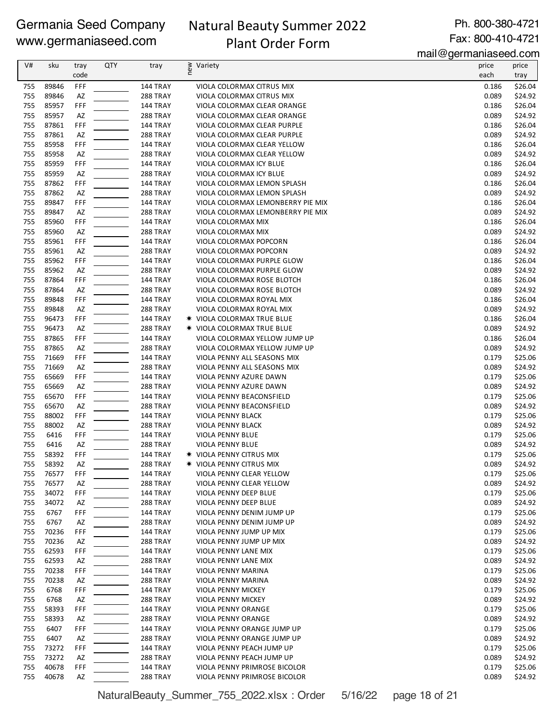# Natural Beauty Summer 2022 Plant Order Form

Ph. 800-380-4721 Fax: 800-410-4721

mail@germaniaseed.com

| V#         | sku            | tray      | QTY | tray                        | ≷ Variety                                              | price          | price              |
|------------|----------------|-----------|-----|-----------------------------|--------------------------------------------------------|----------------|--------------------|
|            |                | code      |     |                             |                                                        | each           | tray               |
| 755        | 89846          | FFF       |     | 144 TRAY                    | VIOLA COLORMAX CITRUS MIX                              | 0.186          | \$26.04            |
| 755        | 89846          | AZ        |     | 288 TRAY                    | VIOLA COLORMAX CITRUS MIX                              | 0.089          | \$24.92            |
| 755        | 85957          | FFF       |     | <b>144 TRAY</b>             | VIOLA COLORMAX CLEAR ORANGE                            | 0.186          | \$26.04            |
| 755        | 85957          | AZ        |     | 288 TRAY                    | VIOLA COLORMAX CLEAR ORANGE                            | 0.089          | \$24.92            |
| 755        | 87861          | FFF       |     | 144 TRAY                    | VIOLA COLORMAX CLEAR PURPLE                            | 0.186          | \$26.04            |
| 755        | 87861          | AZ        |     | 288 TRAY                    | VIOLA COLORMAX CLEAR PURPLE                            | 0.089          | \$24.92            |
| 755<br>755 | 85958<br>85958 | FFF<br>AZ |     | 144 TRAY                    | VIOLA COLORMAX CLEAR YELLOW                            | 0.186<br>0.089 | \$26.04<br>\$24.92 |
| 755        | 85959          | FFF       |     | 288 TRAY<br>144 TRAY        | VIOLA COLORMAX CLEAR YELLOW<br>VIOLA COLORMAX ICY BLUE | 0.186          | \$26.04            |
| 755        | 85959          | AZ        |     | 288 TRAY                    | VIOLA COLORMAX ICY BLUE                                | 0.089          | \$24.92            |
| 755        | 87862          | FFF       |     | 144 TRAY                    | VIOLA COLORMAX LEMON SPLASH                            | 0.186          | \$26.04            |
| 755        | 87862          | AZ        |     | 288 TRAY                    | VIOLA COLORMAX LEMON SPLASH                            | 0.089          | \$24.92            |
| 755        | 89847          | FFF       |     | <b>144 TRAY</b>             | VIOLA COLORMAX LEMONBERRY PIE MIX                      | 0.186          | \$26.04            |
| 755        | 89847          | AZ        |     | 288 TRAY                    | VIOLA COLORMAX LEMONBERRY PIE MIX                      | 0.089          | \$24.92            |
| 755        | 85960          | FFF       |     | 144 TRAY                    | VIOLA COLORMAX MIX                                     | 0.186          | \$26.04            |
| 755        | 85960          | AZ        |     | 288 TRAY                    | VIOLA COLORMAX MIX                                     | 0.089          | \$24.92            |
| 755        | 85961          | FFF       |     | 144 TRAY                    | VIOLA COLORMAX POPCORN                                 | 0.186          | \$26.04            |
| 755        | 85961          | AZ        |     | 288 TRAY                    | VIOLA COLORMAX POPCORN                                 | 0.089          | \$24.92            |
| 755        | 85962          | FFF       |     | 144 TRAY                    | VIOLA COLORMAX PURPLE GLOW                             | 0.186          | \$26.04            |
| 755        | 85962          | AZ        |     | 288 TRAY                    | VIOLA COLORMAX PURPLE GLOW                             | 0.089          | \$24.92            |
| 755        | 87864          | FFF       |     | <b>144 TRAY</b>             | VIOLA COLORMAX ROSE BLOTCH                             | 0.186          | \$26.04            |
| 755<br>755 | 87864<br>89848 | AZ<br>FFF |     | 288 TRAY<br><b>144 TRAY</b> | VIOLA COLORMAX ROSE BLOTCH<br>VIOLA COLORMAX ROYAL MIX | 0.089<br>0.186 | \$24.92<br>\$26.04 |
| 755        | 89848          | AZ        |     | 288 TRAY                    | VIOLA COLORMAX ROYAL MIX                               | 0.089          | \$24.92            |
| 755        | 96473          | FFF       |     | 144 TRAY                    | <b>★ VIOLA COLORMAX TRUE BLUE</b>                      | 0.186          | \$26.04            |
| 755        | 96473          | AZ        |     | 288 TRAY                    | <b>★ VIOLA COLORMAX TRUE BLUE</b>                      | 0.089          | \$24.92            |
| 755        | 87865          | FFF       |     | 144 TRAY                    | VIOLA COLORMAX YELLOW JUMP UP                          | 0.186          | \$26.04            |
| 755        | 87865          | AZ        |     | 288 TRAY                    | VIOLA COLORMAX YELLOW JUMP UP                          | 0.089          | \$24.92            |
| 755        | 71669          | FFF       |     | 144 TRAY                    | VIOLA PENNY ALL SEASONS MIX                            | 0.179          | \$25.06            |
| 755        | 71669          | AZ        |     | 288 TRAY                    | VIOLA PENNY ALL SEASONS MIX                            | 0.089          | \$24.92            |
| 755        | 65669          | FFF       |     | 144 TRAY                    | VIOLA PENNY AZURE DAWN                                 | 0.179          | \$25.06            |
| 755        | 65669          | AZ        |     | 288 TRAY                    | VIOLA PENNY AZURE DAWN                                 | 0.089          | \$24.92            |
| 755        | 65670          | FFF       |     | <b>144 TRAY</b>             | VIOLA PENNY BEACONSFIELD                               | 0.179          | \$25.06            |
| 755        | 65670          | AZ        |     | 288 TRAY                    | VIOLA PENNY BEACONSFIELD                               | 0.089          | \$24.92            |
| 755        | 88002          | FFF       |     | 144 TRAY                    | VIOLA PENNY BLACK                                      | 0.179          | \$25.06            |
| 755        | 88002          | AZ        |     | 288 TRAY                    | VIOLA PENNY BLACK                                      | 0.089          | \$24.92            |
| 755<br>755 | 6416<br>6416   | FFF<br>AZ |     | 144 TRAY<br>288 TRAY        | VIOLA PENNY BLUE<br>VIOLA PENNY BLUE                   | 0.179<br>0.089 | \$25.06<br>\$24.92 |
| 755        | 58392          | FFF       |     | 144 TRAY                    | <b>★ VIOLA PENNY CITRUS MIX</b>                        | 0.179          | \$25.06            |
| 755        | 58392          | <b>AZ</b> |     | 288 TRAY                    | * VIOLA PENNY CITRUS MIX                               | 0.089          | \$24.92            |
| 755        | 76577          | FFF       |     | 144 TRAY                    | VIOLA PENNY CLEAR YELLOW                               | 0.179          | \$25.06            |
| 755        | 76577          | AZ        |     | 288 TRAY                    | VIOLA PENNY CLEAR YELLOW                               | 0.089          | \$24.92            |
| 755        | 34072          | FFF       |     | <b>144 TRAY</b>             | VIOLA PENNY DEEP BLUE                                  | 0.179          | \$25.06            |
| 755        | 34072          | AZ        |     | 288 TRAY                    | VIOLA PENNY DEEP BLUE                                  | 0.089          | \$24.92            |
| 755        | 6767           | FFF       |     | <b>144 TRAY</b>             | VIOLA PENNY DENIM JUMP UP                              | 0.179          | \$25.06            |
| 755        | 6767           | AZ        |     | 288 TRAY                    | VIOLA PENNY DENIM JUMP UP                              | 0.089          | \$24.92            |
| 755        | 70236          | FFF       |     | <b>144 TRAY</b>             | VIOLA PENNY JUMP UP MIX                                | 0.179          | \$25.06            |
| 755        | 70236          | AZ        |     | 288 TRAY                    | VIOLA PENNY JUMP UP MIX                                | 0.089          | \$24.92            |
| 755        | 62593          | FFF       |     | <b>144 TRAY</b>             | VIOLA PENNY LANE MIX                                   | 0.179          | \$25.06            |
| 755        | 62593          | AZ        |     | 288 TRAY                    | VIOLA PENNY LANE MIX<br>VIOLA PENNY MARINA             | 0.089          | \$24.92            |
| 755<br>755 | 70238<br>70238 | FFF<br>AZ |     | 144 TRAY<br>288 TRAY        | VIOLA PENNY MARINA                                     | 0.179<br>0.089 | \$25.06<br>\$24.92 |
| 755        | 6768           | FFF       |     | <b>144 TRAY</b>             | VIOLA PENNY MICKEY                                     | 0.179          | \$25.06            |
| 755        | 6768           | AZ        |     | 288 TRAY                    | VIOLA PENNY MICKEY                                     | 0.089          | \$24.92            |
| 755        | 58393          | FFF       |     | <b>144 TRAY</b>             | VIOLA PENNY ORANGE                                     | 0.179          | \$25.06            |
| 755        | 58393          | AZ        |     | 288 TRAY                    | VIOLA PENNY ORANGE                                     | 0.089          | \$24.92            |
| 755        | 6407           | FFF       |     | <b>144 TRAY</b>             | VIOLA PENNY ORANGE JUMP UP                             | 0.179          | \$25.06            |
| 755        | 6407           | AZ        |     | 288 TRAY                    | VIOLA PENNY ORANGE JUMP UP                             | 0.089          | \$24.92            |
| 755        | 73272          | FFF       |     | 144 TRAY                    | VIOLA PENNY PEACH JUMP UP                              | 0.179          | \$25.06            |
| 755        | 73272          | AZ        |     | 288 TRAY                    | VIOLA PENNY PEACH JUMP UP                              | 0.089          | \$24.92            |
| 755        | 40678          | FFF       |     | 144 TRAY                    | VIOLA PENNY PRIMROSE BICOLOR                           | 0.179          | \$25.06            |
| 755        | 40678          | AZ        |     | 288 TRAY                    | VIOLA PENNY PRIMROSE BICOLOR                           | 0.089          | \$24.92            |

NaturalBeauty\_Summer\_755\_2022.xlsx : Order 5/16/22 page 18 of 21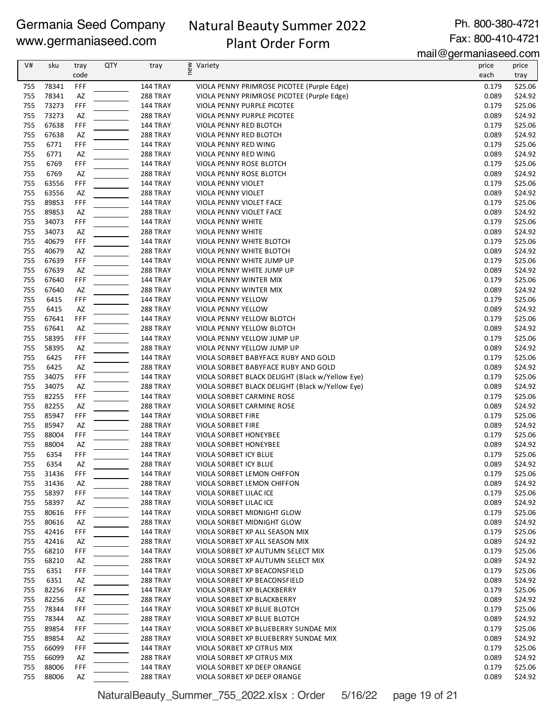# Natural Beauty Summer 2022 Plant Order Form

Ph. 800-380-4721 Fax: 800-410-4721

mail@germaniaseed.com

| V#         | sku            | tray      | <b>QTY</b> | tray                        | new<br>Variety                                      | price          | price              |
|------------|----------------|-----------|------------|-----------------------------|-----------------------------------------------------|----------------|--------------------|
|            |                | code      |            |                             |                                                     | each           | tray               |
| 755        | 78341          | FFF       |            | 144 TRAY                    | VIOLA PENNY PRIMROSE PICOTEE (Purple Edge)          | 0.179          | \$25.06            |
| 755        | 78341          | AZ        |            | 288 TRAY                    | VIOLA PENNY PRIMROSE PICOTEE (Purple Edge)          | 0.089          | \$24.92            |
| 755        | 73273          | FFF       |            | 144 TRAY                    | VIOLA PENNY PURPLE PICOTEE                          | 0.179          | \$25.06            |
| 755        | 73273          | AZ        |            | 288 TRAY                    | VIOLA PENNY PURPLE PICOTEE                          | 0.089          | \$24.92            |
| 755        | 67638          | FFF       |            | 144 TRAY                    | VIOLA PENNY RED BLOTCH                              | 0.179          | \$25.06            |
| 755        | 67638          | AZ        |            | 288 TRAY                    | VIOLA PENNY RED BLOTCH                              | 0.089          | \$24.92            |
| 755        | 6771           | FFF       |            | 144 TRAY                    | VIOLA PENNY RED WING                                | 0.179          | \$25.06            |
| 755        | 6771           | AZ        |            | 288 TRAY                    | VIOLA PENNY RED WING                                | 0.089          | \$24.92            |
| 755        | 6769           | FFF       |            | 144 TRAY                    | VIOLA PENNY ROSE BLOTCH                             | 0.179          | \$25.06            |
| 755        | 6769           | AZ        |            | 288 TRAY                    | VIOLA PENNY ROSE BLOTCH                             | 0.089          | \$24.92            |
| 755        | 63556          | FFF       |            | 144 TRAY                    | VIOLA PENNY VIOLET                                  | 0.179          | \$25.06            |
| 755        | 63556          | AZ        |            | 288 TRAY                    | VIOLA PENNY VIOLET                                  | 0.089          | \$24.92            |
| 755<br>755 | 89853<br>89853 | FFF<br>AZ |            | <b>144 TRAY</b>             | VIOLA PENNY VIOLET FACE                             | 0.179<br>0.089 | \$25.06            |
| 755        | 34073          | FFF       |            | 288 TRAY                    | VIOLA PENNY VIOLET FACE                             | 0.179          | \$24.92<br>\$25.06 |
| 755        | 34073          | AZ        |            | 144 TRAY<br>288 TRAY        | VIOLA PENNY WHITE<br>VIOLA PENNY WHITE              | 0.089          | \$24.92            |
| 755        | 40679          | FFF       |            | 144 TRAY                    | VIOLA PENNY WHITE BLOTCH                            | 0.179          | \$25.06            |
| 755        | 40679          | AZ        |            | 288 TRAY                    | VIOLA PENNY WHITE BLOTCH                            | 0.089          | \$24.92            |
| 755        | 67639          | FFF       |            | 144 TRAY                    | VIOLA PENNY WHITE JUMP UP                           | 0.179          | \$25.06            |
| 755        | 67639          | AZ        |            | 288 TRAY                    | VIOLA PENNY WHITE JUMP UP                           | 0.089          | \$24.92            |
| 755        | 67640          | FFF       |            | 144 TRAY                    | VIOLA PENNY WINTER MIX                              | 0.179          | \$25.06            |
| 755        | 67640          | AZ        |            | 288 TRAY                    | VIOLA PENNY WINTER MIX                              | 0.089          | \$24.92            |
| 755        | 6415           | FFF       |            | 144 TRAY                    | VIOLA PENNY YELLOW                                  | 0.179          | \$25.06            |
| 755        | 6415           | AZ        |            | 288 TRAY                    | VIOLA PENNY YELLOW                                  | 0.089          | \$24.92            |
| 755        | 67641          | FFF       |            | 144 TRAY                    | VIOLA PENNY YELLOW BLOTCH                           | 0.179          | \$25.06            |
| 755        | 67641          | AZ        |            | 288 TRAY                    | VIOLA PENNY YELLOW BLOTCH                           | 0.089          | \$24.92            |
| 755        | 58395          | FFF       |            | 144 TRAY                    | VIOLA PENNY YELLOW JUMP UP                          | 0.179          | \$25.06            |
| 755        | 58395          | AZ        |            | 288 TRAY                    | VIOLA PENNY YELLOW JUMP UP                          | 0.089          | \$24.92            |
| 755        | 6425           | FFF       |            | 144 TRAY                    | VIOLA SORBET BABYFACE RUBY AND GOLD                 | 0.179          | \$25.06            |
| 755        | 6425           | AZ        |            | 288 TRAY                    | VIOLA SORBET BABYFACE RUBY AND GOLD                 | 0.089          | \$24.92            |
| 755        | 34075          | FFF       |            | <b>144 TRAY</b>             | VIOLA SORBET BLACK DELIGHT (Black w/Yellow Eye)     | 0.179          | \$25.06            |
| 755        | 34075          | AZ        |            | 288 TRAY                    | VIOLA SORBET BLACK DELIGHT (Black w/Yellow Eye)     | 0.089          | \$24.92            |
| 755        | 82255          | FFF       |            | 144 TRAY                    | VIOLA SORBET CARMINE ROSE                           | 0.179          | \$25.06            |
| 755        | 82255          | AZ        |            | 288 TRAY                    | VIOLA SORBET CARMINE ROSE                           | 0.089          | \$24.92            |
| 755        | 85947          | FFF       |            | <b>144 TRAY</b>             | VIOLA SORBET FIRE                                   | 0.179          | \$25.06            |
| 755        | 85947          | AZ        |            | 288 TRAY                    | VIOLA SORBET FIRE                                   | 0.089          | \$24.92            |
| 755        | 88004          | FFF       |            | 144 TRAY                    | VIOLA SORBET HONEYBEE                               | 0.179          | \$25.06            |
| 755        | 88004          | AZ        |            | 288 TRAY                    | VIOLA SORBET HONEYBEE                               | 0.089          | \$24.92            |
| 755        | 6354           | FFF       |            | 144 TRAY                    | VIOLA SORBET ICY BLUE                               | 0.179          | \$25.06            |
| 755        | 6354<br>31436  | AZ<br>FFF |            | <b>288 TRAY</b><br>144 TRAY | VIOLA SORBET ICY BLUE<br>VIOLA SORBET LEMON CHIFFON | 0.089<br>0.179 | \$24.92<br>\$25.06 |
| 755<br>755 | 31436          | AZ        |            | 288 TRAY                    | VIOLA SORBET LEMON CHIFFON                          | 0.089          | \$24.92            |
| 755        | 58397          | FFF       |            | 144 TRAY                    | VIOLA SORBET LILAC ICE                              | 0.179          | \$25.06            |
| 755        | 58397          | AZ        |            | 288 TRAY                    | VIOLA SORBET LILAC ICE                              | 0.089          | \$24.92            |
| 755        | 80616          | FFF       |            | 144 TRAY                    | VIOLA SORBET MIDNIGHT GLOW                          | 0.179          | \$25.06            |
| 755        | 80616          | AZ        |            | 288 TRAY                    | VIOLA SORBET MIDNIGHT GLOW                          | 0.089          | \$24.92            |
| 755        | 42416          | FFF       |            | <b>144 TRAY</b>             | VIOLA SORBET XP ALL SEASON MIX                      | 0.179          | \$25.06            |
| 755        | 42416          | AZ        |            | <b>288 TRAY</b>             | VIOLA SORBET XP ALL SEASON MIX                      | 0.089          | \$24.92            |
| 755        | 68210          | FFF       |            | <b>144 TRAY</b>             | VIOLA SORBET XP AUTUMN SELECT MIX                   | 0.179          | \$25.06            |
| 755        | 68210          | AZ        |            | 288 TRAY                    | VIOLA SORBET XP AUTUMN SELECT MIX                   | 0.089          | \$24.92            |
| 755        | 6351           | FFF       |            | <b>144 TRAY</b>             | VIOLA SORBET XP BEACONSFIELD                        | 0.179          | \$25.06            |
| 755        | 6351           | AZ        |            | 288 TRAY                    | VIOLA SORBET XP BEACONSFIELD                        | 0.089          | \$24.92            |
| 755        | 82256          | FFF       |            | <b>144 TRAY</b>             | VIOLA SORBET XP BLACKBERRY                          | 0.179          | \$25.06            |
| 755        | 82256          | AZ        |            | 288 TRAY                    | VIOLA SORBET XP BLACKBERRY                          | 0.089          | \$24.92            |
| 755        | 78344          | FFF       |            | <b>144 TRAY</b>             | VIOLA SORBET XP BLUE BLOTCH                         | 0.179          | \$25.06            |
| 755        | 78344          | AZ        |            | <b>288 TRAY</b>             | VIOLA SORBET XP BLUE BLOTCH                         | 0.089          | \$24.92            |
| 755        | 89854          | FFF       |            | <b>144 TRAY</b>             | VIOLA SORBET XP BLUEBERRY SUNDAE MIX                | 0.179          | \$25.06            |
| 755        | 89854          | AZ        |            | <b>288 TRAY</b>             | VIOLA SORBET XP BLUEBERRY SUNDAE MIX                | 0.089          | \$24.92            |
| 755        | 66099          | FFF       |            | 144 TRAY                    | VIOLA SORBET XP CITRUS MIX                          | 0.179          | \$25.06            |
| 755        | 66099          | AZ        |            | 288 TRAY                    | VIOLA SORBET XP CITRUS MIX                          | 0.089          | \$24.92            |
| 755        | 88006          | FFF       |            | <b>144 TRAY</b>             | VIOLA SORBET XP DEEP ORANGE                         | 0.179          | \$25.06            |
| 755        | 88006          | AZ        |            | 288 TRAY                    | VIOLA SORBET XP DEEP ORANGE                         | 0.089          | \$24.92            |

NaturalBeauty\_Summer\_755\_2022.xlsx : Order 5/16/22 page 19 of 21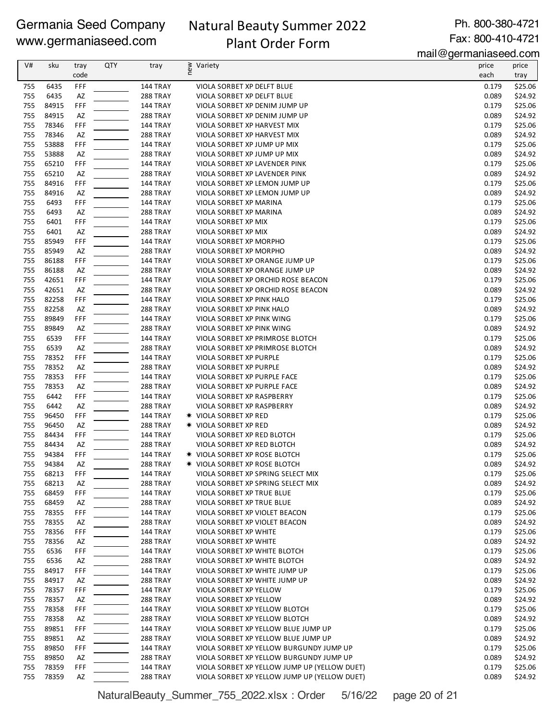# Natural Beauty Summer 2022 Plant Order Form

Ph. 800-380-4721 Fax: 800-410-4721

mail@germaniaseed.com

| V#         | sku            | tray       | QTY | tray                               | ≥ Variety<br>E                                                         | price          | price              |
|------------|----------------|------------|-----|------------------------------------|------------------------------------------------------------------------|----------------|--------------------|
|            |                | code       |     |                                    |                                                                        | each           | tray               |
| 755        | 6435           | FFF        |     | 144 TRAY                           | VIOLA SORBET XP DELFT BLUE                                             | 0.179          | \$25.06            |
| 755        | 6435           | AZ         |     | <b>288 TRAY</b>                    | VIOLA SORBET XP DELFT BLUE                                             | 0.089          | \$24.92            |
| 755        | 84915          | <b>FFF</b> |     | <b>144 TRAY</b>                    | VIOLA SORBET XP DENIM JUMP UP                                          | 0.179          | \$25.06            |
| 755        | 84915          | AZ         |     | <b>288 TRAY</b>                    | VIOLA SORBET XP DENIM JUMP UP                                          | 0.089          | \$24.92            |
| 755        | 78346          | FFF        |     | <b>144 TRAY</b>                    | VIOLA SORBET XP HARVEST MIX                                            | 0.179          | \$25.06            |
| 755        | 78346          | AZ         |     | <b>288 TRAY</b>                    | VIOLA SORBET XP HARVEST MIX                                            | 0.089          | \$24.92            |
| 755        | 53888          | FFF        |     | 144 TRAY                           | VIOLA SORBET XP JUMP UP MIX                                            | 0.179          | \$25.06            |
| 755        | 53888          | AZ         |     | 288 TRAY                           | VIOLA SORBET XP JUMP UP MIX                                            | 0.089          | \$24.92            |
| 755        | 65210          | FFF        |     | <b>144 TRAY</b>                    | VIOLA SORBET XP LAVENDER PINK                                          | 0.179          | \$25.06            |
| 755        | 65210          | AZ         |     | <b>288 TRAY</b>                    | VIOLA SORBET XP LAVENDER PINK                                          | 0.089          | \$24.92            |
| 755        | 84916          | FFF        |     | <b>144 TRAY</b>                    | VIOLA SORBET XP LEMON JUMP UP                                          | 0.179          | \$25.06            |
| 755        | 84916          | AZ         |     | <b>288 TRAY</b>                    | VIOLA SORBET XP LEMON JUMP UP                                          | 0.089          | \$24.92            |
| 755<br>755 | 6493<br>6493   | FFF<br>AZ  |     | <b>144 TRAY</b><br><b>288 TRAY</b> | VIOLA SORBET XP MARINA<br>VIOLA SORBET XP MARINA                       | 0.179<br>0.089 | \$25.06<br>\$24.92 |
| 755        | 6401           | FFF        |     | <b>144 TRAY</b>                    | VIOLA SORBET XP MIX                                                    | 0.179          | \$25.06            |
| 755        | 6401           | AZ         |     | <b>288 TRAY</b>                    | VIOLA SORBET XP MIX                                                    | 0.089          | \$24.92            |
| 755        | 85949          | FFF        |     | 144 TRAY                           | VIOLA SORBET XP MORPHO                                                 | 0.179          | \$25.06            |
| 755        | 85949          | AZ         |     | <b>288 TRAY</b>                    | VIOLA SORBET XP MORPHO                                                 | 0.089          | \$24.92            |
| 755        | 86188          | FFF        |     | 144 TRAY                           | VIOLA SORBET XP ORANGE JUMP UP                                         | 0.179          | \$25.06            |
| 755        | 86188          | AZ         |     | <b>288 TRAY</b>                    | VIOLA SORBET XP ORANGE JUMP UP                                         | 0.089          | \$24.92            |
| 755        | 42651          | FFF        |     | <b>144 TRAY</b>                    | VIOLA SORBET XP ORCHID ROSE BEACON                                     | 0.179          | \$25.06            |
| 755        | 42651          | AZ         |     | <b>288 TRAY</b>                    | VIOLA SORBET XP ORCHID ROSE BEACON                                     | 0.089          | \$24.92            |
| 755        | 82258          | FFF        |     | <b>144 TRAY</b>                    | VIOLA SORBET XP PINK HALO                                              | 0.179          | \$25.06            |
| 755        | 82258          | AZ         |     | <b>288 TRAY</b>                    | VIOLA SORBET XP PINK HALO                                              | 0.089          | \$24.92            |
| 755        | 89849          | FFF        |     | <b>144 TRAY</b>                    | VIOLA SORBET XP PINK WING                                              | 0.179          | \$25.06            |
| 755        | 89849          | AZ         |     | <b>288 TRAY</b>                    | VIOLA SORBET XP PINK WING                                              | 0.089          | \$24.92            |
| 755        | 6539           | FFF        |     | <b>144 TRAY</b>                    | VIOLA SORBET XP PRIMROSE BLOTCH                                        | 0.179          | \$25.06            |
| 755        | 6539           | AZ         |     | 288 TRAY                           | VIOLA SORBET XP PRIMROSE BLOTCH                                        | 0.089          | \$24.92            |
| 755        | 78352          | FFF        |     | <b>144 TRAY</b>                    | VIOLA SORBET XP PURPLE                                                 | 0.179          | \$25.06            |
| 755        | 78352          | AZ         |     | <b>288 TRAY</b>                    | VIOLA SORBET XP PURPLE                                                 | 0.089          | \$24.92            |
| 755        | 78353          | FFF        |     | <b>144 TRAY</b>                    | VIOLA SORBET XP PURPLE FACE                                            | 0.179          | \$25.06            |
| 755        | 78353          | AZ         |     | <b>288 TRAY</b>                    | VIOLA SORBET XP PURPLE FACE                                            | 0.089          | \$24.92            |
| 755        | 6442           | FFF        |     | <b>144 TRAY</b>                    | VIOLA SORBET XP RASPBERRY                                              | 0.179          | \$25.06            |
| 755        | 6442           | AZ         |     | <b>288 TRAY</b>                    | VIOLA SORBET XP RASPBERRY                                              | 0.089          | \$24.92            |
| 755        | 96450          | FFF        |     | <b>144 TRAY</b>                    | <b>★ VIOLA SORBET XP RED</b>                                           | 0.179          | \$25.06            |
| 755        | 96450          | AZ         |     | <b>288 TRAY</b>                    | <b>* VIOLA SORBET XP RED</b>                                           | 0.089          | \$24.92            |
| 755        | 84434          | FFF        |     | <b>144 TRAY</b>                    | VIOLA SORBET XP RED BLOTCH                                             | 0.179          | \$25.06            |
| 755        | 84434          | AZ         |     | <b>288 TRAY</b>                    | VIOLA SORBET XP RED BLOTCH                                             | 0.089          | \$24.92            |
| 755        | 94384          | FFF        |     | <b>144 TRAY</b>                    | <b>* VIOLA SORBET XP ROSE BLOTCH</b>                                   | 0.179          | \$25.06            |
| 755        | 94384          | AZ         |     | 288 TRAY<br>144 TRAY               | <b>★ VIOLA SORBET XP ROSE BLOTCH</b>                                   | 0.089          | \$24.92            |
| 755<br>755 | 68213<br>68213 | FFF<br>AZ  |     | <b>288 TRAY</b>                    | VIOLA SORBET XP SPRING SELECT MIX<br>VIOLA SORBET XP SPRING SELECT MIX | 0.179<br>0.089 | \$25.06<br>\$24.92 |
| 755        | 68459          | FFF        |     | 144 TRAY                           | <b>VIOLA SORBET XP TRUE BLUE</b>                                       | 0.179          | \$25.06            |
| 755        | 68459          | AZ         |     | 288 TRAY                           | VIOLA SORBET XP TRUE BLUE                                              | 0.089          | \$24.92            |
| 755        | 78355          | FFF        |     | <b>144 TRAY</b>                    | VIOLA SORBET XP VIOLET BEACON                                          | 0.179          | \$25.06            |
| 755        | 78355          | AZ         |     | 288 TRAY                           | VIOLA SORBET XP VIOLET BEACON                                          | 0.089          | \$24.92            |
| 755        | 78356          | FFF        |     | <b>144 TRAY</b>                    | VIOLA SORBET XP WHITE                                                  | 0.179          | \$25.06            |
| 755        | 78356          | AZ         |     | 288 TRAY                           | VIOLA SORBET XP WHITE                                                  | 0.089          | \$24.92            |
| 755        | 6536           | FFF        |     | <b>144 TRAY</b>                    | VIOLA SORBET XP WHITE BLOTCH                                           | 0.179          | \$25.06            |
| 755        | 6536           | AZ         |     | <b>288 TRAY</b>                    | VIOLA SORBET XP WHITE BLOTCH                                           | 0.089          | \$24.92            |
| 755        | 84917          | FFF        |     | 144 TRAY                           | VIOLA SORBET XP WHITE JUMP UP                                          | 0.179          | \$25.06            |
| 755        | 84917          | AZ         |     | <b>288 TRAY</b>                    | VIOLA SORBET XP WHITE JUMP UP                                          | 0.089          | \$24.92            |
| 755        | 78357          | FFF        |     | <b>144 TRAY</b>                    | VIOLA SORBET XP YELLOW                                                 | 0.179          | \$25.06            |
| 755        | 78357          | AZ         |     | 288 TRAY                           | VIOLA SORBET XP YELLOW                                                 | 0.089          | \$24.92            |
| 755        | 78358          | FFF        |     | <b>144 TRAY</b>                    | VIOLA SORBET XP YELLOW BLOTCH                                          | 0.179          | \$25.06            |
| 755        | 78358          | AZ         |     | <b>288 TRAY</b>                    | VIOLA SORBET XP YELLOW BLOTCH                                          | 0.089          | \$24.92            |
| 755        | 89851          | FFF        |     | <b>144 TRAY</b>                    | VIOLA SORBET XP YELLOW BLUE JUMP UP                                    | 0.179          | \$25.06            |
| 755        | 89851          | AZ         |     | <b>288 TRAY</b>                    | VIOLA SORBET XP YELLOW BLUE JUMP UP                                    | 0.089          | \$24.92            |
| 755        | 89850          | FFF        |     | 144 TRAY                           | VIOLA SORBET XP YELLOW BURGUNDY JUMP UP                                | 0.179          | \$25.06            |
| 755        | 89850          | AZ         |     | <b>288 TRAY</b>                    | VIOLA SORBET XP YELLOW BURGUNDY JUMP UP                                | 0.089          | \$24.92            |
| 755        | 78359          | FFF        |     | <b>144 TRAY</b>                    | VIOLA SORBET XP YELLOW JUMP UP (YELLOW DUET)                           | 0.179          | \$25.06            |
| 755        | 78359          | AZ         |     | 288 TRAY                           | VIOLA SORBET XP YELLOW JUMP UP (YELLOW DUET)                           | 0.089          | \$24.92            |

NaturalBeauty\_Summer\_755\_2022.xlsx : Order 5/16/22 page 20 of 21